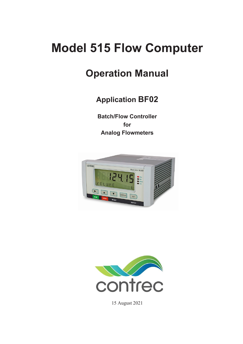# **Model 515 Flow Computer**

# **Operation Manual**

**Application BF02**

**Batch/Flow Controller for Analog Flowmeters**





15 August 2021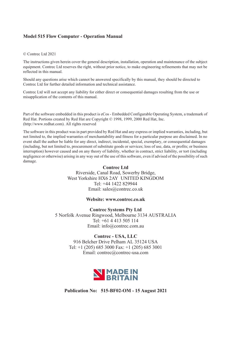#### **Model 515 Flow Computer - Operation Manual**

#### © Contrec Ltd 2021

The instructions given herein cover the general description, installation, operation and maintenance of the subject equipment. Contrec Ltd reserves the right, without prior notice, to make engineering refinements that may not be reflected in this manual.

Should any questions arise which cannot be answered specifically by this manual, they should be directed to Contrec Ltd for further detailed information and technical assistance.

Contrec Ltd will not accept any liability for either direct or consequential damages resulting from the use or misapplication of the contents of this manual.

Part of the software embedded in this product is eCos - Embedded Configurable Operating System, a trademark of Red Hat. Portions created by Red Hat are Copyright © 1998, 1999, 2000 Red Hat, Inc. (http://www.redhat.com). All rights reserved

The software in this product was in part provided by Red Hat and any express or implied warranties, including, but not limited to, the implied warranties of merchantability and fitness for a particular purpose are disclaimed. In no event shall the author be liable for any direct, indirect, incidental, special, exemplary, or consequential damages (including, but not limited to, procurement of substitute goods or services; loss of use, data, or profits; or business interruption) however caused and on any theory of liability, whether in contract, strict liability, or tort (including negligence or otherwise) arising in any way out of the use of this software, even if advised of the possibility of such damage.

#### **Contrec Ltd**

Riverside, Canal Road, Sowerby Bridge, West Yorkshire HX6 2AY UNITED KINGDOM Tel: +44 1422 829944 Email: sales@contrec.co.uk

#### **Website: www.contrec.co.uk**

**Contrec Systems Pty Ltd** 5 Norfolk Avenue Ringwood, Melbourne 3134 AUSTRALIA Tel: +61 4 413 505 114 Email: info@contrec.com.au

### **Contrec - USA, LLC**

916 Belcher Drive Pelham AL 35124 USA Tel: +1 (205) 685 3000 Fax: +1 (205) 685 3001 Email: contrec@contrec-usa.com



**Publication No: 515-BF02-OM - 15 August 2021**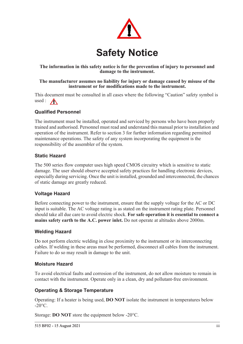

#### **The information in this safety notice is for the prevention of injury to personnel and damage to the instrument.**

#### **The manufacturer assumes no liability for injury or damage caused by misuse of the instrument or for modifications made to the instrument.**

This document must be consulted in all cases where the following "Caution" safety symbol is used :  $\bigwedge$ 

#### **Qualified Personnel**

The instrument must be installed, operated and serviced by persons who have been properly trained and authorised. Personnel must read and understand this manual prior to installation and operation of the instrument. Refer to section 3 for further information regarding permitted maintenance operations. The safety of any system incorporating the equipment is the responsibility of the assembler of the system.

#### **Static Hazard**

The 500 series flow computer uses high speed CMOS circuitry which is sensitive to static damage. The user should observe accepted safety practices for handling electronic devices, especially during servicing. Once the unit is installed, grounded and interconnected, the chances of static damage are greatly reduced.

#### **Voltage Hazard**

Before connecting power to the instrument, ensure that the supply voltage for the AC or DC input is suitable. The AC voltage rating is as stated on the instrument rating plate. Personnel should take all due care to avoid electric shock. **For safe operation it is essential to connect a mains safety earth to the A.C. power inlet.** Do not operate at altitudes above 2000m.

#### **Welding Hazard**

Do not perform electric welding in close proximity to the instrument or its interconnecting cables. If welding in these areas must be performed, disconnect all cables from the instrument. Failure to do so may result in damage to the unit.

#### **Moisture Hazard**

To avoid electrical faults and corrosion of the instrument, do not allow moisture to remain in contact with the instrument. Operate only in a clean, dry and pollutant-free environment.

#### **Operating & Storage Temperature**

Operating: If a heater is being used, **DO NOT** isolate the instrument in temperatures below  $-20^{\circ}$ C.

Storage: **DO NOT** store the equipment below -20°C.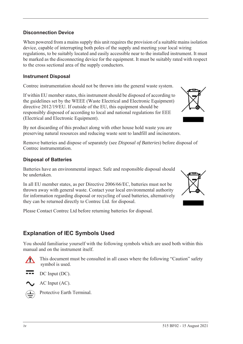#### **Disconnection Device**

When powered from a mains supply this unit requires the provision of a suitable mains isolation device, capable of interrupting both poles of the supply and meeting your local wiring regulations, to be suitably located and easily accessible near to the installed instrument. It must be marked as the disconnecting device for the equipment. It must be suitably rated with respect to the cross sectional area of the supply conductors.

#### **Instrument Disposal**

Contrec instrumentation should not be thrown into the general waste system.

If within EU member states, this instrument should be disposed of according to the guidelines set by the WEEE (Waste Electrical and Electronic Equipment) directive 2012/19/EU. If outside of the EU, this equipment should be responsibly disposed of according to local and national regulations for EEE (Electrical and Electronic Equipment).

By not discarding of this product along with other house hold waste you are preserving natural resources and reducing waste sent to landfill and incinerators.

Remove batteries and dispose of separately (see *Disposal of Batteries*) before disposal of Contrec instrumentation.

#### **Disposal of Batteries**

Batteries have an environmental impact. Safe and responsible disposal should be undertaken.

In all EU member states, as per Directive 2006/66/EC, batteries must not be thrown away with general waste. Contact your local environmental authority for information regarding disposal or recycling of used batteries, alternatively they can be returned directly to Contrec Ltd. for disposal.

Please Contact Contrec Ltd before returning batteries for disposal.

## **Explanation of IEC Symbols Used**

You should familiarise yourself with the following symbols which are used both within this manual and on the instrument itself.

 This document must be consulted in all cases where the following "Caution" safety symbol is used.

| -- | DC Input (DC). |  |
|----|----------------|--|
|----|----------------|--|







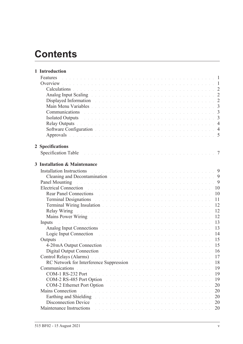# **Contents**

| 1 Introduction                                                                                                                                                                                                                 |                                                                                                                                                                                                                                                                                                                                                                                                                                                                                                                                                                                                                                                                                                                                                                                                                                                                                                                                                                                                                                                                                                                                                                                                                                                                                                                                                                                                                                                                                                                                                                                                                                                                                                                                                                                                                                                                                                                                                                                                                                                                                                                                                                                                                                                                                                                                                                                                                                                                                                                                                                                                                                                                                                                                                                                                                                                                                                                                                                                                                                                                                                                                                                                                                                                                                                                                                                                                                                                                                                                                                                                                                                                                                                                             |
|--------------------------------------------------------------------------------------------------------------------------------------------------------------------------------------------------------------------------------|-----------------------------------------------------------------------------------------------------------------------------------------------------------------------------------------------------------------------------------------------------------------------------------------------------------------------------------------------------------------------------------------------------------------------------------------------------------------------------------------------------------------------------------------------------------------------------------------------------------------------------------------------------------------------------------------------------------------------------------------------------------------------------------------------------------------------------------------------------------------------------------------------------------------------------------------------------------------------------------------------------------------------------------------------------------------------------------------------------------------------------------------------------------------------------------------------------------------------------------------------------------------------------------------------------------------------------------------------------------------------------------------------------------------------------------------------------------------------------------------------------------------------------------------------------------------------------------------------------------------------------------------------------------------------------------------------------------------------------------------------------------------------------------------------------------------------------------------------------------------------------------------------------------------------------------------------------------------------------------------------------------------------------------------------------------------------------------------------------------------------------------------------------------------------------------------------------------------------------------------------------------------------------------------------------------------------------------------------------------------------------------------------------------------------------------------------------------------------------------------------------------------------------------------------------------------------------------------------------------------------------------------------------------------------------------------------------------------------------------------------------------------------------------------------------------------------------------------------------------------------------------------------------------------------------------------------------------------------------------------------------------------------------------------------------------------------------------------------------------------------------------------------------------------------------------------------------------------------------------------------------------------------------------------------------------------------------------------------------------------------------------------------------------------------------------------------------------------------------------------------------------------------------------------------------------------------------------------------------------------------------------------------------------------------------------------------------------------------------|
| Features                                                                                                                                                                                                                       |                                                                                                                                                                                                                                                                                                                                                                                                                                                                                                                                                                                                                                                                                                                                                                                                                                                                                                                                                                                                                                                                                                                                                                                                                                                                                                                                                                                                                                                                                                                                                                                                                                                                                                                                                                                                                                                                                                                                                                                                                                                                                                                                                                                                                                                                                                                                                                                                                                                                                                                                                                                                                                                                                                                                                                                                                                                                                                                                                                                                                                                                                                                                                                                                                                                                                                                                                                                                                                                                                                                                                                                                                                                                                                                             |
|                                                                                                                                                                                                                                |                                                                                                                                                                                                                                                                                                                                                                                                                                                                                                                                                                                                                                                                                                                                                                                                                                                                                                                                                                                                                                                                                                                                                                                                                                                                                                                                                                                                                                                                                                                                                                                                                                                                                                                                                                                                                                                                                                                                                                                                                                                                                                                                                                                                                                                                                                                                                                                                                                                                                                                                                                                                                                                                                                                                                                                                                                                                                                                                                                                                                                                                                                                                                                                                                                                                                                                                                                                                                                                                                                                                                                                                                                                                                                                             |
|                                                                                                                                                                                                                                |                                                                                                                                                                                                                                                                                                                                                                                                                                                                                                                                                                                                                                                                                                                                                                                                                                                                                                                                                                                                                                                                                                                                                                                                                                                                                                                                                                                                                                                                                                                                                                                                                                                                                                                                                                                                                                                                                                                                                                                                                                                                                                                                                                                                                                                                                                                                                                                                                                                                                                                                                                                                                                                                                                                                                                                                                                                                                                                                                                                                                                                                                                                                                                                                                                                                                                                                                                                                                                                                                                                                                                                                                                                                                                                             |
|                                                                                                                                                                                                                                |                                                                                                                                                                                                                                                                                                                                                                                                                                                                                                                                                                                                                                                                                                                                                                                                                                                                                                                                                                                                                                                                                                                                                                                                                                                                                                                                                                                                                                                                                                                                                                                                                                                                                                                                                                                                                                                                                                                                                                                                                                                                                                                                                                                                                                                                                                                                                                                                                                                                                                                                                                                                                                                                                                                                                                                                                                                                                                                                                                                                                                                                                                                                                                                                                                                                                                                                                                                                                                                                                                                                                                                                                                                                                                                             |
|                                                                                                                                                                                                                                |                                                                                                                                                                                                                                                                                                                                                                                                                                                                                                                                                                                                                                                                                                                                                                                                                                                                                                                                                                                                                                                                                                                                                                                                                                                                                                                                                                                                                                                                                                                                                                                                                                                                                                                                                                                                                                                                                                                                                                                                                                                                                                                                                                                                                                                                                                                                                                                                                                                                                                                                                                                                                                                                                                                                                                                                                                                                                                                                                                                                                                                                                                                                                                                                                                                                                                                                                                                                                                                                                                                                                                                                                                                                                                                             |
|                                                                                                                                                                                                                                |                                                                                                                                                                                                                                                                                                                                                                                                                                                                                                                                                                                                                                                                                                                                                                                                                                                                                                                                                                                                                                                                                                                                                                                                                                                                                                                                                                                                                                                                                                                                                                                                                                                                                                                                                                                                                                                                                                                                                                                                                                                                                                                                                                                                                                                                                                                                                                                                                                                                                                                                                                                                                                                                                                                                                                                                                                                                                                                                                                                                                                                                                                                                                                                                                                                                                                                                                                                                                                                                                                                                                                                                                                                                                                                             |
|                                                                                                                                                                                                                                |                                                                                                                                                                                                                                                                                                                                                                                                                                                                                                                                                                                                                                                                                                                                                                                                                                                                                                                                                                                                                                                                                                                                                                                                                                                                                                                                                                                                                                                                                                                                                                                                                                                                                                                                                                                                                                                                                                                                                                                                                                                                                                                                                                                                                                                                                                                                                                                                                                                                                                                                                                                                                                                                                                                                                                                                                                                                                                                                                                                                                                                                                                                                                                                                                                                                                                                                                                                                                                                                                                                                                                                                                                                                                                                             |
|                                                                                                                                                                                                                                |                                                                                                                                                                                                                                                                                                                                                                                                                                                                                                                                                                                                                                                                                                                                                                                                                                                                                                                                                                                                                                                                                                                                                                                                                                                                                                                                                                                                                                                                                                                                                                                                                                                                                                                                                                                                                                                                                                                                                                                                                                                                                                                                                                                                                                                                                                                                                                                                                                                                                                                                                                                                                                                                                                                                                                                                                                                                                                                                                                                                                                                                                                                                                                                                                                                                                                                                                                                                                                                                                                                                                                                                                                                                                                                             |
|                                                                                                                                                                                                                                |                                                                                                                                                                                                                                                                                                                                                                                                                                                                                                                                                                                                                                                                                                                                                                                                                                                                                                                                                                                                                                                                                                                                                                                                                                                                                                                                                                                                                                                                                                                                                                                                                                                                                                                                                                                                                                                                                                                                                                                                                                                                                                                                                                                                                                                                                                                                                                                                                                                                                                                                                                                                                                                                                                                                                                                                                                                                                                                                                                                                                                                                                                                                                                                                                                                                                                                                                                                                                                                                                                                                                                                                                                                                                                                             |
|                                                                                                                                                                                                                                |                                                                                                                                                                                                                                                                                                                                                                                                                                                                                                                                                                                                                                                                                                                                                                                                                                                                                                                                                                                                                                                                                                                                                                                                                                                                                                                                                                                                                                                                                                                                                                                                                                                                                                                                                                                                                                                                                                                                                                                                                                                                                                                                                                                                                                                                                                                                                                                                                                                                                                                                                                                                                                                                                                                                                                                                                                                                                                                                                                                                                                                                                                                                                                                                                                                                                                                                                                                                                                                                                                                                                                                                                                                                                                                             |
|                                                                                                                                                                                                                                |                                                                                                                                                                                                                                                                                                                                                                                                                                                                                                                                                                                                                                                                                                                                                                                                                                                                                                                                                                                                                                                                                                                                                                                                                                                                                                                                                                                                                                                                                                                                                                                                                                                                                                                                                                                                                                                                                                                                                                                                                                                                                                                                                                                                                                                                                                                                                                                                                                                                                                                                                                                                                                                                                                                                                                                                                                                                                                                                                                                                                                                                                                                                                                                                                                                                                                                                                                                                                                                                                                                                                                                                                                                                                                                             |
|                                                                                                                                                                                                                                |                                                                                                                                                                                                                                                                                                                                                                                                                                                                                                                                                                                                                                                                                                                                                                                                                                                                                                                                                                                                                                                                                                                                                                                                                                                                                                                                                                                                                                                                                                                                                                                                                                                                                                                                                                                                                                                                                                                                                                                                                                                                                                                                                                                                                                                                                                                                                                                                                                                                                                                                                                                                                                                                                                                                                                                                                                                                                                                                                                                                                                                                                                                                                                                                                                                                                                                                                                                                                                                                                                                                                                                                                                                                                                                             |
|                                                                                                                                                                                                                                |                                                                                                                                                                                                                                                                                                                                                                                                                                                                                                                                                                                                                                                                                                                                                                                                                                                                                                                                                                                                                                                                                                                                                                                                                                                                                                                                                                                                                                                                                                                                                                                                                                                                                                                                                                                                                                                                                                                                                                                                                                                                                                                                                                                                                                                                                                                                                                                                                                                                                                                                                                                                                                                                                                                                                                                                                                                                                                                                                                                                                                                                                                                                                                                                                                                                                                                                                                                                                                                                                                                                                                                                                                                                                                                             |
|                                                                                                                                                                                                                                |                                                                                                                                                                                                                                                                                                                                                                                                                                                                                                                                                                                                                                                                                                                                                                                                                                                                                                                                                                                                                                                                                                                                                                                                                                                                                                                                                                                                                                                                                                                                                                                                                                                                                                                                                                                                                                                                                                                                                                                                                                                                                                                                                                                                                                                                                                                                                                                                                                                                                                                                                                                                                                                                                                                                                                                                                                                                                                                                                                                                                                                                                                                                                                                                                                                                                                                                                                                                                                                                                                                                                                                                                                                                                                                             |
|                                                                                                                                                                                                                                |                                                                                                                                                                                                                                                                                                                                                                                                                                                                                                                                                                                                                                                                                                                                                                                                                                                                                                                                                                                                                                                                                                                                                                                                                                                                                                                                                                                                                                                                                                                                                                                                                                                                                                                                                                                                                                                                                                                                                                                                                                                                                                                                                                                                                                                                                                                                                                                                                                                                                                                                                                                                                                                                                                                                                                                                                                                                                                                                                                                                                                                                                                                                                                                                                                                                                                                                                                                                                                                                                                                                                                                                                                                                                                                             |
|                                                                                                                                                                                                                                |                                                                                                                                                                                                                                                                                                                                                                                                                                                                                                                                                                                                                                                                                                                                                                                                                                                                                                                                                                                                                                                                                                                                                                                                                                                                                                                                                                                                                                                                                                                                                                                                                                                                                                                                                                                                                                                                                                                                                                                                                                                                                                                                                                                                                                                                                                                                                                                                                                                                                                                                                                                                                                                                                                                                                                                                                                                                                                                                                                                                                                                                                                                                                                                                                                                                                                                                                                                                                                                                                                                                                                                                                                                                                                                             |
|                                                                                                                                                                                                                                |                                                                                                                                                                                                                                                                                                                                                                                                                                                                                                                                                                                                                                                                                                                                                                                                                                                                                                                                                                                                                                                                                                                                                                                                                                                                                                                                                                                                                                                                                                                                                                                                                                                                                                                                                                                                                                                                                                                                                                                                                                                                                                                                                                                                                                                                                                                                                                                                                                                                                                                                                                                                                                                                                                                                                                                                                                                                                                                                                                                                                                                                                                                                                                                                                                                                                                                                                                                                                                                                                                                                                                                                                                                                                                                             |
|                                                                                                                                                                                                                                |                                                                                                                                                                                                                                                                                                                                                                                                                                                                                                                                                                                                                                                                                                                                                                                                                                                                                                                                                                                                                                                                                                                                                                                                                                                                                                                                                                                                                                                                                                                                                                                                                                                                                                                                                                                                                                                                                                                                                                                                                                                                                                                                                                                                                                                                                                                                                                                                                                                                                                                                                                                                                                                                                                                                                                                                                                                                                                                                                                                                                                                                                                                                                                                                                                                                                                                                                                                                                                                                                                                                                                                                                                                                                                                             |
|                                                                                                                                                                                                                                |                                                                                                                                                                                                                                                                                                                                                                                                                                                                                                                                                                                                                                                                                                                                                                                                                                                                                                                                                                                                                                                                                                                                                                                                                                                                                                                                                                                                                                                                                                                                                                                                                                                                                                                                                                                                                                                                                                                                                                                                                                                                                                                                                                                                                                                                                                                                                                                                                                                                                                                                                                                                                                                                                                                                                                                                                                                                                                                                                                                                                                                                                                                                                                                                                                                                                                                                                                                                                                                                                                                                                                                                                                                                                                                             |
|                                                                                                                                                                                                                                |                                                                                                                                                                                                                                                                                                                                                                                                                                                                                                                                                                                                                                                                                                                                                                                                                                                                                                                                                                                                                                                                                                                                                                                                                                                                                                                                                                                                                                                                                                                                                                                                                                                                                                                                                                                                                                                                                                                                                                                                                                                                                                                                                                                                                                                                                                                                                                                                                                                                                                                                                                                                                                                                                                                                                                                                                                                                                                                                                                                                                                                                                                                                                                                                                                                                                                                                                                                                                                                                                                                                                                                                                                                                                                                             |
| Terminal Designations and a contract the contract of the contract of the contract of the contract of the contract of the contract of the contract of the contract of the contract of the contract of the contract of the contr | 11                                                                                                                                                                                                                                                                                                                                                                                                                                                                                                                                                                                                                                                                                                                                                                                                                                                                                                                                                                                                                                                                                                                                                                                                                                                                                                                                                                                                                                                                                                                                                                                                                                                                                                                                                                                                                                                                                                                                                                                                                                                                                                                                                                                                                                                                                                                                                                                                                                                                                                                                                                                                                                                                                                                                                                                                                                                                                                                                                                                                                                                                                                                                                                                                                                                                                                                                                                                                                                                                                                                                                                                                                                                                                                                          |
| Terminal Wiring Insulation and a contract of the contract of the contract of the contract of the contract of the contract of the contract of the contract of the contract of the contract of the contract of the contract of t | 12                                                                                                                                                                                                                                                                                                                                                                                                                                                                                                                                                                                                                                                                                                                                                                                                                                                                                                                                                                                                                                                                                                                                                                                                                                                                                                                                                                                                                                                                                                                                                                                                                                                                                                                                                                                                                                                                                                                                                                                                                                                                                                                                                                                                                                                                                                                                                                                                                                                                                                                                                                                                                                                                                                                                                                                                                                                                                                                                                                                                                                                                                                                                                                                                                                                                                                                                                                                                                                                                                                                                                                                                                                                                                                                          |
|                                                                                                                                                                                                                                | 12                                                                                                                                                                                                                                                                                                                                                                                                                                                                                                                                                                                                                                                                                                                                                                                                                                                                                                                                                                                                                                                                                                                                                                                                                                                                                                                                                                                                                                                                                                                                                                                                                                                                                                                                                                                                                                                                                                                                                                                                                                                                                                                                                                                                                                                                                                                                                                                                                                                                                                                                                                                                                                                                                                                                                                                                                                                                                                                                                                                                                                                                                                                                                                                                                                                                                                                                                                                                                                                                                                                                                                                                                                                                                                                          |
| Mains Power Wiring the contract of the contract of the contract of the contract of the contract of the contract of the contract of the contract of the contract of the contract of the contract of the contract of the contrac | 12                                                                                                                                                                                                                                                                                                                                                                                                                                                                                                                                                                                                                                                                                                                                                                                                                                                                                                                                                                                                                                                                                                                                                                                                                                                                                                                                                                                                                                                                                                                                                                                                                                                                                                                                                                                                                                                                                                                                                                                                                                                                                                                                                                                                                                                                                                                                                                                                                                                                                                                                                                                                                                                                                                                                                                                                                                                                                                                                                                                                                                                                                                                                                                                                                                                                                                                                                                                                                                                                                                                                                                                                                                                                                                                          |
| .<br>The contract of the contract of the contract of the contract of the contract of the contract of the contract o<br>Inputs                                                                                                  | 13                                                                                                                                                                                                                                                                                                                                                                                                                                                                                                                                                                                                                                                                                                                                                                                                                                                                                                                                                                                                                                                                                                                                                                                                                                                                                                                                                                                                                                                                                                                                                                                                                                                                                                                                                                                                                                                                                                                                                                                                                                                                                                                                                                                                                                                                                                                                                                                                                                                                                                                                                                                                                                                                                                                                                                                                                                                                                                                                                                                                                                                                                                                                                                                                                                                                                                                                                                                                                                                                                                                                                                                                                                                                                                                          |
| Analog Input Connections and a contract the contract of the contract of the contract of the contract of the contract of the contract of the contract of the contract of the contract of the contract of the contract of the co | 13                                                                                                                                                                                                                                                                                                                                                                                                                                                                                                                                                                                                                                                                                                                                                                                                                                                                                                                                                                                                                                                                                                                                                                                                                                                                                                                                                                                                                                                                                                                                                                                                                                                                                                                                                                                                                                                                                                                                                                                                                                                                                                                                                                                                                                                                                                                                                                                                                                                                                                                                                                                                                                                                                                                                                                                                                                                                                                                                                                                                                                                                                                                                                                                                                                                                                                                                                                                                                                                                                                                                                                                                                                                                                                                          |
| Logic Input Connection and a construction of the contract of the contract of the contract of the contract of the contract of the contract of the contract of the contract of the contract of the contract of the contract of t | 14                                                                                                                                                                                                                                                                                                                                                                                                                                                                                                                                                                                                                                                                                                                                                                                                                                                                                                                                                                                                                                                                                                                                                                                                                                                                                                                                                                                                                                                                                                                                                                                                                                                                                                                                                                                                                                                                                                                                                                                                                                                                                                                                                                                                                                                                                                                                                                                                                                                                                                                                                                                                                                                                                                                                                                                                                                                                                                                                                                                                                                                                                                                                                                                                                                                                                                                                                                                                                                                                                                                                                                                                                                                                                                                          |
|                                                                                                                                                                                                                                | 15                                                                                                                                                                                                                                                                                                                                                                                                                                                                                                                                                                                                                                                                                                                                                                                                                                                                                                                                                                                                                                                                                                                                                                                                                                                                                                                                                                                                                                                                                                                                                                                                                                                                                                                                                                                                                                                                                                                                                                                                                                                                                                                                                                                                                                                                                                                                                                                                                                                                                                                                                                                                                                                                                                                                                                                                                                                                                                                                                                                                                                                                                                                                                                                                                                                                                                                                                                                                                                                                                                                                                                                                                                                                                                                          |
|                                                                                                                                                                                                                                |                                                                                                                                                                                                                                                                                                                                                                                                                                                                                                                                                                                                                                                                                                                                                                                                                                                                                                                                                                                                                                                                                                                                                                                                                                                                                                                                                                                                                                                                                                                                                                                                                                                                                                                                                                                                                                                                                                                                                                                                                                                                                                                                                                                                                                                                                                                                                                                                                                                                                                                                                                                                                                                                                                                                                                                                                                                                                                                                                                                                                                                                                                                                                                                                                                                                                                                                                                                                                                                                                                                                                                                                                                                                                                                             |
|                                                                                                                                                                                                                                |                                                                                                                                                                                                                                                                                                                                                                                                                                                                                                                                                                                                                                                                                                                                                                                                                                                                                                                                                                                                                                                                                                                                                                                                                                                                                                                                                                                                                                                                                                                                                                                                                                                                                                                                                                                                                                                                                                                                                                                                                                                                                                                                                                                                                                                                                                                                                                                                                                                                                                                                                                                                                                                                                                                                                                                                                                                                                                                                                                                                                                                                                                                                                                                                                                                                                                                                                                                                                                                                                                                                                                                                                                                                                                                             |
|                                                                                                                                                                                                                                | 17                                                                                                                                                                                                                                                                                                                                                                                                                                                                                                                                                                                                                                                                                                                                                                                                                                                                                                                                                                                                                                                                                                                                                                                                                                                                                                                                                                                                                                                                                                                                                                                                                                                                                                                                                                                                                                                                                                                                                                                                                                                                                                                                                                                                                                                                                                                                                                                                                                                                                                                                                                                                                                                                                                                                                                                                                                                                                                                                                                                                                                                                                                                                                                                                                                                                                                                                                                                                                                                                                                                                                                                                                                                                                                                          |
|                                                                                                                                                                                                                                | 18                                                                                                                                                                                                                                                                                                                                                                                                                                                                                                                                                                                                                                                                                                                                                                                                                                                                                                                                                                                                                                                                                                                                                                                                                                                                                                                                                                                                                                                                                                                                                                                                                                                                                                                                                                                                                                                                                                                                                                                                                                                                                                                                                                                                                                                                                                                                                                                                                                                                                                                                                                                                                                                                                                                                                                                                                                                                                                                                                                                                                                                                                                                                                                                                                                                                                                                                                                                                                                                                                                                                                                                                                                                                                                                          |
| Communications                                                                                                                                                                                                                 | 19                                                                                                                                                                                                                                                                                                                                                                                                                                                                                                                                                                                                                                                                                                                                                                                                                                                                                                                                                                                                                                                                                                                                                                                                                                                                                                                                                                                                                                                                                                                                                                                                                                                                                                                                                                                                                                                                                                                                                                                                                                                                                                                                                                                                                                                                                                                                                                                                                                                                                                                                                                                                                                                                                                                                                                                                                                                                                                                                                                                                                                                                                                                                                                                                                                                                                                                                                                                                                                                                                                                                                                                                                                                                                                                          |
| COM-1 RS-232 Port                                                                                                                                                                                                              | 19                                                                                                                                                                                                                                                                                                                                                                                                                                                                                                                                                                                                                                                                                                                                                                                                                                                                                                                                                                                                                                                                                                                                                                                                                                                                                                                                                                                                                                                                                                                                                                                                                                                                                                                                                                                                                                                                                                                                                                                                                                                                                                                                                                                                                                                                                                                                                                                                                                                                                                                                                                                                                                                                                                                                                                                                                                                                                                                                                                                                                                                                                                                                                                                                                                                                                                                                                                                                                                                                                                                                                                                                                                                                                                                          |
|                                                                                                                                                                                                                                | 19                                                                                                                                                                                                                                                                                                                                                                                                                                                                                                                                                                                                                                                                                                                                                                                                                                                                                                                                                                                                                                                                                                                                                                                                                                                                                                                                                                                                                                                                                                                                                                                                                                                                                                                                                                                                                                                                                                                                                                                                                                                                                                                                                                                                                                                                                                                                                                                                                                                                                                                                                                                                                                                                                                                                                                                                                                                                                                                                                                                                                                                                                                                                                                                                                                                                                                                                                                                                                                                                                                                                                                                                                                                                                                                          |
|                                                                                                                                                                                                                                | 20                                                                                                                                                                                                                                                                                                                                                                                                                                                                                                                                                                                                                                                                                                                                                                                                                                                                                                                                                                                                                                                                                                                                                                                                                                                                                                                                                                                                                                                                                                                                                                                                                                                                                                                                                                                                                                                                                                                                                                                                                                                                                                                                                                                                                                                                                                                                                                                                                                                                                                                                                                                                                                                                                                                                                                                                                                                                                                                                                                                                                                                                                                                                                                                                                                                                                                                                                                                                                                                                                                                                                                                                                                                                                                                          |
| Mains Connection                                                                                                                                                                                                               | 20                                                                                                                                                                                                                                                                                                                                                                                                                                                                                                                                                                                                                                                                                                                                                                                                                                                                                                                                                                                                                                                                                                                                                                                                                                                                                                                                                                                                                                                                                                                                                                                                                                                                                                                                                                                                                                                                                                                                                                                                                                                                                                                                                                                                                                                                                                                                                                                                                                                                                                                                                                                                                                                                                                                                                                                                                                                                                                                                                                                                                                                                                                                                                                                                                                                                                                                                                                                                                                                                                                                                                                                                                                                                                                                          |
|                                                                                                                                                                                                                                | 20                                                                                                                                                                                                                                                                                                                                                                                                                                                                                                                                                                                                                                                                                                                                                                                                                                                                                                                                                                                                                                                                                                                                                                                                                                                                                                                                                                                                                                                                                                                                                                                                                                                                                                                                                                                                                                                                                                                                                                                                                                                                                                                                                                                                                                                                                                                                                                                                                                                                                                                                                                                                                                                                                                                                                                                                                                                                                                                                                                                                                                                                                                                                                                                                                                                                                                                                                                                                                                                                                                                                                                                                                                                                                                                          |
| <b>Disconnection Device</b>                                                                                                                                                                                                    | 20                                                                                                                                                                                                                                                                                                                                                                                                                                                                                                                                                                                                                                                                                                                                                                                                                                                                                                                                                                                                                                                                                                                                                                                                                                                                                                                                                                                                                                                                                                                                                                                                                                                                                                                                                                                                                                                                                                                                                                                                                                                                                                                                                                                                                                                                                                                                                                                                                                                                                                                                                                                                                                                                                                                                                                                                                                                                                                                                                                                                                                                                                                                                                                                                                                                                                                                                                                                                                                                                                                                                                                                                                                                                                                                          |
| Maintenance Instructions                                                                                                                                                                                                       | 20                                                                                                                                                                                                                                                                                                                                                                                                                                                                                                                                                                                                                                                                                                                                                                                                                                                                                                                                                                                                                                                                                                                                                                                                                                                                                                                                                                                                                                                                                                                                                                                                                                                                                                                                                                                                                                                                                                                                                                                                                                                                                                                                                                                                                                                                                                                                                                                                                                                                                                                                                                                                                                                                                                                                                                                                                                                                                                                                                                                                                                                                                                                                                                                                                                                                                                                                                                                                                                                                                                                                                                                                                                                                                                                          |
|                                                                                                                                                                                                                                | . The contract of the contract of the contract of the contract of the contract of $\mathcal{A}$<br>Calculations de la communication de la communication de la communication de la communication de la communication de la communication de la communication de la communication de la communication de la communication de la com<br>Analog Input Scaling (and a contract of the contract of the contract of the contract of the 2<br>Displayed Information and the contract of the contract of the contract of the contract of the 2<br>Communications de la communication de la communication de la communication de la communication de la communication de la communication de la communication de la communication de la communication de la communication de la c<br>Isolated Outputs and a contract the contract of the contract of the contract of the contract of the contract of the contract of the contract of the contract of the contract of the contract of the contract of the contract o<br>Approvals received a construction of the contract of the construction of 5<br>2 Specifications<br><b>Installation &amp; Maintenance</b><br>Installation Instructions and a contract the contract of the contract of the contract of the set of the set of the set of the set of the set of the set of the set of the set of the set of the set of the set of the set of t<br>Cleaning and Decontamination and a substitution of the contract of the state of the state of the Second Second Second Second Second Second Second Second Second Second Second Second Second Second Second Second Second Second<br>Panel Mounting research and contract the contract of the contract of the contract of the P<br>Electrical Connection and a constant of the contract of the contract of the contract of the contract of the contract of the contract of the contract of the contract of the contract of the contract of the contract of the co<br>Rear Panel Connections and a contract the contract of the contract of the contract of the contract of the contract of the contract of the contract of the contract of the contract of the contract of the contract of the cont<br>4-20 mA Output Connection and a construction of the contract of the contract of the 15<br>Digital Output Connection and a subsequence of the service of the service of the 16<br>Control Relays (Alarms) and a control of the control of the control of the control of the control of the control of the control of the control of the control of the control of the control of the control of the control of t<br>RC Network for Interference Suppression and a contract to the contract of the contract of<br>.<br>In the company of the company of the company of the company of the company of the company of the company of th<br>.<br>In the second complete state of the second complete state of the second complete state of the second complete<br>COM-2 RS-485 Port Option and a contract the contract of the contract of the contract of the contract of the contract of the contract of the contract of the contract of the contract of the contract of the contract of the co<br>COM-2 Ethernet Port Option<br>.<br>In the second company of the second company of the second company of the second company of the second company<br>Earthing and Shielding<br>.<br>In the company of the company of the company of the company of the company of the company of the company of th<br>.<br>In the second complete the second complete state of the second complete state of the second complete state of<br>والمتعاون والمتعاون والمتعاون والمتعاون والمتعاون والمتعاون والمتعاون والمتعاون والمتعاون والمتعاون |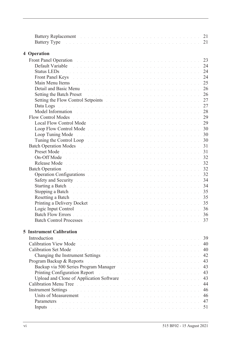| Battery Replacement and a contract of the contract of the contract of the contract of 21                                                                                                                                                                         |  |  |  |  |  |  |  |    |
|------------------------------------------------------------------------------------------------------------------------------------------------------------------------------------------------------------------------------------------------------------------|--|--|--|--|--|--|--|----|
| <b>Battery Type</b>                                                                                                                                                                                                                                              |  |  |  |  |  |  |  |    |
| 4 Operation                                                                                                                                                                                                                                                      |  |  |  |  |  |  |  |    |
| Front Panel Operation and a contract the contract of the contract of the contract of the contract of the contract of the contract of the contract of the contract of the contract of the contract of the contract of the contr                                   |  |  |  |  |  |  |  | 23 |
| Default Variable and a community of the community of the community of the community of the community of the community of the community of the community of the community of the community of the community of the community of                                   |  |  |  |  |  |  |  | 24 |
| <b>Status LEDs</b><br>a construction de la construction de la construction de la construction de la construction de la construction                                                                                                                              |  |  |  |  |  |  |  | 24 |
| Front Panel Keys And All and All and All and All and All and All and All and All and All and All and All and A                                                                                                                                                   |  |  |  |  |  |  |  | 24 |
| Main Menu Items the company of the company of the company of the company of the company of the company of the company of the company of the company of the company of the company of the company of the company of the company                                   |  |  |  |  |  |  |  | 25 |
| Detail and Basic Menu Julian Communication and the communication of the communication                                                                                                                                                                            |  |  |  |  |  |  |  | 26 |
| <b>Setting the Batch Preset Action Construction Construction Construction Construction Construction Construction</b>                                                                                                                                             |  |  |  |  |  |  |  | 26 |
| <b>Setting the Flow Control Setpoints</b> and a substitution of the set of the set of the set of the set                                                                                                                                                         |  |  |  |  |  |  |  | 27 |
| Data Logs<br>.<br>In the second complete the second complete service in the second complete service in the second complete servic                                                                                                                                |  |  |  |  |  |  |  | 27 |
| Model Information and a contract the contract of the contract of the contract of the contract of the contract of                                                                                                                                                 |  |  |  |  |  |  |  | 28 |
|                                                                                                                                                                                                                                                                  |  |  |  |  |  |  |  | 29 |
| Local Flow Control Mode received the contract of the contract of the contract of the contract of the contract of the contract of the contract of the contract of the contract of the contract of the contract of the contract                                    |  |  |  |  |  |  |  | 29 |
| Loop Flow Control Mode to the control of the control of the control of the control of the control of the control of the control of the control of the control of the control of the control of the control of the control of t                                   |  |  |  |  |  |  |  | 30 |
| Loop Tuning Mode the community of the community of the community of the community of the community of the community of the community of the community of the community of the community of the community of the community of t                                   |  |  |  |  |  |  |  | 30 |
| Tuning the Control Loop and a subsequence of the second control of the control of the control of the control of                                                                                                                                                  |  |  |  |  |  |  |  | 30 |
| Batch Operation Modes and a subsequence of the set of the set of the set of the set of the set of the set of the set of the set of the set of the set of the set of the set of the set of the set of the set of the set of the                                   |  |  |  |  |  |  |  | 31 |
| Preset Mode de la production de la production de la production de la production de la production de la production                                                                                                                                                |  |  |  |  |  |  |  | 31 |
| On-Off Mode the community of the community of the community of the community of the community of the community of the community of the community of the community of the community of the community of the community of the co                                   |  |  |  |  |  |  |  | 32 |
| Release Mode the community of the community of the community of the community of the community of the community of the community of the community of the community of the community of the community of the community of the c                                   |  |  |  |  |  |  |  | 32 |
| Batch Operation and a construction of the construction of the construction of the construction of the construction of the construction of the construction of the construction of the construction of the construction of the                                    |  |  |  |  |  |  |  | 32 |
| Operation Configurations and a contract the contract of the contract of the contract of the contract of the contract of the contract of the contract of the contract of the contract of the contract of the contract of the co                                   |  |  |  |  |  |  |  | 32 |
| Safety and Security and the contract of the same state of the second state of the state of the state of the state of the state of the state of the state of the state of the state of the state of the state of the state of t                                   |  |  |  |  |  |  |  | 34 |
| Starting a Batch research and a series of the contract of the contract of the contract of the contract of the contract of the contract of the contract of the contract of the contract of the contract of the contract of the                                    |  |  |  |  |  |  |  | 34 |
| Stopping a Batch and a contract the contract of the contract of the contract of the contract of                                                                                                                                                                  |  |  |  |  |  |  |  | 35 |
| Resetting a Batch and the second contract the second contract of the second contract of the second contract of                                                                                                                                                   |  |  |  |  |  |  |  | 35 |
| Printing a Delivery Docket <b>Electronic Community</b> Contract to the community of the community Contract of the Community Contract of the Community Contract of the Community Contract of the Community Contract of the Contract                               |  |  |  |  |  |  |  | 35 |
| Logic Input Control the control of the control of the control of the control of the control of the control of the control of the control of the control of the control of the control of the control of the control of the con                                   |  |  |  |  |  |  |  | 36 |
| Batch Flow Errors with the community of the community of the community of the community of the community of the community of the community of the community of the community of the community of the community of the communit                                   |  |  |  |  |  |  |  | 36 |
| <b>Batch Control Processes</b><br>and the company of the company of the company of the company of the company of the company of the company of the company of the company of the company of the company of the company of the company of the company of the comp |  |  |  |  |  |  |  | 37 |
|                                                                                                                                                                                                                                                                  |  |  |  |  |  |  |  |    |
| <b>5</b> Instrument Calibration                                                                                                                                                                                                                                  |  |  |  |  |  |  |  |    |
| Introduction<br>.<br>In the second term of the second term of the second term of the second term of the second term of the second te                                                                                                                             |  |  |  |  |  |  |  | 39 |
| <b>Calibration View Mode</b><br><u>. Die stellte stellte stellte stellte stellte stellte stellte stellte stellte stellte stellte stellt stellt s</u>                                                                                                             |  |  |  |  |  |  |  | 40 |
| <b>Calibration Set Mode</b><br>in de la característica de la característica de la característica de la característica de la característica de                                                                                                                    |  |  |  |  |  |  |  | 40 |
| Changing the Instrument Settings and a contract of the contract of the contract of the contract of the contract of the contract of the contract of the contract of the contract of the contract of the contract of the contrac                                   |  |  |  |  |  |  |  | 42 |
| Program Backup & Reports<br>.<br>د اما د اما د اما د اما د اما د اما د اما د اما د اما د اما د اما د اما د اما د اما د اما د اما د اما د اما د                                                                                                                   |  |  |  |  |  |  |  | 43 |
| Backup via 500 Series Program Manager and a contract the contract of the series of the Backup via 500 Series Program Manager                                                                                                                                     |  |  |  |  |  |  |  | 43 |
| Printing Configuration Report Engineer and Alexander and Alexander and Alexander and                                                                                                                                                                             |  |  |  |  |  |  |  | 43 |
| Upload and Clone of Application Software and a substitution of the state of the state of the state of the state of the state of the state of the state of the state of the state of the state of the state of the state of the                                   |  |  |  |  |  |  |  | 43 |
| Calibration Menu Tree Albert and albert and albert and albert and albert and albert and                                                                                                                                                                          |  |  |  |  |  |  |  | 44 |
|                                                                                                                                                                                                                                                                  |  |  |  |  |  |  |  | 46 |
| Units of Measurement<br>.<br>The contract of the contract of the contract of the contract of the contract of the contract of the contract o                                                                                                                      |  |  |  |  |  |  |  | 46 |
| Parameters<br>.<br>The second complete state of the second complete state of the second complete state of the second complete sta                                                                                                                                |  |  |  |  |  |  |  | 47 |
| Inputs and a communication of the communication of the communication of the communication of the communication                                                                                                                                                   |  |  |  |  |  |  |  | 51 |
|                                                                                                                                                                                                                                                                  |  |  |  |  |  |  |  |    |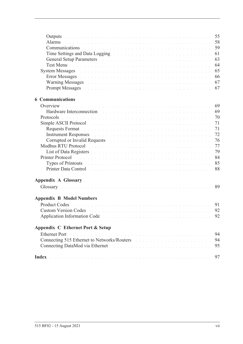| Outputs and a communication of the communication of the communication of the communication of the communication                                                                                                                | 55 |
|--------------------------------------------------------------------------------------------------------------------------------------------------------------------------------------------------------------------------------|----|
| Alarms and the contract of the contract of the contract of the contract of the contract of the contract of the contract of the contract of the contract of the contract of the contract of the contract of the contract of the | 58 |
|                                                                                                                                                                                                                                | 59 |
| Communications and a contract the contract of the contract of the contract of the contract of the contract of                                                                                                                  | 61 |
| Time Settings and Data Logging and the substitution of the Settings and Data Logging                                                                                                                                           | 63 |
| General Setup Parameters and a construction of the construction of the construction of the construction of the                                                                                                                 |    |
| Test Menu and a construction of the companion of the companion of the companion of the companion of the companion of the companion of the companion of the companion of the companion of the companion of the companion of the | 64 |
| System Messages and a contract the contract of the contract of the contract of the contract of the contract of                                                                                                                 | 65 |
| Error Messages entertainment and the contract of the contract of the contract of the contract of the contract of the contract of the contract of the contract of the contract of the contract of the contract of the contract  | 66 |
| Warning Messages entertainment and a series of the contract of the contract of the contract of the contract of                                                                                                                 | 67 |
| Prompt Messages and a construction of the construction of the construction of the                                                                                                                                              | 67 |
| <b>6</b> Communications                                                                                                                                                                                                        |    |
|                                                                                                                                                                                                                                | 69 |
| Hardware Interconnection and the contract of the contract of the contract of the contract of the contract of the contract of the contract of the contract of the contract of the contract of the contract of the contract of t | 69 |
| Protocols and an annual contract of the contract of the contract of the contract of the contract of                                                                                                                            | 70 |
| Simple ASCII Protocol and the contract of the contract of the contract of the contract of the contract of the contract of the contract of the contract of the contract of the contract of the contract of the contract of the  | 71 |
| Requests Format enterprise and a series of the contract of the contract of the contract of the contract of the                                                                                                                 | 71 |
| Instrument Responses and the contract of the contract of the contract of the contract of the contract of the contract of the contract of the contract of the contract of the contract of the contract of the contract of the c | 72 |
| Corrupted or Invalid Requests and a contract to the contract of the contract of the                                                                                                                                            | 76 |
| Modbus RTU Protocol and a construction of the construction of the construction of the construction of the construction of the construction of the construction of the construction of the construction of the construction of  | 77 |
| List of Data Registers and a constant of the construction of the construction of the construction of the construction of the construction of the construction of the construction of the construction of the construction of t | 79 |
| Printer Protocol<br>.<br>In the problem of the problem of the problem of the problem of the problem of the problem of the problem of th                                                                                        | 84 |
| Types of Printouts and the contract of the contract of the contract of the contract of the contract of the contract of the contract of the contract of the contract of the contract of the contract of the contract of the con | 85 |
| Printer Data Control and a control of the control of the control of the control of the control of the control of the control of the control of the control of the control of the control of the control of the control of the  | 88 |
|                                                                                                                                                                                                                                |    |
| <b>Appendix A Glossary</b>                                                                                                                                                                                                     |    |
| Glossary because the contract of the contract of the contract of the contract of the contract of the contract of the contract of the contract of the contract of the contract of the contract of the contract of the contract  | 89 |
| <b>Appendix B Model Numbers</b>                                                                                                                                                                                                |    |
| <b>Product Codes</b>                                                                                                                                                                                                           |    |
|                                                                                                                                                                                                                                |    |
|                                                                                                                                                                                                                                |    |
| <b>Appendix C Ethernet Port &amp; Setup</b>                                                                                                                                                                                    |    |
| Ethernet Port de la communicación de la communicación de la communicación de la communicación de la communicación                                                                                                              | 94 |
| Connecting 515 Ethernet to Networks/Routers and an annual connecting 515 Ethernet to Networks/Routers                                                                                                                          | 94 |
| Connecting DataMod via Ethernet and a constant and a constant and a constant of                                                                                                                                                | 95 |
|                                                                                                                                                                                                                                |    |
| a de la caractería de la caractería de la caractería de la caractería de la caractería de la caractería de la<br><b>Index</b>                                                                                                  | 97 |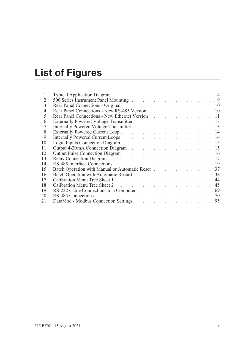# **List of Figures**

|    | <b>Typical Application Diagram</b> and the contract of the contract of the contract of the contract of the contract of the contract of the contract of the contract of the contract of the contract of the contract of the contract | $\overline{4}$ |
|----|-------------------------------------------------------------------------------------------------------------------------------------------------------------------------------------------------------------------------------------|----------------|
| 2  | 500 Series Instrument Panel Mounting Material Communication of the Series of the Series of the Series of the S                                                                                                                      |                |
| 3  | Rear Panel Connections - Original entrepreneur and the contract of the 10                                                                                                                                                           |                |
| 4  | Rear Panel Connections - New RS-485 Version                                                                                                                                                                                         | 10             |
| 5  | Rear Panel Connections - New Ethernet Version                                                                                                                                                                                       | 11             |
| 6  | Externally Powered Voltage Transmitter Marshall and Alexandre and Alexandre and                                                                                                                                                     | 13             |
| 7  | Internally Powered Voltage Transmitter March 2014 and March 2014                                                                                                                                                                    | 13             |
| 8  |                                                                                                                                                                                                                                     | 14             |
| 9  | Internally Powered Current Loops and a substitution of the state of the state of the state of the state of the                                                                                                                      | 14             |
| 10 | Logic Inputs Connection Diagram and a constant of the contract of the contract of the contract of the contract of the contract of the contract of the contract of the contract of the contract of the contract of the contract      | 15             |
| 11 |                                                                                                                                                                                                                                     | 15             |
| 12 | Output Pulse Connection Diagram                                                                                                                                                                                                     | 16             |
| 13 | Relay Connection Diagram and a connection of the connection of the connection of the connection of the connection of the connection of the connection of the connection of the connection of the connection of the connection       | 17             |
| 14 |                                                                                                                                                                                                                                     | 19             |
| 15 | Batch Operation with Manual or Automatic Reset and a substitution of the state of the Batch of the Batch of the Batch of the Batch of the Batch of the Batch of the Batch of the Batch of the Batch of the Batch of the Batch       | 37             |
| 16 | Batch Operation with Automatic Restart Marshall and Australian Australian Australian                                                                                                                                                | 38             |
| 17 | Calibration Menu Tree Sheet 1 and the contract of the contract of the contract of the Contract of the Contract of the Contract of the Contract of the Contract of the Contract of the Contract of the Contract of the Contract      | 44             |
| 18 | Calibration Menu Tree Sheet 2 and the contract of the contract of the contract of the Contract of the Contract of the Contract of the Contract of the Contract of the Contract of the Contract of the Contract of the Contract      | 45             |
| 19 | RS-232 Cable Connections to a Computer enterprise of the service of the service of the service of the service of the service of the service of the service of the service of the service of the service of the service of the       | 69             |
| 20 |                                                                                                                                                                                                                                     | 70             |
| 21 | DataMod - Modbus Connection Settings and a connection of the settings of the connection of the settings of the connection of the settings of the connection of the connection of the connection of the connection of the conne      | 95             |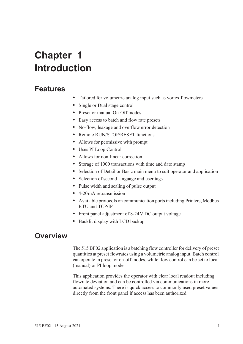# <span id="page-10-0"></span>**Chapter 1 Introduction**

## <span id="page-10-1"></span>**Features**

- **•** Tailored for volumetric analog input such as vortex flowmeters
- **•** Single or Dual stage control
- **•** Preset or manual On-Off modes
- **•** Easy access to batch and flow rate presets
- No-flow, leakage and overflow error detection
- **•** Remote RUN/STOP/RESET functions
- **•** Allows for permissive with prompt
- **•** Uses PI Loop Control
- **•** Allows for non-linear correction
- **•** Storage of 1000 transactions with time and date stamp
- **•** Selection of Detail or Basic main menu to suit operator and application
- **•** Selection of second language and user tags
- **•** Pulse width and scaling of pulse output
- **•** 4-20 mA retransmission
- **•** Available protocols on communication ports including Printers, Modbus RTU and TCP/IP
- **•** Front panel adjustment of 8-24 V DC output voltage
- **•** Backlit display with LCD backup

## <span id="page-10-2"></span>**Overview**

The 515 BF02 application is a batching flow controller for delivery of preset quantities at preset flowrates using a volumetric analog input. Batch control can operate in preset or on-off modes, while flow control can be set to local (manual) or PI loop mode.

This application provides the operator with clear local readout including flowrate deviation and can be controlled via communications in more automated systems. There is quick access to commonly used preset values directly from the front panel if access has been authorized.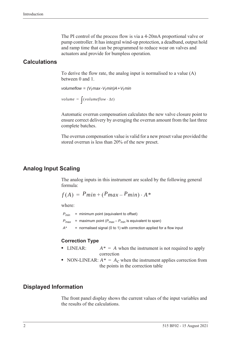The PI control of the process flow is via a 4-20mA proportional valve or pump controller. It has integral wind-up protection, a deadband, output hold and ramp time that can be programmed to reduce wear on valves and actuators and provide for bumpless operation.

### <span id="page-11-0"></span>**Calculations**

To derive the flow rate, the analog input is normalised to a value (A) between 0 and 1.

 $volumeflow = (V_fmax - V_fmin)A + V_fmin$ 

 $volume = \int (volumeflow \cdot \Delta t)$ 

Automatic overrun compensation calculates the new valve closure point to ensure correct delivery by averaging the overrun amount from the last three complete batches.

The overrun compensation value is valid for a new preset value provided the stored overrun is less than 20% of the new preset.

#### <span id="page-11-1"></span>**Analog Input Scaling**

The analog inputs in this instrument are scaled by the following general formula:

$$
f(A) = P_{min} + (P_{max} - P_{min}) \cdot A^*
$$

where:

*Pmin* = minimum point (equivalent to offset)  $P_{\text{max}}$  = maximum point ( $P_{\text{max}} - P_{\text{min}}$  is equivalent to span) *A\** = normalised signal (0 to 1) with correction applied for a flow input

#### **Correction Type**

- LINEAR:  $A^* = A$  when the instrument is not required to apply correction
- NON-LINEAR:  $A^* = A_c$  when the instrument applies correction from the points in the correction table

#### <span id="page-11-2"></span>**Displayed Information**

The front panel display shows the current values of the input variables and the results of the calculations.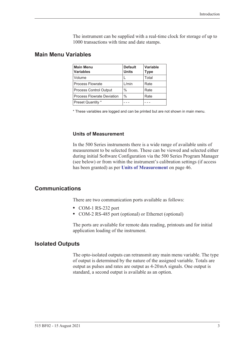The instrument can be supplied with a real-time clock for storage of up to 1000 transactions with time and date stamps.

#### <span id="page-12-0"></span>**Main Menu Variables**

| <b>Main Menu</b><br><b>Variables</b> | <b>Default</b><br><b>Units</b> | Variable<br><b>Type</b> |
|--------------------------------------|--------------------------------|-------------------------|
| Volume                               |                                | Total                   |
| <b>Process Flowrate</b>              | L/min                          | Rate                    |
| <b>Process Control Output</b>        | $\%$                           | Rate                    |
| <b>Process Flowrate Deviation</b>    | $\frac{0}{0}$                  | Rate                    |
| Preset Quantity *                    |                                |                         |

\* These variables are logged and can be printed but are not shown in main menu.

#### **Units of Measurement**

In the 500 Series instruments there is a wide range of available units of measurement to be selected from. These can be viewed and selected either during initial Software Configuration via the 500 Series Program Manager (see below) or from within the instrument's calibration settings (if access has been granted) as per **[Units of Measurement](#page-55-2)** on page 46.

#### <span id="page-12-1"></span>**Communications**

There are two communication ports available as follows:

- **•** COM-1 RS-232 port
- **•** COM-2 RS-485 port (optional) or Ethernet (optional)

The ports are available for remote data reading, printouts and for initial application loading of the instrument.

#### <span id="page-12-2"></span>**Isolated Outputs**

The opto-isolated outputs can retransmit any main menu variable. The type of output is determined by the nature of the assigned variable. Totals are output as pulses and rates are output as 4-20 mA signals. One output is standard, a second output is available as an option.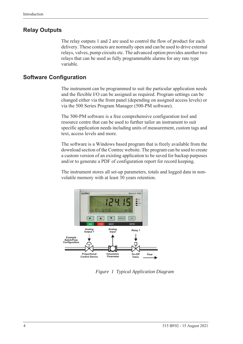## <span id="page-13-0"></span>**Relay Outputs**

The relay outputs 1 and 2 are used to control the flow of product for each delivery. These contacts are normally open and can be used to drive external relays, valves, pump circuits etc. The advanced option provides another two relays that can be used as fully programmable alarms for any rate type variable.

### <span id="page-13-1"></span>**Software Configuration**

The instrument can be programmed to suit the particular application needs and the flexible I/O can be assigned as required. Program settings can be changed either via the front panel (depending on assigned access levels) or via the 500 Series Program Manager (500-PM software).

The 500-PM software is a free comprehensive configuration tool and resource centre that can be used to further tailor an instrument to suit specific application needs including units of measurement, custom tags and text, access levels and more.

The software is a Windows based program that is freely available from the download section of the Contrec website. The program can be used to create a custom version of an existing application to be saved for backup purposes and/or to generate a PDF of configuration report for record keeping.

The instrument stores all set-up parameters, totals and logged data in nonvolatile memory with at least 30 years retention.



<span id="page-13-2"></span>*Figure 1 Typical Application Diagram*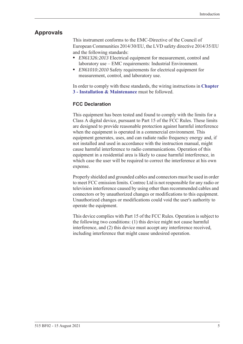### <span id="page-14-0"></span>**Approvals**

This instrument conforms to the EMC-Directive of the Council of European Communities 2014/30/EU, the LVD safety directive 2014/35/EU and the following standards:

- **•** *EN61326:2013* Electrical equipment for measurement, control and laboratory use – EMC requirements: Industrial Environment.
- *EN61010:2010* Safety requirements for electrical equipment for measurement, control, and laboratory use.

In order to comply with these standards, the wiring instructions in **[Chapter](#page-18-5)  [3 - Installation & Maintenance](#page-18-5)** must be followed.

#### **FCC Declaration**

This equipment has been tested and found to comply with the limits for a Class A digital device, pursuant to Part 15 of the FCC Rules. These limits are designed to provide reasonable protection against harmful interference when the equipment is operated in a commercial environment. This equipment generates, uses, and can radiate radio frequency energy and, if not installed and used in accordance with the instruction manual, might cause harmful interference to radio communications. Operation of this equipment in a residential area is likely to cause harmful interference, in which case the user will be required to correct the interference at his own expense.

Properly shielded and grounded cables and connectors must be used in order to meet FCC emission limits. Contrec Ltd is not responsible for any radio or television interference caused by using other than recommended cables and connectors or by unauthorized changes or modifications to this equipment. Unauthorized changes or modifications could void the user's authority to operate the equipment.

This device complies with Part 15 of the FCC Rules. Operation is subject to the following two conditions: (1) this device might not cause harmful interference, and (2) this device must accept any interference received, including interference that might cause undesired operation.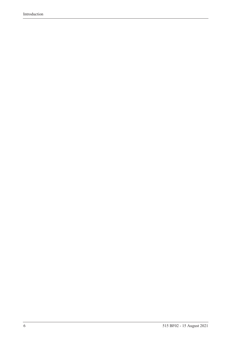Introduction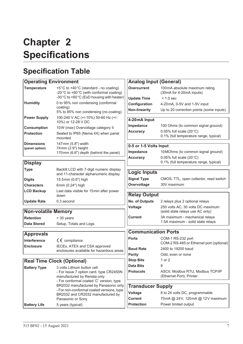# <span id="page-16-0"></span>**Chapter 2 Specifications**

# <span id="page-16-1"></span>**Specification Table**

| <b>Operating Environment</b> |                                                                                   | <b>Analog Input (General)</b> |                                                                            |
|------------------------------|-----------------------------------------------------------------------------------|-------------------------------|----------------------------------------------------------------------------|
| <b>Temperature</b>           | +5°C to +40°C (standard - no coating)<br>-20°C to +60°C (with conformal coating)  | <b>Overcurrent</b>            | 100mA absolute maximum rating<br>(30mA for 4-20mA inputs)                  |
| <b>Humidity</b>              | -30°C to +60°C (ExD housing with heater)<br>0 to 95% non condensing (conformal    | <b>Update Time</b>            | $< 1.0$ sec                                                                |
|                              | coating)                                                                          | Configuration                 | 4-20 mA, 0-5V and 1-5V input                                               |
|                              | 5% to 85% non condensing (no coating)                                             | <b>Non-linearity</b>          | Up to 20 correction points (some inputs)                                   |
| <b>Power Supply</b>          | 100-240 V AC (+/-10%) 50-60 Hz (+/-<br>10%) or 12-28 V DC                         | 4-20mA Input                  |                                                                            |
| <b>Consumption</b>           | 10W (max) Overvoltage category II                                                 | Impedance                     | 100 Ohms (to common signal ground)                                         |
| <b>Protection</b>            | Sealed to IP65 (Nema 4X) when panel<br>mounted                                    | <b>Accuracy</b>               | 0.05% full scale $(20^{\circ}C)$<br>0.1% (full temperature range, typical) |
| <b>Dimensions</b>            | 147mm (5.8") width                                                                | 0-5 or 1-5 Volts Input        |                                                                            |
| (panel option)               | 74mm (2.9") height<br>170mm (6.6") depth (behind the panel)                       | Impedance                     | 10 MOhms (to common signal ground)                                         |
|                              |                                                                                   | <b>Accuracy</b>               | 0.05% full scale $(20^{\circ}C)$                                           |
| <b>Display</b>               |                                                                                   |                               | 0.1% (full temperature range, typical)                                     |
| <b>Type</b>                  | Backlit LCD with 7-digit numeric display<br>and 11-character alphanumeric display | <b>Logic Inputs</b>           |                                                                            |
| <b>Digits</b>                | 15.5mm (0.6") high                                                                | <b>Signal Type</b>            | CMOS, TTL, open collector, reed switch                                     |
| <b>Characters</b>            | 6mm (0.24") high                                                                  | Overvoltage                   | 30V maximum                                                                |
| <b>LCD Backup</b>            | Last data visible for 15 min after power<br>down                                  | <b>Relay Output</b>           |                                                                            |
| <b>Update Rate</b>           | 0.3 second                                                                        | No. of Outputs                | 2 relays plus 2 optional relays                                            |
| <b>Non-volatile Memory</b>   |                                                                                   | Voltage                       | 250 volts AC, 30 volts DC maximum<br>(solid state relays use AC only)      |
| <b>Retention</b>             | > 30 years                                                                        | <b>Current</b>                | 3A maximum - mechanical relays                                             |
| <b>Data Stored</b>           | Setup, Totals and Logs                                                            |                               | 1.5A maximum - solid state relays                                          |
|                              |                                                                                   | <b>Communication Ports</b>    |                                                                            |
| <b>Approvals</b>             |                                                                                   | <b>Ports</b>                  | COM-1 RS-232 port                                                          |
| Interference                 | $C \in \mathbb{C}$ compliance                                                     |                               | COM-2 RS-485 or Ethernet port (optional)                                   |
| <b>Enclosure</b>             | IECEx, ATEX and CSA approved<br>enclosures available for hazardous areas          | <b>Baud Rate</b>              | 2400 to 19200 baud                                                         |
|                              |                                                                                   | <b>Parity</b>                 | Odd, even or none                                                          |
|                              | <b>Real Time Clock (Optional)</b>                                                 | <b>Stop Bits</b>              | 1 or 2                                                                     |
| <b>Battery Type</b>          | 3 volts Lithium button cell                                                       | <b>Data Bits</b>              | 8                                                                          |
|                              | - For Issue 7 option card, type CR2450N<br>manufactured by Renata only            | <b>Protocols</b>              | ASCII, Modbus RTU, Modbus TCP/IP<br>(Ethernet Port), Printer               |
|                              | - For conformal coated 'C' version, type<br>BR2032 manufactured by Panasonic only |                               |                                                                            |
|                              | - For non-conformal coated versions, type                                         | <b>Transducer Supply</b>      |                                                                            |
|                              | BR2032 and CR2032 manufactured by                                                 | Voltage                       | 8 to 24 volts DC, programmable                                             |
|                              | Panasonic or Sony                                                                 | <b>Current</b>                | 70mA @ 24V, 120mA @ 12V maximum                                            |
| <b>Battery Life</b>          | 5 years (typical)                                                                 | <b>Protection</b>             | Power limited output                                                       |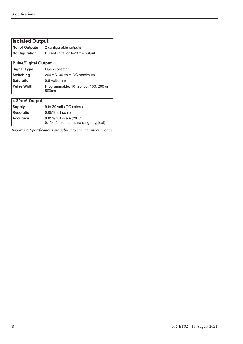| <b>Isolated Output</b>                         |                                                                                |  |  |  |  |  |
|------------------------------------------------|--------------------------------------------------------------------------------|--|--|--|--|--|
| <b>No. of Outputs</b>                          | 2 configurable outputs                                                         |  |  |  |  |  |
| Configuration                                  | Pulse/Digital or 4-20 mA output                                                |  |  |  |  |  |
|                                                |                                                                                |  |  |  |  |  |
| <b>Pulse/Digital Output</b>                    |                                                                                |  |  |  |  |  |
| <b>Signal Type</b>                             | Open collector                                                                 |  |  |  |  |  |
| <b>Switching</b><br>200mA, 30 volts DC maximum |                                                                                |  |  |  |  |  |
| <b>Saturation</b>                              | 0.8 volts maximum                                                              |  |  |  |  |  |
| <b>Pulse Width</b>                             | Programmable: 10, 20, 50, 100, 200 or<br>500 <sub>ms</sub>                     |  |  |  |  |  |
|                                                |                                                                                |  |  |  |  |  |
| 4-20mA Output                                  |                                                                                |  |  |  |  |  |
| Supply                                         | 9 to 30 volts DC external                                                      |  |  |  |  |  |
| <b>Resolution</b>                              | $0.05\%$ full scale                                                            |  |  |  |  |  |
| <b>Accuracy</b>                                | $0.05\%$ full scale (20 $\degree$ C)<br>0.1% (full temperature range, typical) |  |  |  |  |  |

*Important: Specifications are subject to change without notice.*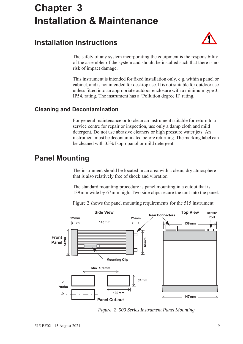# <span id="page-18-5"></span><span id="page-18-0"></span>**Chapter 3 Installation & Maintenance**

# <span id="page-18-1"></span>**Installation Instructions**



The safety of any system incorporating the equipment is the responsibility of the assembler of the system and should be installed such that there is no risk of impact damage.

This instrument is intended for fixed installation only, e.g. within a panel or cabinet, and is not intended for desktop use. It is not suitable for outdoor use unless fitted into an appropriate outdoor enclosure with a minimum type 3, IP54, rating. The instrument has a 'Pollution degree II' rating.

## <span id="page-18-2"></span>**Cleaning and Decontamination**

For general maintenance or to clean an instrument suitable for return to a service centre for repair or inspection, use only a damp cloth and mild detergent. Do not use abrasive cleaners or high pressure water jets. An instrument must be decontaminated before returning. The marking label can be cleaned with 35% Isopropanol or mild detergent.

# <span id="page-18-3"></span>**Panel Mounting**

The instrument should be located in an area with a clean, dry atmosphere that is also relatively free of shock and vibration.

The standard mounting procedure is panel mounting in a cutout that is 139 mm wide by 67 mm high. Two side clips secure the unit into the panel.



[Figure 2](#page-18-4) shows the panel mounting requirements for the 515 instrument.

<span id="page-18-4"></span>*Figure 2 500 Series Instrument Panel Mounting*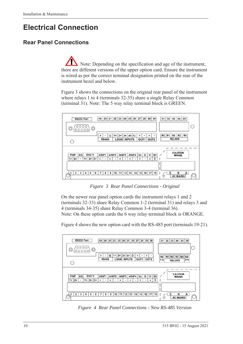# <span id="page-19-0"></span>**Electrical Connection**

## <span id="page-19-1"></span>**Rear Panel Connections**

Note: Depending on the specification and age of the instrument, there are different versions of the upper option card. Ensure the instrument is wired as per the correct terminal designation printed on the rear of the instrument bezel and below.

[Figure 3](#page-19-2) shows the connections on the original rear panel of the instrument where relays 1 to 4 (terminals 32-35) share a single Relay Common (terminal 31). Note: The 5 way relay terminal block is GREEN.



*Figure 3 Rear Panel Connections - Original*

<span id="page-19-2"></span>On the newer rear panel option cards the instrument relays 1 and 2 (terminals 32-33) share Relay Common 1-2 (terminal 31) and relays 3 and 4 (terminals 34-35) share Relay Common 3-4 (terminal 36). Note: On these option cards the 6 way relay terminal block is ORANGE.

[Figure 4](#page-19-3) shows the new option card with the RS-485 port (terminals 19-21).



<span id="page-19-3"></span>*Figure 4 Rear Panel Connections - New RS-485 Version*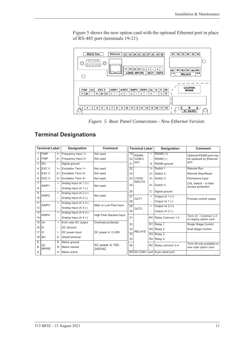[Figure 5](#page-20-1) shows the new option card with the optional Ethernet port in place of RS-485 port (terminals 19-21).



<span id="page-20-1"></span>*Figure 5 Rear Panel Connections - New Ethernet Version*

## <span id="page-20-0"></span>**Terminal Designations**

|    | <b>Terminal Label</b>  |                          | Designation               | <b>Comment</b>                 | <b>Terminal Label</b> |                  |                | <b>Designation</b>                 | <b>Comment</b>                                |
|----|------------------------|--------------------------|---------------------------|--------------------------------|-----------------------|------------------|----------------|------------------------------------|-----------------------------------------------|
|    | <b>FINP</b>            | $1+$                     | Frequency Input 1+        | Not used                       | 19                    | <b>RS485</b>     | $\ddot{}$      | $RS485 (+)$                        | Optional RS485 port may                       |
| 2  | <b>FINP</b>            | $2+$                     | Frequency Input 2+        | Not used                       | 20                    | COM-2            |                | RS485 (-)                          | be replaced by Ethernet                       |
| 3  | $\overline{\text{SG}}$ | $\overline{\phantom{a}}$ | Signal ground             |                                | 21                    | port             | G              | RS485 ground                       | port.                                         |
| 4  | EXC V                  | $1+$                     | Excitation Term 1+        | Not used                       | 22                    |                  | $1+$           | Switch 1                           | Remote Run                                    |
| 5  | EXC V                  | $2+$                     | <b>Excitation Term 2+</b> | Not used                       | 23                    |                  | $2+$           | Switch 2                           | Remote Stop/Reset                             |
| 6  | <b>EXC V</b>           | $3+$                     | Excitation Term 3+        | Not used                       | 24                    | <b>LOGIC</b>     | $3+$           | Switch 3                           | Permissive Input                              |
| 7  | AINP1                  | $\ddot{}$                | Analog Input ch $1 (+)$   | Not used                       | 25                    | <b>INPUTS</b>    | $4+$           | Switch 4                           | CAL Switch - In field                         |
| 8  |                        |                          | Analog Input ch 1 (-)     |                                |                       |                  |                |                                    | access protection                             |
| 9  | AINP <sub>2</sub>      | $\ddot{}$                | Analog Input ch $2 (+)$   | Not used                       | 26                    |                  | $C-$           | Signal ground                      |                                               |
| 10 |                        |                          | Analog Input ch 2 (-)     |                                | 27                    | OUT <sub>1</sub> | $\ddot{}$      | Output ch $1 (+)$                  | Process control output                        |
| 11 |                        | $\ddot{}$                | Analog Input ch $3 (+)$   |                                | 28                    |                  |                | Output ch 1 (-)                    |                                               |
| 12 | AINP3                  | $\overline{\phantom{a}}$ | Analog Input ch 3 (-)     | Main or Low Flow Input         | $\overline{29}$       | OUT <sub>2</sub> | $\ddot{}$      | Output $ch 2 (+)$                  |                                               |
| 13 |                        | $\ddot{}$                | Analog Input ch 4 (+)     |                                | 30                    |                  |                | Output $ch 2$ (-)                  |                                               |
| 14 | AINP4                  | $\overline{\phantom{a}}$ | Analog Input ch 4 (-)     | <b>High Flow Stacked Input</b> | 31                    |                  | <b>RC</b>      | Relay Common 1-2                   | Term 31 - Common 1-4<br>on legacy option card |
| 15 | Vo                     | $\ddot{}$                | 8-24 volts DC output      | Overload protected             | 32                    |                  | R1             | Relay 1                            | Single Stage Control                          |
| 16 | G                      | $\overline{\phantom{a}}$ | DC Ground                 |                                | 33                    |                  | R <sub>2</sub> | Relay 2                            | Dual Stage Control                            |
| 17 | Vi                     | $\ddot{}$                | DC power input            | DC power in 12-28V             | $\overline{34}$       | <b>RELAYS</b>    | R <sub>3</sub> | Relay 3                            |                                               |
| 18 | <b>SH</b>              | Ε                        | Shield terminal           |                                | 35                    |                  | R4             | Relay 4                            |                                               |
| E  |                        | E                        | Mains ground              | AC power in 100-               |                       |                  |                |                                    | Term 36 only available on                     |
| N  | AC<br><b>MAINS</b>     | N                        | Mains neutral             | <b>240VAC</b>                  | 36                    |                  | <b>RC</b>      | Relay common 3-4                   | new style option card                         |
| A  |                        | Α                        | Mains active              |                                |                       |                  |                | RS232 COM-1 port 9-pin serial port |                                               |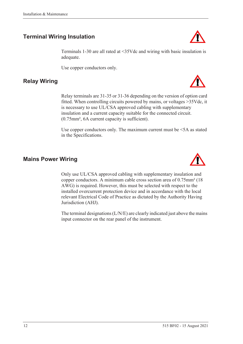Installation & Maintenance

## <span id="page-21-0"></span>**Terminal Wiring Insulation**

Terminals 1-30 are all rated at <35Vdc and wiring with basic insulation is adequate.

Use copper conductors only.

## <span id="page-21-1"></span>**Relay Wiring**

Relay terminals are 31-35 or 31-36 depending on the version of option card fitted. When controlling circuits powered by mains, or voltages >35Vdc, it is necessary to use UL/CSA approved cabling with supplementary insulation and a current capacity suitable for the connected circuit. (0.75mm², 6A current capacity is sufficient).

Use copper conductors only. The maximum current must be  $\leq 5A$  as stated in the Specifications.

## <span id="page-21-2"></span>**Mains Power Wiring**

Only use UL/CSA approved cabling with supplementary insulation and copper conductors. A minimum cable cross section area of 0.75mm² (18 AWG) is required. However, this must be selected with respect to the installed overcurrent protection device and in accordance with the local relevant Electrical Code of Practice as dictated by the Authority Having Jurisdiction (AHJ).

The terminal designations (L/N/E) are clearly indicated just above the mains input connector on the rear panel of the instrument.



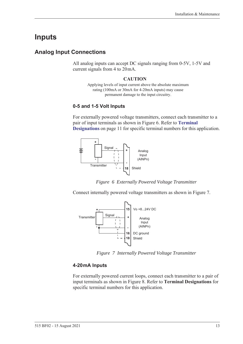## <span id="page-22-0"></span>**Inputs**

## <span id="page-22-1"></span>**Analog Input Connections**

All analog inputs can accept DC signals ranging from 0-5V, 1-5V and current signals from 4 to 20 mA.

#### **CAUTION**

Applying levels of input current above the absolute maximum rating (100mA or 30mA for 4-20mA inputs) may cause permanent damage to the input circuitry.

#### **0-5 and 1-5 Volt Inputs**

For externally powered voltage transmitters, connect each transmitter to a pair of input terminals as shown in [Figure 6.](#page-22-2) Refer to **[Terminal](#page-20-0)  [Designations](#page-20-0)** on page 11 for specific terminal numbers for this application.



*Figure 6 Externally Powered Voltage Transmitter*

<span id="page-22-2"></span>Connect internally powered voltage transmitters as shown in [Figure 7.](#page-22-3)



*Figure 7 Internally Powered Voltage Transmitter*

#### <span id="page-22-3"></span>**4-20 mA Inputs**

For externally powered current loops, connect each transmitter to a pair of input terminals as shown in [Figure 8.](#page-23-1) Refer to **Terminal Designations** for specific terminal numbers for this application.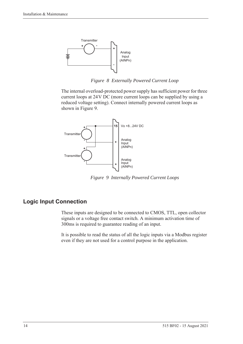

*Figure 8 Externally Powered Current Loop*

<span id="page-23-1"></span>The internal overload-protected power supply has sufficient power for three current loops at 24 V DC (more current loops can be supplied by using a reduced voltage setting). Connect internally powered current loops as shown in [Figure 9](#page-23-2).



<span id="page-23-2"></span>*Figure 9 Internally Powered Current Loops*

## <span id="page-23-0"></span>**Logic Input Connection**

These inputs are designed to be connected to CMOS, TTL, open collector signals or a voltage free contact switch. A minimum activation time of 300ms is required to guarantee reading of an input.

It is possible to read the status of all the logic inputs via a Modbus register even if they are not used for a control purpose in the application.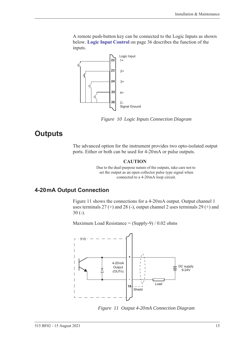A remote push-button key can be connected to the Logic Inputs as shown below. **[Logic Input Control](#page-45-2)** on page 36 describes the function of the inputs.



*Figure 10 Logic Inputs Connection Diagram*

## <span id="page-24-0"></span>**Outputs**

<span id="page-24-2"></span>The advanced option for the instrument provides two opto-isolated output ports. Either or both can be used for 4-20 mA or pulse outputs.

#### **CAUTION**

Due to the dual-purpose nature of the outputs, take care not to set the output as an open collector pulse type signal when connected to a 4-20mA loop circuit.

#### <span id="page-24-1"></span>**4-20 mA Output Connection**

[Figure 11](#page-24-3) shows the connections for a 4-20 mA output. Output channel 1 uses terminals  $27 (+)$  and  $28 (-)$ , output channel 2 uses terminals  $29 (+)$  and 30 (-).

Maximum Load Resistance =  $(Supply-9)/0.02$  ohms



<span id="page-24-3"></span>*Figure 11 Output 4-20 mA Connection Diagram*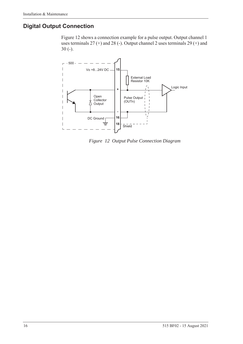## <span id="page-25-0"></span>**Digital Output Connection**

[Figure 12](#page-25-1) shows a connection example for a pulse output. Output channel 1 uses terminals  $27 (+)$  and  $28 (-)$ . Output channel 2 uses terminals  $29 (+)$  and 30 (-).



<span id="page-25-1"></span>*Figure 12 Output Pulse Connection Diagram*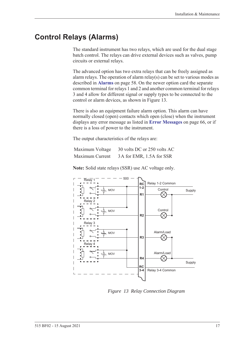## <span id="page-26-0"></span>**Control Relays (Alarms)**

The standard instrument has two relays, which are used for the dual stage batch control. The relays can drive external devices such as valves, pump circuits or external relays.

The advanced option has two extra relays that can be freely assigned as alarm relays. The operation of alarm relay(s) can be set to various modes as described in **Alarms** [on page 58.](#page-67-1) On the newer option card the separate common terminal for relays 1 and 2 and another common terminal for relays 3 and 4 allow for different signal or supply types to be connected to the control or alarm devices, as shown in [Figure 13.](#page-26-1)

There is also an equipment failure alarm option. This alarm can have normally closed (open) contacts which open (close) when the instrument displays any error message as listed in **[Error Messages](#page-75-1)** on page 66, or if there is a loss of power to the instrument.

The output characteristics of the relays are:

| Maximum Voltage | 30 volts DC or 250 volts AC |
|-----------------|-----------------------------|
| Maximum Current | 3A for EMR, 1.5A for SSR    |



**Note:** Solid state relays (SSR) use AC voltage only.

<span id="page-26-1"></span>*Figure 13 Relay Connection Diagram*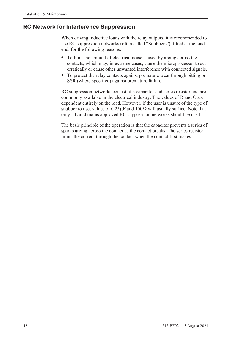### <span id="page-27-0"></span>**RC Network for Interference Suppression**

When driving inductive loads with the relay outputs, it is recommended to use RC suppression networks (often called "Snubbers"), fitted at the load end, for the following reasons:

- **•** To limit the amount of electrical noise caused by arcing across the contacts, which may, in extreme cases, cause the microprocessor to act erratically or cause other unwanted interference with connected signals.
- **•** To protect the relay contacts against premature wear through pitting or SSR (where specified) against premature failure.

RC suppression networks consist of a capacitor and series resistor and are commonly available in the electrical industry. The values of R and C are dependent entirely on the load. However, if the user is unsure of the type of snubber to use, values of  $0.25 \mu$ F and  $100 \Omega$  will usually suffice. Note that only UL and mains approved RC suppression networks should be used.

The basic principle of the operation is that the capacitor prevents a series of sparks arcing across the contact as the contact breaks. The series resistor limits the current through the contact when the contact first makes.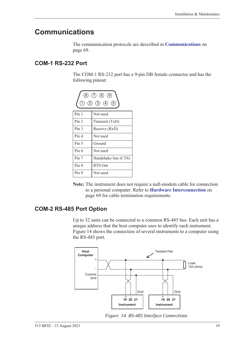## <span id="page-28-0"></span>**Communications**

The communication protocols are described in **[Communications](#page-78-4)** on [page 69](#page-78-4).

### <span id="page-28-1"></span>**COM-1 RS-232 Port**

The COM-1 RS-232 port has a 9-pin DB female connector and has the following pinout:

| $(6)$ (7) (8) (9)<br>$(2)$ $(3)$ $(4)$ $(5)$ |                      |  |  |  |  |  |  |  |
|----------------------------------------------|----------------------|--|--|--|--|--|--|--|
| Pin 1                                        | Not used             |  |  |  |  |  |  |  |
| Pin <sub>2</sub>                             | Transmit (TxD)       |  |  |  |  |  |  |  |
| Pin <sub>3</sub>                             | Receive (RxD)        |  |  |  |  |  |  |  |
| Pin 4                                        | Not used             |  |  |  |  |  |  |  |
| Pin <sub>5</sub>                             | Ground               |  |  |  |  |  |  |  |
| Pin 6                                        | Not used             |  |  |  |  |  |  |  |
| Pin 7                                        | Handshake line (CTS) |  |  |  |  |  |  |  |
| Pin 8                                        | RTS Out              |  |  |  |  |  |  |  |
| Pin 9                                        | Not used             |  |  |  |  |  |  |  |

**Note:** The instrument does not require a null-modem cable for connection to a personal computer. Refer to **[Hardware Interconnection](#page-78-5)** on [page 69](#page-78-5) for cable termination requirements.

## <span id="page-28-2"></span>**COM-2 RS-485 Port Option**

Up to 32 units can be connected to a common RS-485 bus. Each unit has a unique address that the host computer uses to identify each instrument. [Figure 14](#page-28-3) shows the connection of several instruments to a computer using the RS-485 port.



<span id="page-28-3"></span>*Figure 14 RS-485 Interface Connections*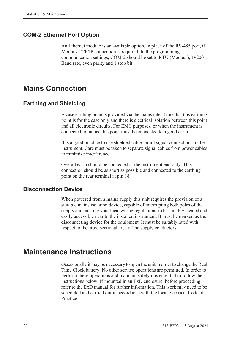## <span id="page-29-0"></span>**COM-2 Ethernet Port Option**

An Ethernet module is an available option, in place of the RS-485 port, if Modbus TCP/IP connection is required. In the programming communication settings, COM-2 should be set to RTU (Modbus), 19200 Baud rate, even parity and 1 stop bit.

## <span id="page-29-1"></span>**Mains Connection**

## <span id="page-29-2"></span>**Earthing and Shielding**

A case earthing point is provided via the mains inlet. Note that this earthing point is for the case only and there is electrical isolation between this point and all electronic circuits. For EMC purposes, or when the instrument is connected to mains, this point must be connected to a good earth.

It is a good practice to use shielded cable for all signal connections to the instrument. Care must be taken to separate signal cables from power cables to minimize interference.

Overall earth should be connected at the instrument end only. This connection should be as short as possible and connected to the earthing point on the rear terminal at pin 18.

## <span id="page-29-3"></span>**Disconnection Device**

When powered from a mains supply this unit requires the provision of a suitable mains isolation device, capable of interrupting both poles of the supply and meeting your local wiring regulations, to be suitably located and easily accessible near to the installed instrument. It must be marked as the disconnecting device for the equipment. It must be suitably rated with respect to the cross sectional area of the supply conductors.

## <span id="page-29-4"></span>**Maintenance Instructions**

Occasionally it may be necessary to open the unit in order to change the Real Time Clock battery. No other service operations are permitted. In order to perform these operations and maintain safety it is essential to follow the instructions below. If mounted in an ExD enclosure, before proceeding, refer to the ExD manual for further information. This work may need to be scheduled and carried out in accordance with the local electrical Code of **Practice**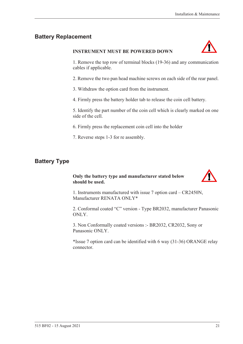## <span id="page-30-0"></span>**Battery Replacement**

#### **INSTRUMENT MUST BE POWERED DOWN**



1. Remove the top row of terminal blocks (19-36) and any communication cables if applicable.

2. Remove the two pan head machine screws on each side of the rear panel.

3. Withdraw the option card from the instrument.

4. Firmly press the battery holder tab to release the coin cell battery.

5. Identify the part number of the coin cell which is clearly marked on one side of the cell.

6. Firmly press the replacement coin cell into the holder

7. Reverse steps 1-3 for re assembly.

## <span id="page-30-1"></span>**Battery Type**

**Only the battery type and manufacturer stated below should be used.** 



1. Instruments manufactured with issue 7 option card – CR2450N, Manufacturer RENATA ONLY\*

2. Conformal coated "C" version - Type BR2032, manufacturer Panasonic ONLY.

3. Non Conformally coated versions :- BR2032, CR2032, Sony or Panasonic ONLY.

\*Issue 7 option card can be identified with 6 way (31-36) ORANGE relay connector.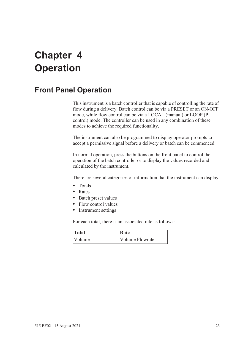# <span id="page-32-0"></span>**Chapter 4 Operation**

# <span id="page-32-1"></span>**Front Panel Operation**

This instrument is a batch controller that is capable of controlling the rate of flow during a delivery. Batch control can be via a PRESET or an ON-OFF mode, while flow control can be via a LOCAL (manual) or LOOP (PI control) mode. The controller can be used in any combination of these modes to achieve the required functionality.

The instrument can also be programmed to display operator prompts to accept a permissive signal before a delivery or batch can be commenced.

In normal operation, press the buttons on the front panel to control the operation of the batch controller or to display the values recorded and calculated by the instrument.

There are several categories of information that the instrument can display:

- **•** Totals
- **•** Rates
- **•** Batch preset values
- **•** Flow control values
- **•** Instrument settings

For each total, there is an associated rate as follows:

| <b>Total</b> | Rate            |
|--------------|-----------------|
| Volume       | Volume Flowrate |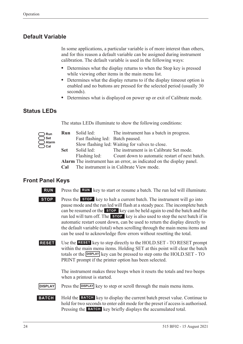## <span id="page-33-0"></span>**Default Variable**

In some applications, a particular variable is of more interest than others, and for this reason a default variable can be assigned during instrument calibration. The default variable is used in the following ways:

- **•** Determines what the display returns to when the Stop key is pressed while viewing other items in the main menu list.
- **•** Determines what the display returns to if the display timeout option is enabled and no buttons are pressed for the selected period (usually 30 seconds).
- **•** Determines what is displayed on power up or exit of Calibrate mode.

## <span id="page-33-1"></span>**Status LEDs**

The status LEDs illuminate to show the following conditions:

| Run        |
|------------|
| <b>Set</b> |
| Alarm      |
| Cal        |

|            | <b>Run</b> Solid led:                                                 | The instrument has a batch in progress.                      |  |
|------------|-----------------------------------------------------------------------|--------------------------------------------------------------|--|
|            | Fast flashing led: Batch paused.                                      |                                                              |  |
|            | Slow flashing led: Waiting for valves to close.                       |                                                              |  |
| <b>Set</b> | Solid led:                                                            | The instrument is in Calibrate Set mode.                     |  |
|            |                                                                       | Flashing led: Count down to automatic restart of next batch. |  |
|            | Alarm The instrument has an error, as indicated on the display panel. |                                                              |  |
|            | <b>Cal</b> The instrument is in Calibrate View mode.                  |                                                              |  |
|            |                                                                       |                                                              |  |

## <span id="page-33-2"></span>**Front Panel Keys**

**RUN** Press the **RUN** key to start or resume a batch. The run led will illuminate.

- **STOP** Press the **STOP** key to halt a current batch. The instrument will go into pause mode and the run led will flash at a steady pace. The incomplete batch can be resumed or the **STOP** key can be held again to end the batch and the run led will turn off. The **STOP** key is also used to stop the next batch if in automatic restart count down, can be used to return the display directly to the default variable (total) when scrolling through the main menu items and can be used to acknowledge flow errors without resetting the total.
- **RESET** Use the **RESET** key to step directly to the HOLD.SET TO RESET prompt within the main menu items. Holding SET at this point will clear the batch totals or the **DISPLAY** key can be pressed to step onto the HOLD.SET - TO PRINT prompt if the printer option has been selected.

The instrument makes three beeps when it resets the totals and two beeps when a printout is started.

- **DISPLAY** Press the **DISPLAY** key to step or scroll through the main menu items.
- **BATCH** Hold the **BATCH** key to display the current batch preset value. Continue to hold for two seconds to enter edit mode for the preset if access is authorised. Pressing the **BATCH** key briefly displays the accumulated total.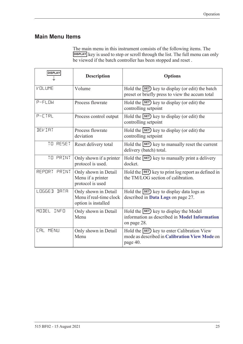## <span id="page-34-0"></span>**Main Menu Items**

The main menu in this instrument consists of the following items. The key is used to step or scroll through the list. The full menu can only be viewed if the batch controller has been stopped and reset . **DISPLAY**

| <b>DISPLAY</b>  | <b>Description</b>                                                     | <b>Options</b>                                                                                                        |
|-----------------|------------------------------------------------------------------------|-----------------------------------------------------------------------------------------------------------------------|
| VOLUME          | Volume                                                                 | Hold the $\boxed{\mathsf{set}}$ key to display (or edit) the batch<br>preset or briefly press to view the accum total |
| P-FLOW          | Process flowrate                                                       | Hold the SET) key to display (or edit) the<br>controlling setpoint                                                    |
| P-ETRL          | Process control output                                                 | Hold the $\overline{\text{set}}$ key to display (or edit) the<br>controlling setpoint                                 |
| <b>JEVIAT</b>   | Process flowrate<br>deviation                                          | Hold the SET) key to display (or edit) the<br>controlling setpoint                                                    |
| TO RESET        | Reset delivery total                                                   | Hold the <b>SET</b> ) key to manually reset the current<br>delivery (batch) total.                                    |
| TO PRINT        | Only shown if a printer<br>protocol is used.                           | Hold the <b>SET</b> ) key to manually print a delivery<br>docket.                                                     |
| REPORT PRINT    | Only shown in Detail<br>Menu if a printer<br>protocol is used          | Hold the <b>SET</b> key to print log report as defined in<br>the TM/LOG section of calibration.                       |
| LOGGED DATA     | Only shown in Detail<br>Menu if real-time clock<br>option is installed | Hold the <b>SET</b> key to display data logs as<br>described in Data Logs on page 27.                                 |
| MODEL INFO      | Only shown in Detail<br>Menu                                           | Hold the SET key to display the Model<br>information as described in Model Information<br>on page 28.                 |
| <b>CAL MENU</b> | Only shown in Detail<br>Menu                                           | Hold the $ \text{SET} $ key to enter Calibration View<br>mode as described in Calibration View Mode on<br>page 40.    |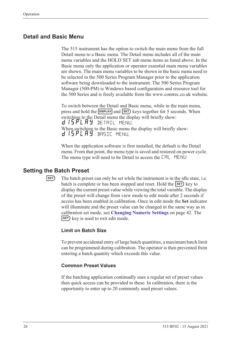## <span id="page-35-0"></span>**Detail and Basic Menu**

The 515 instrument has the option to switch the main menu from the full Detail menu to a Basic menu. The Detail menu includes all of the main menu variables and the HOLD SET sub menu items as listed above. In the Basic menu only the application or operator essential main menu variables are shown. The main menu variables to be shown in the basic menu need to be selected in the 500 Series Program Manager prior to the application software being downloaded to the instrument. The 500 Series Program Manager (500-PM) is Windows based configuration and resource tool for the 500 Series and is freely available from the www.contrec.co.uk website.

To switch between the Detail and Basic menu, while in the main menu, press and hold the **DISPLAY** and **SET**) keys together for 5 seconds. When switching to the Detail menu the display will briefly show: d 15 PL A Y DETAIL MENU. When switching to the Basic menu the display will briefly show: d ISPLAY BASIC MENU

When the application software is first installed, the default is the Detail menu. From that point, the menu type is saved and restored on power cycle. The menu type will need to be Detail to access the CAL MENU

## <span id="page-35-1"></span>**Setting the Batch Preset**

**SET**

The batch preset can only be set while the instrument is in the idle state, i.e. batch is complete or has been stopped and reset. Hold the **SET** key to display the current preset value while viewing the total variable. The display of the preset will change from view mode to edit mode after 2 seconds if access has been enabled in calibration. Once in edit mode the **Set** indicator will illuminate and the preset value can be changed in the same way as in calibration set mode, see **[Changing Numeric Settings](#page-51-1)** on page 42. The key is used to exit edit mode. **SET**

### **Limit on Batch Size**

To prevent accidental entry of large batch quantities, a maximum batch limit can be programmed during calibration. The operator is then prevented from entering a batch quantity which exceeds this value.

#### **Common Preset Values**

If the batching application continually uses a regular set of preset values then quick access can be provided to these. In calibration, there is the opportunity to enter up to 20 commonly used preset values.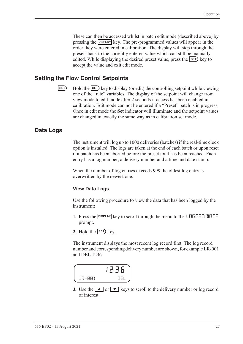These can then be accessed whilst in batch edit mode (described above) by pressing the **DISPLAY** key. The pre-programmed values will appear in the order they were entered in calibration. The display will step through the presets back to the currently entered value which can still be manually edited. While displaying the desired preset value, press the **SET** key to accept the value and exit edit mode.

### **Setting the Flow Control Setpoints**

**EXECUTE:** Hold the **SET** key to display (or edit) the controlling setpoint while viewing one of the "rate" variables. The display of the setpoint will change from view mode to edit mode after 2 seconds if access has been enabled in calibration. Edit mode can not be entered if a "Preset" batch is in progress. Once in edit mode the **Set** indicator will illuminate and the setpoint values are changed in exactly the same way as in calibration set mode.

### **Data Logs**

The instrument will log up to 1000 deliveries (batches) if the real-time clock option is installed. The logs are taken at the end of each batch or upon reset if a batch has been aborted before the preset total has been reached. Each entry has a log number, a delivery number and a time and date stamp.

When the number of log entries exceeds 999 the oldest log entry is overwritten by the newest one.

#### **View Data Logs**

Use the following procedure to view the data that has been logged by the instrument:

- **1.** Press the **DISPLAY** key to scroll through the menu to the LOGGE D DATA prompt.
- **2.** Hold the  $\overline{\text{SET}}$  key.

The instrument displays the most recent log record first. The log record number and corresponding delivery number are shown, for example LR-001 and DEL 1236.



**3.** Use the  $\Box$  or  $\Box$  keys to scroll to the delivery number or log record of interest.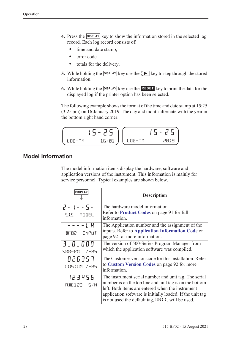- 4. Press the **DISPLAY** key to show the information stored in the selected log record. Each log record consists of:
	- time and date stamp,
	- **•** error code
	- **•** totals for the delivery.
- **5.** While holding the  $\boxed{\text{DISPLAN}}$  key use the  $\boxed{\blacktriangleright}$  key to step through the stored information.
- **6.** While holding the **DISPLAY** key use the **RESET** key to print the data for the displayed log if the printer option has been selected.

The following example shows the format of the time and date stamp at 15:25 (3:25 pm) on 16 January 2019. The day and month alternate with the year in the bottom right hand corner.

$$
\begin{array}{|c|c|c|c|}\n\hline\n & 15-25 \\
 & 15-25 \\
\hline\n & 16-21 \\
\hline\n\end{array}\n\quad\n\begin{array}{|c|c|}\n\hline\n & 15-25 \\
 & 15-25 \\
\hline\n & 2019\n\end{array}
$$

### <span id="page-37-0"></span>**Model Information**

The model information items display the hardware, software and application versions of the instrument. This information is mainly for service personnel. Typical examples are shown below.

| <b>DISPLAY</b>             | <b>Description</b>                                                                                                                                                                                                                                                                    |
|----------------------------|---------------------------------------------------------------------------------------------------------------------------------------------------------------------------------------------------------------------------------------------------------------------------------------|
| $7 - 1 - 5 -$<br>515 MODEL | The hardware model information.<br>Refer to <b>Product Codes</b> on page 91 for full<br>information.                                                                                                                                                                                  |
| $---L$ H<br>BF02 INPUT     | The Application number and the assignment of the<br>inputs. Refer to Application Information Code on<br>page 92 for more information.                                                                                                                                                 |
| 3.0.000<br>SØØ-PM VERS     | The version of 500-Series Program Manager from<br>which the application software was compiled.                                                                                                                                                                                        |
| 026357<br>CUSTOM VERS      | The Customer version code for this installation. Refer<br>to Custom Version Codes on page 92 for more<br>information.                                                                                                                                                                 |
| 123456<br>RBE123 5/N       | The instrument serial number and unit tag. The serial<br>number is on the top line and unit tag is on the bottom<br>left. Both items are entered when the instrument<br>application software is initially loaded. If the unit tag<br>is not used the default tag, UNIT, will be used. |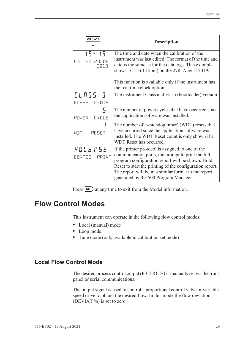| <b>DISPLAY</b>                    | <b>Description</b>                                                                                                                                                                                                                                                                                                      |
|-----------------------------------|-------------------------------------------------------------------------------------------------------------------------------------------------------------------------------------------------------------------------------------------------------------------------------------------------------------------------|
| $15 - 15$<br>EDITED 27/08<br>2019 | The time and date when the calibration of the<br>instrument was last edited. The format of the time and<br>date is the same as for the data logs. This example<br>shows $16:15$ (4:15pm) on the 27th August 2019.<br>This function is available only if the instrument has<br>the real time clock option.               |
| [LA55-3<br>FLASH I<br>$V - Q$ 19  | The instrument Class and Flash (bootloader) version.                                                                                                                                                                                                                                                                    |
| 5<br>POWER EYELE                  | The number of power cycles that have occurred since<br>the application software was installed.                                                                                                                                                                                                                          |
| WITT<br>RESET                     | The number of 'watchdog timer' (WDT) resets that<br>have occurred since the application software was<br>installed. The WDT Reset count is only shown if a<br>WDT Reset has occurred.                                                                                                                                    |
| HOLd.PSE<br>CONFIG<br>PRINT       | If the printer protocol is assigned to one of the<br>communication ports, the prompt to print the full<br>program configuration report will be shown. Hold<br>Reset to start the printing of the configuration report.<br>The report will be in a similar format to the report<br>generated by the 500 Program Manager. |

Press **SET**) at any time to exit from the Model information.

### **Flow Control Modes**

This instrument can operate in the following flow control modes:

- **•** Local (manual) mode
- **•** Loop mode
- **•** Tune mode (only available in calibration set mode)

### **Local Flow Control Mode**

The desired process control output (P-CTRL %) is manually set via the front panel or serial communications.

The output signal is used to control a proportional control valve or variable speed drive to obtain the desired flow. In this mode the flow deviation (DEVIAT  $\%$ ) is set to zero.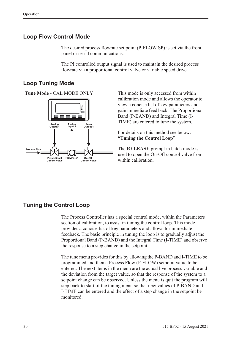### **Loop Flow Control Mode**

The desired process flowrate set point (P-FLOW SP) is set via the front panel or serial communications.

The PI controlled output signal is used to maintain the desired process flowrate via a proportional control valve or variable speed drive.

### **Loop Tuning Mode**



**Tune Mode** - CAL MODE ONLY This mode is only accessed from within calibration mode and allows the operator to view a concise list of key parameters and gain immediate feed back. The Proportional Band (P-BAND) and Integral Time (I-TIME) are entered to tune the system.

> For details on this method see below: **"Tuning the Control Loop"**.

The **RELEASE** prompt in batch mode is used to open the On-Off control valve from **Chi-Off**<br>
Introl Valve Within calibration.

### <span id="page-39-0"></span>**Tuning the Control Loop**

The Process Controller has a special control mode, within the Parameters section of calibration, to assist in tuning the control loop. This mode provides a concise list of key parameters and allows for immediate feedback. The basic principle in tuning the loop is to gradually adjust the Proportional Band (P-BAND) and the Integral Time (I-TIME) and observe the response to a step change in the setpoint.

The tune menu provides for this by allowing the P-BAND and I-TIME to be programmed and then a Process Flow (P-FLOW) setpoint value to be entered. The next items in the menu are the actual live process variable and the deviation from the target value, so that the response of the system to a setpoint change can be observed. Unless the menu is quit the program will step back to start of the tuning menu so that new values of P-BAND and I-TIME can be entered and the effect of a step change in the setpoint be monitored.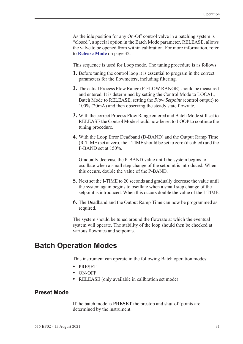As the idle position for any On-Off control valve in a batching system is "closed", a special option in the Batch Mode parameter, RELEASE, allows the valve to be opened from within calibration. For more information, refer to **[Release Mode](#page-41-0)** on page 32.

This sequence is used for Loop mode. The tuning procedure is as follows:

- **1.** Before tuning the control loop it is essential to program in the correct parameters for the flowmeters, including filtering.
- **2.** The actual Process Flow Range (P-FLOW RANGE) should be measured and entered. It is determined by setting the Control Mode to LOCAL, Batch Mode to RELEASE, setting the *Flow Setpoint* (control output) to 100% (20mA) and then observing the steady state flowrate.
- **3.** With the correct Process Flow Range entered and Batch Mode still set to RELEASE the Control Mode should now be set to LOOP to continue the tuning procedure.
- **4.** With the Loop Error Deadband (D-BAND) and the Output Ramp Time (R-TIME) set at zero, the I-TIME should be set to zero (disabled) and the P-BAND set at 150%.

Gradually decrease the P-BAND value until the system begins to oscillate when a small step change of the setpoint is introduced. When this occurs, double the value of the P-BAND.

- **5.** Next set the I-TIME to 20 seconds and gradually decrease the value until the system again begins to oscillate when a small step change of the setpoint is introduced. When this occurs double the value of the I-TIME.
- **6.** The Deadband and the Output Ramp Time can now be programmed as required.

The system should be tuned around the flowrate at which the eventual system will operate. The stability of the loop should then be checked at various flowrates and setpoints.

### **Batch Operation Modes**

This instrument can operate in the following Batch operation modes:

- **•** PRESET
- **•** ON-OFF
- **•** RELEASE (only available in calibration set mode)

#### **Preset Mode**

If the batch mode is **PRESET** the prestop and shut-off points are determined by the instrument.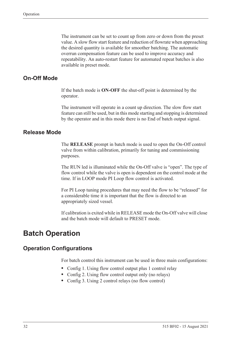The instrument can be set to count up from zero or down from the preset value. A slow flow start feature and reduction of flowrate when approaching the desired quantity is available for smoother batching. The automatic overrun compensation feature can be used to improve accuracy and repeatability. An auto-restart feature for automated repeat batches is also available in preset mode.

### **On-Off Mode**

If the batch mode is **ON-OFF** the shut-off point is determined by the operator.

The instrument will operate in a count up direction. The slow flow start feature can still be used, but in this mode starting and stopping is determined by the operator and in this mode there is no End of batch output signal.

### <span id="page-41-0"></span>**Release Mode**

The **RELEASE** prompt in batch mode is used to open the On-Off control valve from within calibration, primarily for tuning and commissioning purposes.

The RUN led is illuminated while the On-Off valve is "open". The type of flow control while the valve is open is dependent on the control mode at the time. If in LOOP mode PI Loop flow control is activated.

For PI Loop tuning procedures that may need the flow to be "released" for a considerable time it is important that the flow is directed to an appropriately sized vessel.

If calibration is exited while in RELEASE mode the On-Off valve will close and the batch mode will default to PRESET mode.

### **Batch Operation**

### **Operation Configurations**

For batch control this instrument can be used in three main configurations:

- **•** Config 1. Using flow control output plus 1 control relay
- **•** Config 2. Using flow control output only (no relays)
- Config 3. Using 2 control relays (no flow control)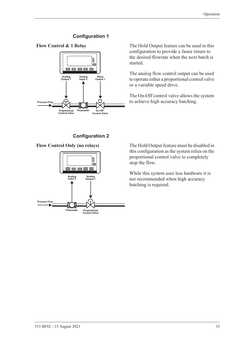### **Configuration 1**



**Flow Control & 1 Relay** The Hold Output feature can be used in this configuration to provide a faster return to the desired flowrate when the next batch is started.

> The analog flow control output can be used to operate either a proportional control valve or a variable speed drive.

> The On-Off control valve allows the system to achieve high accuracy batching.

**Configuration 2**



**Flow Control Only (no relays)** The Hold Output feature must be disabled in this configuration as the system relies on the proportional control valve to completely stop the flow.

> While this system uses less hardware it is not recommended when high accuracy batching is required.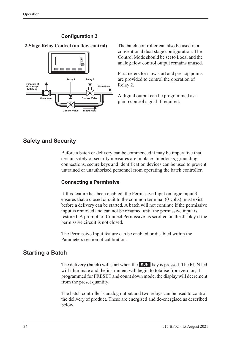

**Configuration 3**

**2-Stage Relay Control (no flow control)** The batch controller can also be used in a conventional dual stage configuration. The Control Mode should be set to Local and the analog flow control output remains unused.

> Parameters for slow start and prestop points are provided to control the operation of Relay 2.

A digital output can be programmed as a pump control signal if required.

### **Safety and Security**

Before a batch or delivery can be commenced it may be imperative that certain safety or security measures are in place. Interlocks, grounding connections, secure keys and identification devices can be used to prevent untrained or unauthorised personnel from operating the batch controller.

### **Connecting a Permissive**

If this feature has been enabled, the Permissive Input on logic input 3 ensures that a closed circuit to the common terminal (0 volts) must exist before a delivery can be started. A batch will not continue if the permissive input is removed and can not be resumed until the permissive input is restored. A prompt to 'Connect Permissive' is scrolled on the display if the permissive circuit is not closed.

The Permissive Input feature can be enabled or disabled within the Parameters section of calibration.

### **Starting a Batch**

The delivery (batch) will start when the **RUN** key is pressed. The RUN led will illuminate and the instrument will begin to totalise from zero or, if programmed for PRESET and count down mode, the display will decrement from the preset quantity.

The batch controller's analog output and two relays can be used to control the delivery of product. These are energised and de-energised as described below.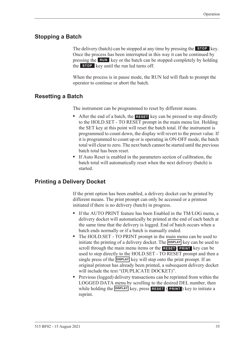### **Stopping a Batch**

The delivery (batch) can be stopped at any time by pressing the **STOP** key. Once the process has been interrupted in this way it can be continued by pressing the RUN key or the batch can be stopped completely by holding the **STOP** key until the run led turns off.

When the process is in pause mode, the RUN led will flash to prompt the operator to continue or abort the batch.

### **Resetting a Batch**

The instrument can be programmed to reset by different means.

- After the end of a batch, the **RESET** key can be pressed to step directly to the HOLD.SET - TO RESET prompt in the main menu list. Holding the SET key at this point will reset the batch total. If the instrument is programmed to count down, the display will revert to the preset value. If it is programmed to count up or is operating in ON-OFF mode, the batch total will clear to zero. The next batch cannot be started until the previous batch total has been reset.
- **•** If Auto Reset is enabled in the parameters section of calibration, the batch total will automatically reset when the next delivery (batch) is started.

### **Printing a Delivery Docket**

If the print option has been enabled, a delivery docket can be printed by different means. The print prompt can only be accessed or a printout initiated if there is no delivery (batch) in progress.

- **•** If the AUTO PRINT feature has been Enabled in the TM/LOG menu, a delivery docket will automatically be printed at the end of each batch at the same time that the delivery is logged. End of batch occurs when a batch ends normally or if a batch is manually ended.
- **•** The HOLD.SET TO PRINT prompt in the main menu can be used to initiate the printing of a delivery docket. The **DISPLAY** key can be used to scroll through the main menu items or the **RESET PRINT** key can be used to step directly to the HOLD.SET - TO RESET prompt and then a single press of the **DISPLAY** key will step onto the print prompt. If an original printout has already been printed, a subsequent delivery docket will include the text "(DUPLICATE DOCKET)".
- **•** Previous (logged) delivery transactions can be reprinted from within the LOGGED DATA menu by scrolling to the desired DEL number, then while holding the **DISPLAY** key, press **RESET** ( **PRINT** ) key to initiate a reprint.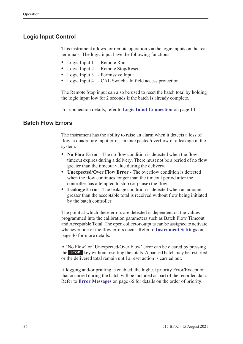### <span id="page-45-0"></span>**Logic Input Control**

This instrument allows for remote operation via the logic inputs on the rear terminals. The logic input have the following functions:

- **•** Logic Input 1 Remote Run
- **•** Logic Input 2 Remote Stop/Reset
- **•** Logic Input 3 Permissive Input
- **•** Logic Input 4 CAL Switch In field access protection

The Remote Stop input can also be used to reset the batch total by holding the logic input low for 2 seconds if the batch is already complete.

For connection details, refer to **[Logic Input Connection](#page-23-0)** on page 14.

### **Batch Flow Errors**

The instrument has the ability to raise an alarm when it detects a loss of flow, a quadrature input error, an unexpected/overflow or a leakage in the system.

- **• No Flow Error** The no flow condition is detected when the flow timeout expires during a delivery. There must not be a period of no flow greater than the timeout value during the delivery.
- **• Unexpected/Over Flow Error** The overflow condition is detected when the flow continues longer than the timeout period after the controller has attempted to stop (or pause) the flow.
- **• Leakage Error** The leakage condition is detected when an amount greater than the acceptable total is received without flow being initiated by the batch controller.

The point at which these errors are detected is dependent on the values programmed into the calibration parameters such as Batch Flow Timeout and Acceptable Total. The open collector outputs can be assigned to activate whenever one of the flow errors occur. Refer to **[Instrument Settings](#page-55-0)** on [page 46](#page-55-0) for more details.

A 'No Flow' or 'Unexpected/Over Flow' error can be cleared by pressing the **STOP** key without resetting the totals. A paused batch may be restarted or the delivered total remain until a reset action is carried out.

If logging and/or printing is enabled, the highest priority Error/Exception that occurred during the batch will be included as part of the recorded data. Refer to **[Error Messages](#page-75-0)** on page 66 for details on the order of priority.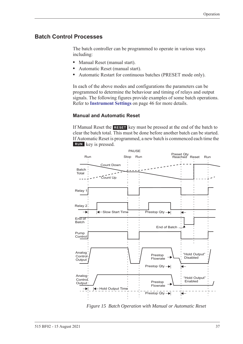### **Batch Control Processes**

The batch controller can be programmed to operate in various ways including:

- **•** Manual Reset (manual start).
- **•** Automatic Reset (manual start).
- **•** Automatic Restart for continuous batches (PRESET mode only).

In each of the above modes and configurations the parameters can be programmed to determine the behaviour and timing of relays and output signals. The following figures provide examples of some batch operations. Refer to **[Instrument Settings](#page-55-0)** on page 46 for more details.

#### **Manual and Automatic Reset**

If Manual Reset the **RESET** key must be pressed at the end of the batch to clear the batch total. This must be done before another batch can be started. If Automatic Reset is programmed, a new batch is commenced each time the **RUN** key is pressed.



*Figure 15 Batch Operation with Manual or Automatic Reset*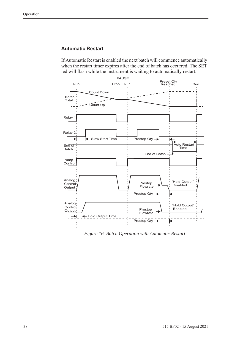#### **Automatic Restart**

If Automatic Restart is enabled the next batch will commence automatically when the restart timer expires after the end of batch has occurred. The SET led will flash while the instrument is waiting to automatically restart.



*Figure 16 Batch Operation with Automatic Restart*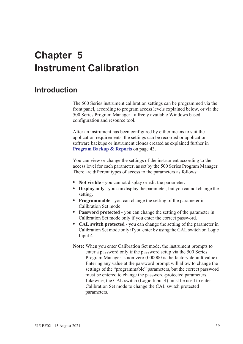# **Chapter 5 Instrument Calibration**

### **Introduction**

The 500 Series instrument calibration settings can be programmed via the front panel, according to program access levels explained below, or via the 500 Series Program Manager - a freely available Windows based configuration and resource tool.

After an instrument has been configured by either means to suit the application requirements, the settings can be recorded or application software backups or instrument clones created as explained further in **[Program Backup & Reports](#page-52-0)** on page 43.

You can view or change the settings of the instrument according to the access level for each parameter, as set by the 500 Series Program Manager. There are different types of access to the parameters as follows:

- **• Not visible** you cannot display or edit the parameter.
- **• Display only** you can display the parameter, but you cannot change the setting.
- **• Programmable** you can change the setting of the parameter in Calibration Set mode.
- **• Password protected** you can change the setting of the parameter in Calibration Set mode only if you enter the correct password.
- **• CAL switch protected**  you can change the setting of the parameter in Calibration Set mode only if you enter by using the CAL switch on Logic Input 4.
- **Note:** When you enter Calibration Set mode, the instrument prompts to enter a password only if the password setup via the 500 Series Program Manager is non-zero (000000 is the factory default value). Entering any value at the password prompt will allow to change the settings of the "programmable" parameters, but the correct password must be entered to change the password-protected parameters. Likewise, the CAL switch (Logic Input 4) must be used to enter Calibration Set mode to change the CAL switch protected parameters.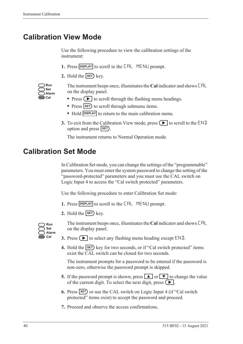### **Calibration View Mode**

Use the following procedure to view the calibration settings of the instrument:

- 1. Press **DISPLAY** to scroll to the **CAL** MENLI prompt.
- **2.** Hold the  $\overline{\text{SET}}$  key.



The instrument beeps once, illuminates the **Cal** indicator and shows CAL on the display panel.

- Press  $\left( \blacktriangleright \right)$  to scroll through the flashing menu headings.
- Press **SET** to scroll through submenu items.
- Hold **DISPLAY** to return to the main calibration menu.
- **3.** To exit from the Calibration View mode, press  $\Box$  to scroll to the END option and press **SET**).

The instrument returns to Normal Operation mode.

### **Calibration Set Mode**

In Calibration Set mode, you can change the settings of the "programmable" parameters. You must enter the system password to change the setting of the "password-protected" parameters and you must use the CAL switch on Logic Input 4 to access the "Cal switch protected" parameters.

Use the following procedure to enter Calibration Set mode:

- **1.** Press **DISPLAY** to scroll to the **CAL** MENLI prompt.
- **2.** Hold the  $\overline{\text{SET}}$  key.



The instrument beeps once, illuminates the **Cal** indicator and shows CAL on the display panel.

- **3.** Press  $\left( \blacktriangleright \right)$  to select any flashing menu heading except END.
- **4.** Hold the **SET** key for two seconds, or if "Cal switch protected" items exist the CAL switch can be closed for two seconds.

The instrument prompts for a password to be entered if the password is non-zero, otherwise the password prompt is skipped.

- **5.** If the password prompt is shown, press  $\boxed{\blacktriangle}$  or  $\boxed{\blacktriangledown}$  to change the value of the current digit. To select the next digit, press  $\Box$ .
- **6.** Press **SET** or use the CAL switch on Logic Input 4 (if "Cal switch protected" items exist) to accept the password and proceed.
- **7.** Proceed and observe the access confirmations.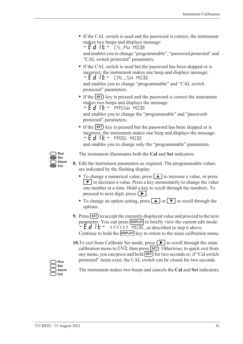**•** If the CAL switch is used and the password is correct, the instrument makes two beeps and displays message:  $-Ed$  it -  $TS$  pw mode

and enables you to change "programmable", "password protected" and "CAL switch protected" parameters.

• If the CAL switch is used but the password has been skipped or is incorrect, the instrument makes one beep and displays message: -EDIT- CAL\_SW MODE

and enables you to change "programmable" and "CAL switch protected" parameters.

- If the **SET**) key is pressed and the password is correct the instrument makes two beeps and displays the message:
	- -EDIT- PASSW MODE and enables you to change the "programmable" and "passwordprotected" parameters.
- If the **SET**) key is pressed but the password has been skipped or is incorrect, the instrument makes one beep and displays the message: -EDIT- PROG MODE

and enables you to change only the "programmable" parameters.



The instrument illuminates both the **Cal** and **Set** indicators.

- **8.** Edit the instrument parameters as required. The programmable values are indicated by the flashing display.
	- To change a numerical value, press **A** to increase a value, or press  $\triangledown$  to decrease a value. Press a key momentarily to change the value one number at a time. Hold a key to scroll through the numbers. To proceed to next digit, press  $(\blacktriangleright)$ .
	- To change an option setting, press  $\Box$  or  $\nabla$  to scroll through the options.
- **9.** Press **SET** to accept the currently displayed value and proceed to the next parameter. You can press **DISPLAY** to briefly view the current edit mode:  $-Ed$   $E - \frac{2}{x}$  XXXXXX MODE, as described in step 6 above. Continue to hold the **DISPLAY** key to return to the main calibration menu.
- **10.**To exit from Calibrate Set mode, press  $\Box$  to scroll through the main calibration menu to  $ENI$ , then press  $SET$ . Otherwise, to quick exit from any menu, you can press and hold **SET** for two seconds or, if "Cal switch protected" items exist, the CAL switch can be closed for two seconds.

**Run Set Alarm Cal**

The instrument makes two beeps and cancels the **Cal** and **Set** indicators.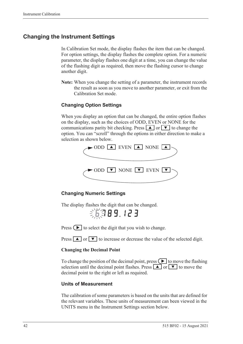### **Changing the Instrument Settings**

In Calibration Set mode, the display flashes the item that can be changed. For option settings, the display flashes the complete option. For a numeric parameter, the display flashes one digit at a time, you can change the value of the flashing digit as required, then move the flashing cursor to change another digit.

**Note:** When you change the setting of a parameter, the instrument records the result as soon as you move to another parameter, or exit from the Calibration Set mode.

### **Changing Option Settings**

When you display an option that can be changed, the entire option flashes on the display, such as the choices of ODD, EVEN or NONE for the communications parity bit checking. Press  $\boxed{\blacktriangle}$  or  $\boxed{\blacktriangledown}$  to change the option. You can "scroll" through the options in either direction to make a selection as shown below.



### **Changing Numeric Settings**

The display flashes the digit that can be changed.

第第89.123

Press  $\left( \blacktriangleright \right)$  to select the digit that you wish to change.

Press  $\boxed{\blacktriangle}$  or  $\boxed{\blacktriangledown}$  to increase or decrease the value of the selected digit.

#### **Changing the Decimal Point**

To change the position of the decimal point, press  $\Box$  to move the flashing selection until the decimal point flashes. Press  $\boxed{\blacktriangle}$  or  $\boxed{\blacktriangledown}$  to move the decimal point to the right or left as required.

### **Units of Measurement**

The calibration of some parameters is based on the units that are defined for the relevant variables. These units of measurement can been viewed in the UNITS menu in the Instrument Settings section below.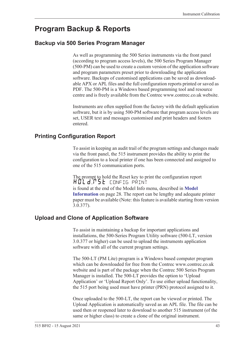### <span id="page-52-0"></span>**Program Backup & Reports**

### **Backup via 500 Series Program Manager**

As well as programming the 500 Series instruments via the front panel (according to program access levels), the 500 Series Program Manager (500-PM) can be used to create a custom version of the application software and program parameters preset prior to downloading the application software. Backups of customised applications can be saved as downloadable APX or APL files and the full configuration reports printed or saved as PDF. The 500-PM is a Windows based programming tool and resource centre and is freely available from the Contrec www.contrec.co.uk website.

Instruments are often supplied from the factory with the default application software, but it is by using 500-PM software that program access levels are set, USER text and messages customised and print headers and footers entered.

### **Printing Configuration Report**

To assist in keeping an audit trail of the program settings and changes made via the front panel, the 515 instrument provides the ability to print the configuration to a local printer if one has been connected and assigned to one of the 515 communication ports.

The prompt to hold the Reset key to print the configuration report HOLd.PSE CONFIG PRINT is found at the end of the Model Info menu, described in **[Model](#page-37-0)  [Information](#page-37-0)** on page 28. The report can be lengthy and adequate printer paper must be available (Note: this feature is available starting from version 3.0.377).

### **Upload and Clone of Application Software**

To assist in maintaining a backup for important applications and installations, the 500-Series Program Utility software (500-LT, version 3.0.377 or higher) can be used to upload the instruments application software with all of the current program settings.

The 500-LT (PM Lite) program is a Windows based computer program which can be downloaded for free from the Contrec www.contrec.co.uk website and is part of the package when the Contrec 500 Series Program Manager is installed. The 500-LT provides the option to 'Upload Application' or 'Upload Report Only'. To use either upload functionality, the 515 port being used must have printer (PRN) protocol assigned to it.

Once uploaded to the 500-LT, the report can be viewed or printed. The Upload Application is automatically saved as an APL file. The file can be used then or reopened later to download to another 515 instrument (of the same or higher class) to create a clone of the original instrument.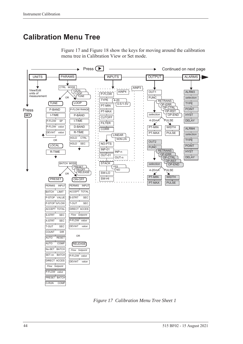### **Calibration Menu Tree**



[Figure 17](#page-53-0) and [Figure 18](#page-54-0) show the keys for moving around the calibration menu tree in Calibration View or Set mode.

<span id="page-53-0"></span>*Figure 17 Calibration Menu Tree Sheet 1*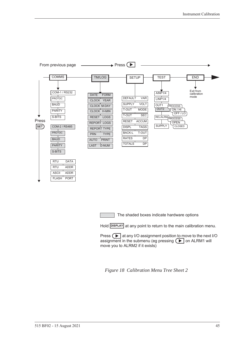

The shaded boxes indicate hardware options

Hold **DISPLAY** at any point to return to the main calibration menu.

Press  $\Box$  at any I/O assignment position to move to the next I/O assignment in the submenu (eg pressing  $\left( \blacktriangleright \right)$  on ALRM1 will move you to ALRM2 if it exists)

<span id="page-54-0"></span>*Figure 18 Calibration Menu Tree Sheet 2*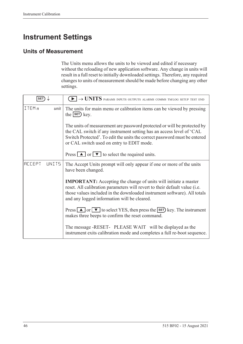## <span id="page-55-0"></span>**Instrument Settings**

### **Units of Measurement**

The Units menu allows the units to be viewed and edited if necessary without the reloading of new application software. Any change in units will result in a full reset to initially downloaded settings. Therefore, any required changes to units of measurement should be made before changing any other settings.

| <b>SET</b>              | $\blacktriangleright$ $\rightarrow$ UNITS params inputs outputs alarms comms tm/log setup test end                                                                                                                                                                              |  |
|-------------------------|---------------------------------------------------------------------------------------------------------------------------------------------------------------------------------------------------------------------------------------------------------------------------------|--|
| ITEMn<br>unit           | The units for main menu or calibration items can be viewed by pressing<br>the $\left  \text{set} \right $ key.                                                                                                                                                                  |  |
|                         | The units of measurement are password protected or will be protected by<br>the CAL switch if any instrument setting has an access level of 'CAL<br>Switch Protected'. To edit the units the correct password must be entered<br>or CAL switch used on entry to EDIT mode.       |  |
|                         | Press $\boxed{\blacktriangle}$ or $\boxed{\blacktriangledown}$ to select the required units.                                                                                                                                                                                    |  |
| <b>ACCEPT</b><br>LINIT5 | The Accept Units prompt will only appear if one or more of the units<br>have been changed.                                                                                                                                                                                      |  |
|                         | <b>IMPORTANT:</b> Accepting the change of units will initiate a master<br>reset. All calibration parameters will revert to their default value (i.e.<br>those values included in the downloaded instrument software). All totals<br>and any logged information will be cleared. |  |
|                         | Press $\Box$ or $\nabla$ to select YES, then press the SET key. The instrument<br>makes three beeps to confirm the reset command.                                                                                                                                               |  |
|                         | The message -RESET- PLEASE WAIT will be displayed as the<br>instrument exits calibration mode and completes a full re-boot sequence.                                                                                                                                            |  |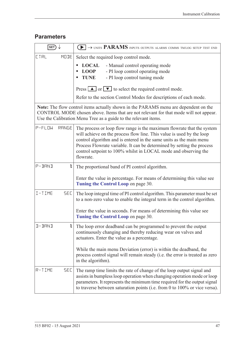### **Parameters**

| SET)                                                    | $\blacktriangleright$ $\rightarrow$ units PARAMS inputs outputs alarms comms tm/log setup test end                                                                                                                                                                                                                                                                               |
|---------------------------------------------------------|----------------------------------------------------------------------------------------------------------------------------------------------------------------------------------------------------------------------------------------------------------------------------------------------------------------------------------------------------------------------------------|
| <b>ETRL</b><br><b>MODE</b>                              | Select the required loop control mode.<br><b>LOCAL</b><br>- Manual control operating mode<br>- PI loop control operating mode<br><b>LOOP</b><br><b>TUNE</b><br>- PI loop control tuning mode                                                                                                                                                                                     |
|                                                         | Press $\boxed{\blacktriangle}$ or $\boxed{\blacktriangledown}$ to select the required control mode.<br>Refer to the section Control Modes for descriptions of each mode.                                                                                                                                                                                                         |
|                                                         | Note: The flow control items actually shown in the PARAMS menu are dependent on the<br>CONTROL MODE chosen above. Items that are not relevant for that mode will not appear.<br>Use the Calibration Menu Tree as a guide to the relevant items.                                                                                                                                  |
| P-FLOW<br>RANGE                                         | The process or loop flow range is the maximum flowrate that the system<br>will achieve on the process flow line. This value is used by the loop<br>control algorithm and is entered in the same units as the main menu<br>Process Flowrate variable. It can be determined by setting the process<br>control setpoint to 100% whilst in LOCAL mode and observing the<br>flowrate. |
| P-BAND<br>∦                                             | The proportional band of PI control algorithm.<br>Enter the value in percentage. For means of determining this value see<br>Tuning the Control Loop on page 30.                                                                                                                                                                                                                  |
| I-TIME<br>SEC <sup>1</sup>                              | The loop integral time of PI control algorithm. This parameter must be set<br>to a non-zero value to enable the integral term in the control algorithm.<br>Enter the value in seconds. For means of determining this value see<br>Tuning the Control Loop on page 30.                                                                                                            |
| $\mathbb{J}-\mathbb{J}\mathsf{H}\mathsf{N}\,\mathbb{J}$ | The loop error deadband can be programmed to prevent the output<br>continuously changing and thereby reducing wear on valves and<br>actuators. Enter the value as a percentage.<br>While the main menu Deviation (error) is within the deadband, the<br>process control signal will remain steady (i.e. the error is treated as zero<br>in the algorithm).                       |
| R-TIME<br>SEC <sub>1</sub>                              | The ramp time limits the rate of change of the loop output signal and<br>assists in bumpless loop operation when changing operation mode or loop<br>parameters. It represents the minimum time required for the output signal<br>to traverse between saturation points (i.e. from 0 to 100% or vice versa).                                                                      |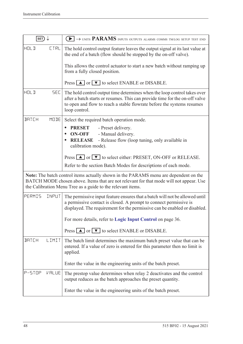| SET)                       | $\blacktriangleright$ $\rightarrow$ units PARAMS inputs outputs alarms comms tm/log setup test end                                                                                                                                                 |
|----------------------------|----------------------------------------------------------------------------------------------------------------------------------------------------------------------------------------------------------------------------------------------------|
| <b>HOLD</b><br><b>ETRL</b> | The hold control output feature leaves the output signal at its last value at<br>the end of a batch (flow should be stopped by the on-off valve).                                                                                                  |
|                            | This allows the control actuator to start a new batch without ramping up<br>from a fully closed position.                                                                                                                                          |
|                            | Press $\boxed{\blacktriangle}$ or $\boxed{\blacktriangledown}$ to select ENABLE or DISABLE.                                                                                                                                                        |
| <b>HOLD</b><br>SEC.        | The hold control output time determines when the loop control takes over<br>after a batch starts or resumes. This can provide time for the on-off valve<br>to open and flow to reach a stable flowrate before the systems resumes<br>loop control. |
| <b>BATCH</b><br>MODE       | Select the required batch operation mode.                                                                                                                                                                                                          |
|                            | <b>PRESET</b><br>- Preset delivery.                                                                                                                                                                                                                |
|                            | <b>ON-OFF</b><br>- Manual delivery.<br>- Release flow (loop tuning, only available in<br><b>RELEASE</b><br>calibration mode).                                                                                                                      |
|                            | Press $\Box$ or $\nabla$ to select either: PRESET, ON-OFF or RELEASE.                                                                                                                                                                              |
|                            | Refer to the section Batch Modes for descriptions of each mode.                                                                                                                                                                                    |
|                            | Note: The batch control items actually shown in the PARAMS menu are dependent on the<br>BATCH MODE chosen above. Items that are not relevant for that mode will not appear. Use<br>the Calibration Menu Tree as a guide to the relevant items.     |
| PERMIS<br>INPUT            | The permissive input feature ensures that a batch will not be allowed until<br>a permissive contact is closed. A prompt to connect permissive is<br>displayed. The requirement for the permissive can be enabled or disabled.                      |
|                            | For more details, refer to Logic Input Control on page 36.                                                                                                                                                                                         |
|                            | Press $\Box$ or $\nabla$ to select ENABLE or DISABLE.                                                                                                                                                                                              |
| <b>BRTCH</b><br>LIMIT      | The batch limit determines the maximum batch preset value that can be<br>entered. If a value of zero is entered for this parameter then no limit is<br>applied.                                                                                    |
|                            | Enter the value in the engineering units of the batch preset.                                                                                                                                                                                      |
| <b>P-510P</b><br>VALUE     | The prestop value determines when relay 2 deactivates and the control<br>output reduces as the batch approaches the preset quantity.                                                                                                               |
|                            | Enter the value in the engineering units of the batch preset.                                                                                                                                                                                      |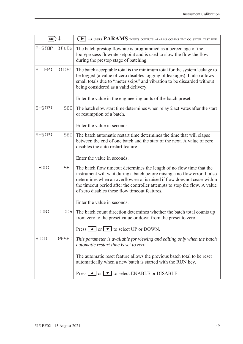| SET)          |              | $\blacktriangleright$ $\rightarrow$ units PARAMS inputs outputs alarms comms tm/log setup test end                                                                                                                                                                                                                                                               |
|---------------|--------------|------------------------------------------------------------------------------------------------------------------------------------------------------------------------------------------------------------------------------------------------------------------------------------------------------------------------------------------------------------------|
| <b>P-510P</b> | <b>XFLOW</b> | The batch prestop flowrate is programmed as a percentage of the<br>loop/process flowrate setpoint and is used to slow the flow the flow<br>during the prestop stage of batching.                                                                                                                                                                                 |
| <b>ACCEPT</b> | TOTAL        | The batch acceptable total is the minimum total for the system leakage to<br>be logged (a value of zero disables logging of leakages). It also allows<br>small totals due to "meter skips" and vibration to be discarded without<br>being considered as a valid delivery.                                                                                        |
|               |              | Enter the value in the engineering units of the batch preset.                                                                                                                                                                                                                                                                                                    |
| 5-5TRT        | <b>SEC</b>   | The batch slow start time determines when relay 2 activates after the start<br>or resumption of a batch.                                                                                                                                                                                                                                                         |
|               |              | Enter the value in seconds.                                                                                                                                                                                                                                                                                                                                      |
| A-STRT        | <b>SEC</b>   | The batch automatic restart time determines the time that will elapse<br>between the end of one batch and the start of the next. A value of zero<br>disables the auto restart feature.                                                                                                                                                                           |
|               |              | Enter the value in seconds.                                                                                                                                                                                                                                                                                                                                      |
| $T - 11T$     | SEC.         | The batch flow timeout determines the length of no flow time that the<br>instrument will wait during a batch before raising a no flow error. It also<br>determines when an overflow error is raised if flow does not cease within<br>the timeout period after the controller attempts to stop the flow. A value<br>of zero disables these flow timeout features. |
|               |              | Enter the value in seconds.                                                                                                                                                                                                                                                                                                                                      |
| <b>COUNT</b>  | JIR.         | The batch count direction determines whether the batch total counts up<br>from zero to the preset value or down from the preset to zero.                                                                                                                                                                                                                         |
|               |              | Press $\boxed{\blacktriangle}$ or $\boxed{\blacktriangledown}$ to select UP or DOWN.                                                                                                                                                                                                                                                                             |
| <b>AUTO</b>   | RESET        | This parameter is available for viewing and editing only when the batch<br>automatic restart time is set to zero.                                                                                                                                                                                                                                                |
|               |              | The automatic reset feature allows the previous batch total to be reset<br>automatically when a new batch is started with the RUN key.                                                                                                                                                                                                                           |
|               |              | Press $\Box$ or $\nabla$ to select ENABLE or DISABLE.                                                                                                                                                                                                                                                                                                            |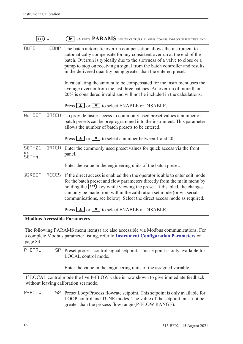| SET)                                             | $\blacktriangleright$ $\rightarrow$ units PARAMS inputs outputs alarms comms tm/log setup test end                                                                                                                                                                                                                                                                                         |
|--------------------------------------------------|--------------------------------------------------------------------------------------------------------------------------------------------------------------------------------------------------------------------------------------------------------------------------------------------------------------------------------------------------------------------------------------------|
| <b>RUTO</b><br><b>COMP</b>                       | The batch automatic overrun compensation allows the instrument to<br>automatically compensate for any consistent overrun at the end of the<br>batch. Overrun is typically due to the slowness of a valve to close or a<br>pump to stop on receiving a signal from the batch controller and results<br>in the delivered quantity being greater than the entered preset.                     |
|                                                  | In calculating the amount to be compensated for the instrument uses the<br>average overrun from the last three batches. An overrun of more than<br>20% is considered invalid and will not be included in the calculations.                                                                                                                                                                 |
|                                                  | Press $\Box$ or $\nabla$ to select ENABLE or DISABLE.                                                                                                                                                                                                                                                                                                                                      |
| $No - SET$<br><b>BRTCH</b>                       | To provide faster access to commonly used preset values a number of<br>batch presets can be preprogrammed into the instrument. This parameter<br>allows the number of batch presets to be entered.                                                                                                                                                                                         |
|                                                  | Press $\Box$ or $\Box$ to select a number between 1 and 20.                                                                                                                                                                                                                                                                                                                                |
| <b>SET-01</b><br><b>BRTCH</b><br>to<br>$5ET - n$ | Enter the commonly used preset values for quick access via the front<br>panel.                                                                                                                                                                                                                                                                                                             |
|                                                  | Enter the value in the engineering units of the batch preset.                                                                                                                                                                                                                                                                                                                              |
| <b>IIRECT</b><br><b>ACCES</b>                    | If the direct access is enabled then the operator is able to enter edit mode<br>for the batch preset and flow parameters directly from the main menu by<br>holding the <b>SET</b> key while viewing the preset. If disabled, the changes<br>can only be made from within the calibration set mode (or via serial<br>communications, see below). Select the direct access mode as required. |
|                                                  | Press $\Box$ or $\nabla$ to select ENABLE or DISABLE.                                                                                                                                                                                                                                                                                                                                      |
| <b>Modbus Accessible Parameters</b>              |                                                                                                                                                                                                                                                                                                                                                                                            |
| page 83.                                         | The following PARAMS menu item(s) are also accessible via Modbus communications. For<br>a complete Modbus parameter listing, refer to Instrument Configuration Parameters on                                                                                                                                                                                                               |
| P-ETRL<br>5P I                                   | Preset process control signal setpoint. This setpoint is only available for<br>LOCAL control mode.                                                                                                                                                                                                                                                                                         |
|                                                  | Enter the value in the engineering units of the assigned variable.                                                                                                                                                                                                                                                                                                                         |
| without leaving calibration set mode.            | If LOCAL control mode the live P-FLOW value is now shown to give immediate feedback                                                                                                                                                                                                                                                                                                        |
| P-FLOW<br>5P                                     | Preset Loop/Process flowrate setpoint. This setpoint is only available for<br>LOOP control and TUNE modes. The value of the setpoint must not be<br>greater than the process flow range (P-FLOW RANGE).                                                                                                                                                                                    |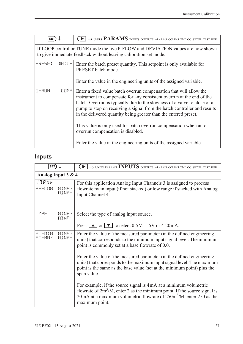| <b>SET</b>                                                                                                                                          | $\blacktriangleright$ $\rightarrow$ units PARAMS inputs outputs alarms comms tm/log setup test end                                                                                                                                                                                                                                                                                                                                                                                                                                                     |  |
|-----------------------------------------------------------------------------------------------------------------------------------------------------|--------------------------------------------------------------------------------------------------------------------------------------------------------------------------------------------------------------------------------------------------------------------------------------------------------------------------------------------------------------------------------------------------------------------------------------------------------------------------------------------------------------------------------------------------------|--|
| If LOOP control or TUNE mode the live P-FLOW and DEVIATION values are now shown<br>to give immediate feedback without leaving calibration set mode. |                                                                                                                                                                                                                                                                                                                                                                                                                                                                                                                                                        |  |
| PRESET<br><b>BRTCH</b>                                                                                                                              | Enter the batch preset quantity. This setpoint is only available for<br>PRESET batch mode.<br>Enter the value in the engineering units of the assigned variable.                                                                                                                                                                                                                                                                                                                                                                                       |  |
| $D - R UN$<br>COMP                                                                                                                                  | Enter a fixed value batch overrun compensation that will allow the<br>instrument to compensate for any consistent overrun at the end of the<br>batch. Overrun is typically due to the slowness of a valve to close or a<br>pump to stop on receiving a signal from the batch controller and results<br>in the delivered quantity being greater than the entered preset.<br>This value is only used for batch overrun compensation when auto<br>overrun compensation is disabled.<br>Enter the value in the engineering units of the assigned variable. |  |

### **Inputs**

| SET)                   |                              | $\rightarrow$ units params INPUTS outputs alarms comms tm/log setup test end                                                                                                                                                                                |  |
|------------------------|------------------------------|-------------------------------------------------------------------------------------------------------------------------------------------------------------------------------------------------------------------------------------------------------------|--|
| Analog Input 3 & 4     |                              |                                                                                                                                                                                                                                                             |  |
| <b>INPUL</b><br>P-FLOW | RINP3<br><b>AINP4</b>        | For this application Analog Input Channels 3 is assigned to process<br>flowrate main input (if not stacked) or low range if stacked with Analog<br>Input Channel 4.                                                                                         |  |
| TYPE                   | E9WIA<br><b>AINP4</b>        | Select the type of analog input source.<br>Press $\boxed{\blacktriangle}$ or $\boxed{\blacktriangledown}$ to select 0-5V, 1-5V or 4-20mA.                                                                                                                   |  |
| PT-MIN<br>PT-MAX       | <b>AINP3</b><br><b>AINP4</b> | Enter the value of the measured parameter (in the defined engineering<br>units) that corresponds to the minimum input signal level. The minimum<br>point is commonly set at a base flowrate of 0.0.                                                         |  |
|                        |                              | Enter the value of the measured parameter (in the defined engineering<br>units) that corresponds to the maximum input signal level. The maximum<br>point is the same as the base value (set at the minimum point) plus the<br>span value.                   |  |
|                        |                              | For example, if the source signal is 4mA at a minimum volumetric<br>flowrate of $2m3/M$ , enter 2 as the minimum point. If the source signal is<br>20 mA at a maximum volumetric flowrate of $250 \text{m}^3/\text{M}$ , enter 250 as the<br>maximum point. |  |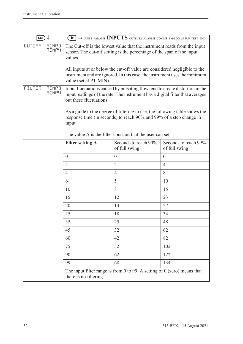| SET           |                              |                         | $\blacktriangleright$ $\rightarrow$ units params INPUTS outputs alarms comms tm/log setup test end                                                                                                                              |                                       |
|---------------|------------------------------|-------------------------|---------------------------------------------------------------------------------------------------------------------------------------------------------------------------------------------------------------------------------|---------------------------------------|
| <b>CUTOFF</b> | <b>AINP3</b><br><b>AINP4</b> | values.                 | The Cut-off is the lowest value that the instrument reads from the input<br>sensor. The cut-off setting is the percentage of the span of the input<br>All inputs at or below the cut-off value are considered negligible to the |                                       |
|               |                              | value (set at PT-MIN).  | instrument and are ignored. In this case, the instrument uses the minimum                                                                                                                                                       |                                       |
| FILTER        | <b>AINP3</b><br><b>AINP4</b> | out these fluctuations. | Input fluctuations caused by pulsating flow tend to create distortion in the<br>input readings of the rate. The instrument has a digital filter that averages                                                                   |                                       |
|               |                              | input.                  | As a guide to the degree of filtering to use, the following table shows the<br>response time (in seconds) to reach 90% and 99% of a step change in                                                                              |                                       |
|               |                              |                         | The value A is the filter constant that the user can set.                                                                                                                                                                       |                                       |
|               |                              | <b>Filter setting A</b> | Seconds to reach 90%<br>of full swing                                                                                                                                                                                           | Seconds to reach 99%<br>of full swing |
|               |                              | $\overline{0}$          | $\theta$                                                                                                                                                                                                                        | $\overline{0}$                        |
|               |                              | $\overline{2}$          | $\overline{2}$                                                                                                                                                                                                                  | $\overline{4}$                        |
|               |                              | $\overline{4}$          | $\overline{4}$                                                                                                                                                                                                                  | 8                                     |
|               |                              | 6                       | 5                                                                                                                                                                                                                               | 10                                    |
|               |                              | 10                      | 8                                                                                                                                                                                                                               | 15                                    |
|               |                              | 15                      | 12                                                                                                                                                                                                                              | 23                                    |
|               |                              | 20                      | 14                                                                                                                                                                                                                              | 27                                    |
|               |                              | 25                      | 18                                                                                                                                                                                                                              | 34                                    |
|               |                              | 35                      | 25                                                                                                                                                                                                                              | 48                                    |
|               |                              | 45                      | 32                                                                                                                                                                                                                              | 62                                    |
|               |                              | 60                      | 42                                                                                                                                                                                                                              | 82                                    |
|               |                              | 75                      | 52                                                                                                                                                                                                                              | 102                                   |
|               |                              | 90                      | 62                                                                                                                                                                                                                              | 122                                   |
|               |                              | 99                      | 68                                                                                                                                                                                                                              | 134                                   |
|               |                              | there is no filtering.  | The input filter range is from 0 to 99. A setting of $0$ (zero) means that                                                                                                                                                      |                                       |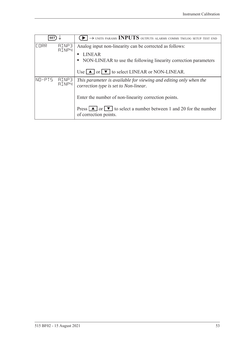| SE <sub>1</sub> |                                                                                  | $\blacktriangleright$ $\rightarrow$ units params <b>INPUTS</b> outputs alarms comms tm/log setup test end  |
|-----------------|----------------------------------------------------------------------------------|------------------------------------------------------------------------------------------------------------|
| <b>CORR</b>     | RINP3<br>Analog input non-linearity can be corrected as follows:<br><b>AINP4</b> |                                                                                                            |
|                 |                                                                                  | <b>LINEAR</b><br>$\bullet$                                                                                 |
|                 |                                                                                  | • NON-LINEAR to use the following linearity correction parameters                                          |
|                 |                                                                                  | Use $\Box$ or $\nabla$ to select LINEAR or NON-LINEAR.                                                     |
| NO-PIS          | RINP3<br><b>AINP4</b>                                                            | This parameter is available for viewing and editing only when the<br>correction type is set to Non-linear. |
|                 |                                                                                  | Enter the number of non-linearity correction points.                                                       |
|                 |                                                                                  | Press $\Box$ or $\nabla$ to select a number between 1 and 20 for the number<br>of correction points.       |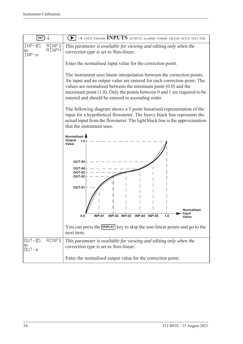| <b>SET</b>                                                    | $\rightarrow$ units params INPUTS outputs alarms comms tm/log setup test end                                                                                                                                                                                                                                                                             |  |  |
|---------------------------------------------------------------|----------------------------------------------------------------------------------------------------------------------------------------------------------------------------------------------------------------------------------------------------------------------------------------------------------------------------------------------------------|--|--|
| $INP - Q1$<br><b>AINP3</b><br><b>AINP4</b><br>to<br>$INP - n$ | This parameter is available for viewing and editing only when the<br>correction type is set to Non-linear.                                                                                                                                                                                                                                               |  |  |
|                                                               | Enter the normalised input value for the correction point.                                                                                                                                                                                                                                                                                               |  |  |
|                                                               | The instrument uses linear interpolation between the correction points.<br>An input and an output value are entered for each correction point. The<br>values are normalised between the minimum point $(0.0)$ and the<br>maximum point $(1.0)$ . Only the points between 0 and 1 are required to be<br>entered and should be entered in ascending order. |  |  |
|                                                               | The following diagram shows a 5 point linearised representation of the<br>input for a hypothetical flowmeter. The heavy black line represents the<br>actual input from the flowmeter. The light black line is the approximation<br>that the instrument uses.                                                                                             |  |  |
|                                                               | <b>Normalised</b><br>Output<br>1.0<br>Value                                                                                                                                                                                                                                                                                                              |  |  |
|                                                               | <b>OUT-05</b><br>OUT-04<br><b>OUT-03</b><br><b>OUT-02</b>                                                                                                                                                                                                                                                                                                |  |  |
|                                                               | <b>OUT-01</b>                                                                                                                                                                                                                                                                                                                                            |  |  |
|                                                               | <b>Normalised</b><br>Input<br><b>INP-01</b><br>INP-02 INP-03 INP-04 INP-05<br>0.0<br>1.0<br>value                                                                                                                                                                                                                                                        |  |  |
|                                                               | You can press the DISPLAY key to skip the non-linear points and go to the<br>next item.                                                                                                                                                                                                                                                                  |  |  |
| $OUT-21$<br><b>AINP3</b><br>to<br>$[[] \cup T - n]$           | This parameter is available for viewing and editing only when the<br>correction type is set to Non-linear.                                                                                                                                                                                                                                               |  |  |
|                                                               | Enter the normalised output value for the correction point.                                                                                                                                                                                                                                                                                              |  |  |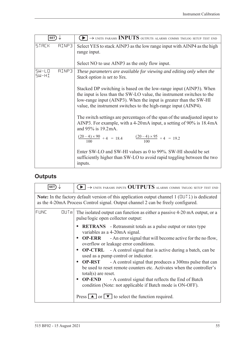| <b>SET</b>                     |              | $\rightarrow$ UNITS PARAMS INPUTS OUTPUTS ALARMS COMMS TM/LOG SETUP TEST END                                                                                                                                                                                                         |
|--------------------------------|--------------|--------------------------------------------------------------------------------------------------------------------------------------------------------------------------------------------------------------------------------------------------------------------------------------|
| <b>STACK</b>                   | <b>EANIA</b> | Select YES to stack AINP3 as the low range input with AINP4 as the high<br>range input.<br>Select NO to use AINP3 as the only flow input.                                                                                                                                            |
| $5W - L$ <sup>O</sup><br>SW-HI | <b>EANIA</b> | These parameters are available for viewing and editing only when the<br>Stack option is set to Yes.                                                                                                                                                                                  |
|                                |              | Stacked DP switching is based on the low-range input (AINP3). When<br>the input is less than the SW-LO value, the instrument switches to the<br>low-range input (AINP3). When the input is greater than the SW-HI<br>value, the instrument switches to the high-range input (AINP4). |
|                                |              | The switch settings are percentages of the span of the unadjusted input to<br>AINP3. For example, with a 4-20mA input, a setting of 90% is 18.4mA<br>and 95% is 19.2 mA.                                                                                                             |
|                                |              | $\frac{(20-4)\times 90}{100} + 4 = 18.4$ $\frac{(20-4)\times 95}{100} + 4 = 19.2$                                                                                                                                                                                                    |
|                                |              | Enter SW-LO and SW-HI values as 0 to 99%. SW-HI should be set<br>sufficiently higher than SW-LO to avoid rapid toggling between the two<br>inputs.                                                                                                                                   |

### **Outputs**

| SET <sup>'</sup>                              | $\blacktriangleright$ $\rightarrow$ units params inputs OUTPUTS alarms comms tm/log setup test end                                                                                                  |
|-----------------------------------------------|-----------------------------------------------------------------------------------------------------------------------------------------------------------------------------------------------------|
|                                               | <b>Note:</b> In the factory default version of this application output channel 1 ( $\Box$ $\Box$ ) is dedicated<br>as the 4-20mA Process Control signal. Output channel 2 can be freely configured. |
| <b>FUNE</b><br>$[$ [ $\cup$ $\lceil n \rceil$ | The isolated output can function as either a passive 4-20 mA output, or a<br>pulse/logic open collector output:                                                                                     |
|                                               | <b>RETRANS</b> - Retransmit totals as a pulse output or rates type<br>variables as a 4-20mA signal.                                                                                                 |
|                                               | <b>OP-ERR</b> - An error signal that will become active for the no flow,<br>$\bullet$<br>overflow or leakage error conditions.                                                                      |
|                                               | • OP-CTRL - A control signal that is active during a batch, can be<br>used as a pump control or indicator.                                                                                          |
|                                               | $\bullet$ OP-RST<br>- A control signal that produces a 300ms pulse that can<br>be used to reset remote counters etc. Activates when the controller's<br>$total(s)$ are reset.                       |
|                                               | <b>OP-END</b> - A control signal that reflects the End of Batch<br>$\bullet$<br>condition (Note: not applicable if Batch mode is ON-OFF).                                                           |
|                                               | Press $\boxed{\blacktriangle}$ or $\boxed{\blacktriangledown}$ to select the function required.                                                                                                     |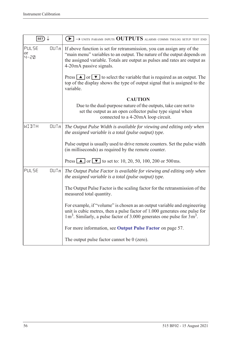| SET) $\downarrow$   |      | $\left(\blacktriangleright\right)\rightarrow$ units params inputs $\text{OUTPUTS}$ alarms comms tm/log setup test end                                                                                                                                       |
|---------------------|------|-------------------------------------------------------------------------------------------------------------------------------------------------------------------------------------------------------------------------------------------------------------|
| PULSE<br>or<br>4-20 | QUTn | If above function is set for retransmission, you can assign any of the<br>"main menu" variables to an output. The nature of the output depends on<br>the assigned variable. Totals are output as pulses and rates are output as<br>4-20 mA passive signals. |
|                     |      | Press $\Box$ or $\nabla$ to select the variable that is required as an output. The<br>top of the display shows the type of output signal that is assigned to the<br>variable.                                                                               |
|                     |      | <b>CAUTION</b>                                                                                                                                                                                                                                              |
|                     |      | Due to the dual-purpose nature of the outputs, take care not to<br>set the output as an open collector pulse type signal when<br>connected to a 4-20mA loop circuit.                                                                                        |
| WIDTH               | QUTn | The Output Pulse Width is available for viewing and editing only when<br>the assigned variable is a total (pulse output) type.                                                                                                                              |
|                     |      | Pulse output is usually used to drive remote counters. Set the pulse width<br>(in milliseconds) as required by the remote counter.                                                                                                                          |
|                     |      | Press $\boxed{\triangle}$ or $\boxed{\triangledown}$ to set to: 10, 20, 50, 100, 200 or 500 ms.                                                                                                                                                             |
| PULSE               | QUTn | The Output Pulse Factor is available for viewing and editing only when<br>the assigned variable is a total (pulse output) type.                                                                                                                             |
|                     |      | The Output Pulse Factor is the scaling factor for the retransmission of the<br>measured total quantity.                                                                                                                                                     |
|                     |      | For example, if "volume" is chosen as an output variable and engineering<br>unit is cubic metres, then a pulse factor of 1.000 generates one pulse for<br>$1 \text{ m}^3$ . Similarly, a pulse factor of 3.000 generates one pulse for $3 \text{ m}^3$ .    |
|                     |      | For more information, see Output Pulse Factor on page 57.                                                                                                                                                                                                   |
|                     |      | The output pulse factor cannot be $0$ (zero).                                                                                                                                                                                                               |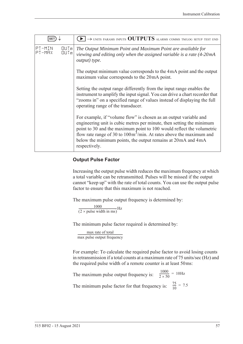| <b>SET</b>       |                                  | $\rightarrow$ units params inputs OUTPUTS alarms comms tm/log setup test end                                                                                                                                                                                                                                                                                                                  |
|------------------|----------------------------------|-----------------------------------------------------------------------------------------------------------------------------------------------------------------------------------------------------------------------------------------------------------------------------------------------------------------------------------------------------------------------------------------------|
| PT-MIN<br>PT-MAX | $\Box \Box Tn$<br>$\Box \Box Tn$ | The Output Minimum Point and Maximum Point are available for<br>viewing and editing only when the assigned variable is a rate (4-20mA<br>output) type.                                                                                                                                                                                                                                        |
|                  |                                  | The output minimum value corresponds to the 4mA point and the output<br>maximum value corresponds to the 20mA point.                                                                                                                                                                                                                                                                          |
|                  |                                  | Setting the output range differently from the input range enables the<br>instrument to amplify the input signal. You can drive a chart recorder that<br>"zooms in" on a specified range of values instead of displaying the full<br>operating range of the transducer.                                                                                                                        |
|                  |                                  | For example, if "volume flow" is chosen as an output variable and<br>engineering unit is cubic metres per minute, then setting the minimum<br>point to 30 and the maximum point to 100 would reflect the volumetric<br>flow rate range of 30 to $100 \text{m}^3/\text{min}$ . At rates above the maximum and<br>below the minimum points, the output remains at 20mA and 4mA<br>respectively. |

#### <span id="page-66-0"></span>**Output Pulse Factor**

Increasing the output pulse width reduces the maximum frequency at which a total variable can be retransmitted. Pulses will be missed if the output cannot "keep up" with the rate of total counts. You can use the output pulse factor to ensure that this maximum is not reached.

The maximum pulse output frequency is determined by:

 $\frac{1000}{(2 \times \text{pulse width in ms})} \text{Hz}$ 

The minimum pulse factor required is determined by:

max rate of total max pulse output frequency ------------------------------------------------------------------

For example: To calculate the required pulse factor to avoid losing counts in retransmission if a total counts at a maximum rate of 75 units/sec (Hz) and the required pulse width of a remote counter is at least 50 ms:

The maximum pulse output frequency is:  $\frac{1000}{2 \times 50}$  = 10Hz The minimum pulse factor for that frequency is:  $\frac{75}{10}$  $\frac{75}{10}$  = 7.5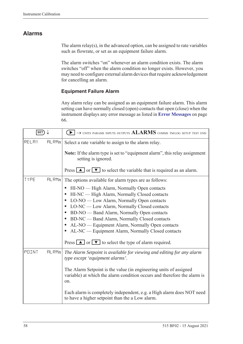### **Alarms**

The alarm relay(s), in the advanced option, can be assigned to rate variables such as flowrate, or set as an equipment failure alarm.

The alarm switches "on" whenever an alarm condition exists. The alarm switches "off" when the alarm condition no longer exists. However, you may need to configure external alarm devices that require acknowledgement for cancelling an alarm.

### **Equipment Failure Alarm**

Any alarm relay can be assigned as an equipment failure alarm. This alarm setting can have normally closed (open) contacts that open (close) when the instrument displays any error message as listed in **[Error Messages](#page-75-1)** on page [66](#page-75-1).

| SET)  |       | $\rightarrow$ units params inputs outputs $ALARNING$ comms tm/log setup test end                                                                                                                                                                                                                                                                                                                                                                                                                                                                                      |
|-------|-------|-----------------------------------------------------------------------------------------------------------------------------------------------------------------------------------------------------------------------------------------------------------------------------------------------------------------------------------------------------------------------------------------------------------------------------------------------------------------------------------------------------------------------------------------------------------------------|
| RELAY | HLRMn | Select a rate variable to assign to the alarm relay.<br>Note: If the alarm type is set to "equipment alarm", this relay assignment<br>setting is ignored.<br>Press $\boxed{\blacktriangle}$ or $\boxed{\blacktriangledown}$ to select the variable that is required as an alarm.                                                                                                                                                                                                                                                                                      |
| TYPE  | HLRMn | The options available for alarm types are as follows:<br>HI-NO — High Alarm, Normally Open contacts<br>HI-NC — High Alarm, Normally Closed contacts<br>• LO-NO — Low Alarm, Normally Open contacts<br>• LO-NC — Low Alarm, Normally Closed contacts<br>• BD-NO — Band Alarm, Normally Open contacts<br>• BD-NC - Band Alarm, Normally Closed contacts<br>AL-NO — Equipment Alarm, Normally Open contacts<br>AL-NC — Equipment Alarm, Normally Closed contacts<br>Press $\boxed{\blacktriangle}$ or $\boxed{\blacktriangledown}$ to select the type of alarm required. |
| POINT | HLRMn | The Alarm Setpoint is available for viewing and editing for any alarm<br>type except 'equipment alarms'.<br>The Alarm Setpoint is the value (in engineering units of assigned<br>variable) at which the alarm condition occurs and therefore the alarm is<br>on.<br>Each alarm is completely independent, e.g. a High alarm does NOT need<br>to have a higher setpoint than the a Low alarm.                                                                                                                                                                          |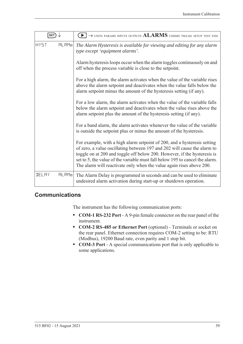| <b>SET</b>           | $\rightarrow$ units params inputs outputs $ALARNING$ comms tm/log setup test end                                                                                                                                                                                                                                                                                                         |
|----------------------|------------------------------------------------------------------------------------------------------------------------------------------------------------------------------------------------------------------------------------------------------------------------------------------------------------------------------------------------------------------------------------------|
| <b>HY5T</b><br>HLRMn | The Alarm Hysteresis is available for viewing and editing for any alarm<br>type except 'equipment alarms'.                                                                                                                                                                                                                                                                               |
|                      | Alarm hysteresis loops occur when the alarm toggles continuously on and<br>off when the process variable is close to the setpoint.                                                                                                                                                                                                                                                       |
|                      | For a high alarm, the alarm activates when the value of the variable rises<br>above the alarm setpoint and deactivates when the value falls below the<br>alarm setpoint minus the amount of the hysteresis setting (if any).                                                                                                                                                             |
|                      | For a low alarm, the alarm activates when the value of the variable falls<br>below the alarm setpoint and deactivates when the value rises above the<br>alarm setpoint plus the amount of the hysteresis setting (if any).                                                                                                                                                               |
|                      | For a band alarm, the alarm activates whenever the value of the variable<br>is outside the setpoint plus or minus the amount of the hysteresis.                                                                                                                                                                                                                                          |
|                      | For example, with a high alarm setpoint of 200, and a hysteresis setting<br>of zero, a value oscillating between 197 and 202 will cause the alarm to<br>toggle on at 200 and toggle off below 200. However, if the hysteresis is<br>set to 5, the value of the variable must fall below 195 to cancel the alarm.<br>The alarm will reactivate only when the value again rises above 200. |
| DELAY<br>HLRMn       | The Alarm Delay is programmed in seconds and can be used to eliminate<br>undesired alarm activation during start-up or shutdown operation.                                                                                                                                                                                                                                               |

### **Communications**

The instrument has the following communication ports:

- **• COM-1 RS-232 Port** A 9-pin female connector on the rear panel of the instrument.
- **• COM-2 RS-485 or Ethernet Port** (optional) Terminals or socket on the rear panel. Ethernet connection requires COM-2 setting to be: RTU (Modbus), 19200 Baud rate, even parity and 1 stop bit.
- **• COM-3 Port** A special communications port that is only applicable to some applications.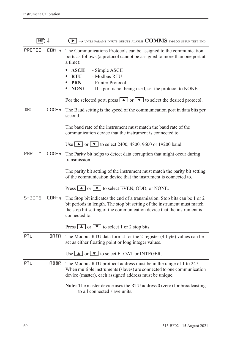| SET)                    | $\rightarrow$ units params inputs ouputs alarms $COMMS$ tm/log setup test end                                                                                                                                                                     |
|-------------------------|---------------------------------------------------------------------------------------------------------------------------------------------------------------------------------------------------------------------------------------------------|
| PROTOC<br>$CDM - n$     | The Communications Protocols can be assigned to the communication<br>ports as follows (a protocol cannot be assigned to more than one port at<br>a time):                                                                                         |
|                         | <b>ASCII</b><br>- Simple ASCII<br>- Modbus RTU<br><b>RTU</b><br>- Printer Protocol<br><b>PRN</b>                                                                                                                                                  |
|                         | <b>NONE</b><br>- If a port is not being used, set the protocol to NONE.                                                                                                                                                                           |
|                         | For the selected port, press $\Box$ or $\Box$ to select the desired protocol.                                                                                                                                                                     |
| BAUD<br>$CDM - n$       | The Baud setting is the speed of the communication port in data bits per<br>second.                                                                                                                                                               |
|                         | The baud rate of the instrument must match the baud rate of the<br>communication device that the instrument is connected to.                                                                                                                      |
|                         | Use $\boxed{\blacktriangle}$ or $\boxed{\blacktriangledown}$ to select 2400, 4800, 9600 or 19200 baud.                                                                                                                                            |
| PARITY<br>$CDM - n$     | The Parity bit helps to detect data corruption that might occur during<br>transmission.                                                                                                                                                           |
|                         | The parity bit setting of the instrument must match the parity bit setting<br>of the communication device that the instrument is connected to.                                                                                                    |
|                         | Press $\boxed{\blacktriangle}$ or $\boxed{\blacktriangledown}$ to select EVEN, ODD, or NONE.                                                                                                                                                      |
| $5 - B175$<br>$CDM - n$ | The Stop bit indicates the end of a transmission. Stop bits can be 1 or 2<br>bit periods in length. The stop bit setting of the instrument must match<br>the stop bit setting of the communication device that the instrument is<br>connected to. |
|                         | Press $\boxed{\blacktriangle}$ or $\boxed{\blacktriangledown}$ to select 1 or 2 stop bits.                                                                                                                                                        |
| RTU<br><b>IRTR</b>      | The Modbus RTU data format for the 2-register (4-byte) values can be<br>set as either floating point or long integer values.                                                                                                                      |
|                         | Use $\boxed{\blacktriangle}$ or $\boxed{\blacktriangledown}$ to select FLOAT or INTEGER.                                                                                                                                                          |
| RTU<br>ALLR             | The Modbus RTU protocol address must be in the range of 1 to 247.<br>When multiple instruments (slaves) are connected to one communication<br>device (master), each assigned address must be unique.                                              |
|                         | Note: The master device uses the RTU address $0$ (zero) for broadcasting<br>to all connected slave units.                                                                                                                                         |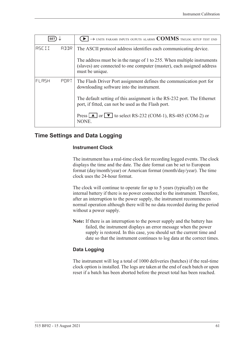| SE <sub>1</sub> |             | $\rightarrow$ units params inputs ouputs alarms $COMMS$ tm/log setup test end                                                                                        |
|-----------------|-------------|----------------------------------------------------------------------------------------------------------------------------------------------------------------------|
| <b>RSCII</b>    | <b>ATTH</b> | The ASCII protocol address identifies each communicating device.                                                                                                     |
|                 |             | The address must be in the range of 1 to 255. When multiple instruments<br>(slaves) are connected to one computer (master), each assigned address<br>must be unique. |
| <b>FLASH</b>    | PORT        | The Flash Driver Port assignment defines the communication port for<br>downloading software into the instrument.                                                     |
|                 |             | The default setting of this assignment is the RS-232 port. The Ethernet<br>port, if fitted, can not be used as the Flash port.                                       |
|                 |             | Press $\blacksquare$ or $\blacksquare$ to select RS-232 (COM-1), RS-485 (COM-2) or<br>NONE.                                                                          |

### **Time Settings and Data Logging**

#### **Instrument Clock**

The instrument has a real-time clock for recording logged events. The clock displays the time and the date. The date format can be set to European format (day/month/year) or American format (month/day/year). The time clock uses the 24-hour format.

The clock will continue to operate for up to 5 years (typically) on the internal battery if there is no power connected to the instrument. Therefore, after an interruption to the power supply, the instrument recommences normal operation although there will be no data recorded during the period without a power supply.

**Note:** If there is an interruption to the power supply and the battery has failed, the instrument displays an error message when the power supply is restored. In this case, you should set the current time and date so that the instrument continues to log data at the correct times.

### **Data Logging**

The instrument will log a total of 1000 deliveries (batches) if the real-time clock option is installed. The logs are taken at the end of each batch or upon reset if a batch has been aborted before the preset total has been reached.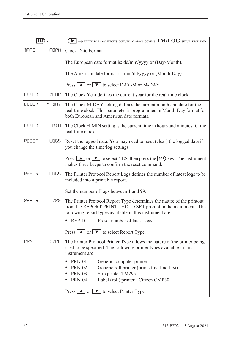| SET)         |             | $\rightarrow$ units params inputs ouputs alarms comms $\mathbf{TM} / \mathbf{LOG}$ setup test end                                                                                                                                    |
|--------------|-------------|--------------------------------------------------------------------------------------------------------------------------------------------------------------------------------------------------------------------------------------|
| <b>JATE</b>  | FORM        | <b>Clock Date Format</b>                                                                                                                                                                                                             |
|              |             | The European date format is: dd/mm/yyyy or (Day-Month).                                                                                                                                                                              |
|              |             | The American date format is: mm/dd/yyyy or (Month-Day).                                                                                                                                                                              |
|              |             | Press $\boxed{\blacktriangle}$ or $\boxed{\blacktriangledown}$ to select DAY-M or M-DAY                                                                                                                                              |
| <b>CLOCK</b> | YEAR        | The Clock Year defines the current year for the real-time clock.                                                                                                                                                                     |
| <b>CLOCK</b> | $M - JHY$   | The Clock M-DAY setting defines the current month and date for the<br>real-time clock. This parameter is programmed in Month-Day format for<br>both European and American date formats.                                              |
| ELOEK        | H-MIN       | The Clock H-MIN setting is the current time in hours and minutes for the<br>real-time clock.                                                                                                                                         |
| RESET        | <b>LOGS</b> | Reset the logged data. You may need to reset (clear) the logged data if<br>you change the time/log settings.<br>Press $\boxed{\blacktriangle}$ or $\boxed{\blacktriangledown}$ to select YES, then press the SET key. The instrument |
|              |             | makes three beeps to confirm the reset command.                                                                                                                                                                                      |
| REPORT       | LOG5        | The Printer Protocol Report Logs defines the number of latest logs to be<br>included into a printable report.                                                                                                                        |
|              |             | Set the number of logs between 1 and 99.                                                                                                                                                                                             |
| REPORT       | TYPE        | The Printer Protocol Report Type determines the nature of the printout<br>from the REPORT PRINT - HOLD.SET prompt in the main menu. The<br>following report types available in this instrument are:                                  |
|              |             | <b>REP-10</b><br>Preset number of latest logs                                                                                                                                                                                        |
|              |             | Press $\boxed{\blacktriangle}$ or $\boxed{\blacktriangledown}$ to select Report Type.                                                                                                                                                |
| PRN          | <b>TYPE</b> | The Printer Protocol Printer Type allows the nature of the printer being<br>used to be specified. The following printer types available in this<br>instrument are:                                                                   |
|              |             | <b>PRN-01</b><br>Generic computer printer<br>$\bullet$<br><b>PRN-02</b><br>Generic roll printer (prints first line first)<br><b>PRN-03</b><br>Slip printer TM295                                                                     |
|              |             |                                                                                                                                                                                                                                      |
|              |             | <b>PRN-04</b><br>Label (roll) printer - Citizen CMP30L<br>Press $\boxed{\blacktriangle}$ or $\boxed{\blacktriangledown}$ to select Printer Type.                                                                                     |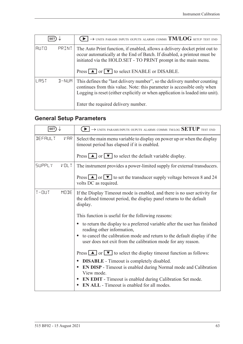|             |            | $\rightarrow$ units params inputs ouputs alarms comms $\mathrm{TM}/\mathrm{LOG}$ setup test end                                                                                                                                                                                   |
|-------------|------------|-----------------------------------------------------------------------------------------------------------------------------------------------------------------------------------------------------------------------------------------------------------------------------------|
| <b>RUTO</b> | PRINT      | The Auto Print function, if enabled, allows a delivery docket print out to<br>occur automatically at the End of Batch. If disabled, a printout must be<br>initiated via the HOLD.SET - TO PRINT prompt in the main menu.<br>Press $\Box$ or $\nabla$ to select ENABLE or DISABLE. |
| LAST        | $J - N LM$ | This defines the "last delivery number", so the delivery number counting<br>continues from this value. Note: this parameter is accessible only when<br>Logging is reset (either explicitly or when application is loaded into unit).<br>Enter the required delivery number.       |

### <span id="page-72-0"></span>**General Setup Parameters**

<span id="page-72-1"></span>

| $\ket{\texttt{SET}} \downarrow$ |                 | $\rightarrow$ units params inputs ouputs alarms comms tm/log SETUP test end                                                                                   |
|---------------------------------|-----------------|---------------------------------------------------------------------------------------------------------------------------------------------------------------|
| <b>JEFRULT</b>                  | <b>VRR</b>      | Select the main menu variable to display on power up or when the display<br>timeout period has elapsed if it is enabled.                                      |
|                                 |                 | Press $\boxed{\blacktriangle}$ or $\boxed{\blacktriangledown}$ to select the default variable display.                                                        |
| <b>SUPPLY</b>                   | $V \square L$ T | The instrument provides a power-limited supply for external transducers.                                                                                      |
|                                 |                 | Press $\Box$ or $\nabla$ to set the transducer supply voltage between 8 and 24<br>volts DC as required.                                                       |
| $T - 11T$                       | MODE            | If the Display Timeout mode is enabled, and there is no user activity for<br>the defined timeout period, the display panel returns to the default<br>display. |
|                                 |                 | This function is useful for the following reasons:                                                                                                            |
|                                 |                 | to return the display to a preferred variable after the user has finished<br>$\bullet$<br>reading other information,                                          |
|                                 |                 | to cancel the calibration mode and return to the default display if the<br>$\bullet$<br>user does not exit from the calibration mode for any reason.          |
|                                 |                 | Press $\boxed{\blacktriangle}$ or $\boxed{\blacktriangledown}$ to select the display timeout function as follows:                                             |
|                                 |                 | <b>DISABLE</b> - Timeout is completely disabled.                                                                                                              |
|                                 |                 | EN DISP - Timeout is enabled during Normal mode and Calibration<br>$\bullet$<br>View mode.                                                                    |
|                                 |                 | <b>EN EDIT</b> - Timeout is enabled during Calibration Set mode.<br><b>EN ALL</b> - Timeout is enabled for all modes.                                         |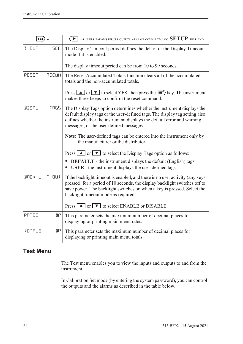<span id="page-73-0"></span>

| SET) $\downarrow$ |              | $(\blacktriangleright)$ $\rightarrow$ units params inputs ouputs alarms comms tm/log $\operatorname{SETUP}$ test end                                                                                                                                                         |
|-------------------|--------------|------------------------------------------------------------------------------------------------------------------------------------------------------------------------------------------------------------------------------------------------------------------------------|
| $T - 11T$         | <b>SEC</b>   | The Display Timeout period defines the delay for the Display Timeout<br>mode if it is enabled.                                                                                                                                                                               |
|                   |              | The display timeout period can be from 10 to 99 seconds.                                                                                                                                                                                                                     |
| RESET             | <b>REEUM</b> | The Reset Accumulated Totals function clears all of the accumulated<br>totals and the non-accumulated totals.                                                                                                                                                                |
|                   |              | Press $\Box$ or $\nabla$ to select YES, then press the <b>SET</b> ) key. The instrument<br>makes three beeps to confirm the reset command.                                                                                                                                   |
| <b>IISPL</b>      | <b>TRGS</b>  | The Display Tags option determines whether the instrument displays the<br>default display tags or the user-defined tags. The display tag setting also<br>defines whether the instrument displays the default error and warning<br>messages, or the user-defined messages.    |
|                   |              | Note: The user-defined tags can be entered into the instrument only by<br>the manufacturer or the distributor.                                                                                                                                                               |
|                   |              | Press $\boxed{\blacktriangle}$ or $\boxed{\blacktriangledown}$ to select the Display Tags option as follows:                                                                                                                                                                 |
|                   |              | <b>DEFAULT</b> - the instrument displays the default (English) tags<br>$\bullet$<br><b>USER</b> - the instrument displays the user-defined tags.                                                                                                                             |
| $B H L K - L$     | $T - 11T$    | If the backlight timeout is enabled, and there is no user activity (any keys<br>pressed) for a period of 10 seconds, the display backlight switches off to<br>save power. The backlight switches on when a key is pressed. Select the<br>backlight timeout mode as required. |
|                   |              | Press $\boxed{\blacktriangle}$ or $\boxed{\blacktriangledown}$ to select ENABLE or DISABLE.                                                                                                                                                                                  |
| <b>RATES</b>      | IJΡ          | This parameter sets the maximum number of decimal places for<br>displaying or printing main menu rates.                                                                                                                                                                      |
| TOTALS            | ηp           | This parameter sets the maximum number of decimal places for<br>displaying or printing main menu totals.                                                                                                                                                                     |

### **Test Menu**

The Test menu enables you to view the inputs and outputs to and from the instrument.

In Calibration Set mode (by entering the system password), you can control the outputs and the alarms as described in the table below.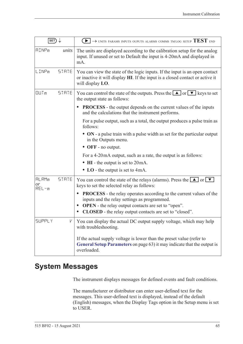| SET)                     |              | $\rightarrow$ units params inputs ouputs alarms comms tm/log setup $\text{TEST}$ end                                                                                                                                                                                    |
|--------------------------|--------------|-------------------------------------------------------------------------------------------------------------------------------------------------------------------------------------------------------------------------------------------------------------------------|
| HIMPn                    | units        | The units are displayed according to the calibration setup for the analog<br>input. If unused or set to Default the input is 4-20mA and displayed in<br>mA.                                                                                                             |
| $L$ INP $n$              | STRTE        | You can view the state of the logic inputs. If the input is an open contact<br>or inactive it will display HI. If the input is a closed contact or active it<br>will display LO.                                                                                        |
| QUTn                     | <b>STRTE</b> | You can control the state of the outputs. Press the $\Box$ or $\nabla$ keys to set<br>the output state as follows:                                                                                                                                                      |
|                          |              | <b>PROCESS</b> - the output depends on the current values of the inputs<br>and the calculations that the instrument performs.                                                                                                                                           |
|                          |              | For a pulse output, such as a total, the output produces a pulse train as<br>follows:                                                                                                                                                                                   |
|                          |              | • ON - a pulse train with a pulse width as set for the particular output<br>in the Outputs menu.                                                                                                                                                                        |
|                          |              | • OFF - no output.                                                                                                                                                                                                                                                      |
|                          |              | For a 4-20 mA output, such as a rate, the output is as follows:                                                                                                                                                                                                         |
|                          |              | • HI - the output is set to 20mA.                                                                                                                                                                                                                                       |
|                          |              | • LO - the output is set to 4mA.                                                                                                                                                                                                                                        |
| HLRMn<br>0r<br>$REL - n$ | <b>STATE</b> | You can control the state of the relays (alarms). Press the $\Delta$ or $\nabla$<br>keys to set the selected relay as follows:                                                                                                                                          |
|                          |              | <b>PROCESS</b> - the relay operates according to the current values of the<br>$\bullet$<br>inputs and the relay settings as programmed.<br><b>OPEN</b> - the relay output contacts are set to "open".<br><b>CLOSED</b> - the relay output contacts are set to "closed". |
| <b>SUPPLY</b>            | V            | You can display the actual DC output supply voltage, which may help<br>with troubleshooting.                                                                                                                                                                            |
|                          |              | If the actual supply voltage is lower than the preset value (refer to<br>General Setup Parameters on page 63) it may indicate that the output is<br>overloaded.                                                                                                         |

## **System Messages**

The instrument displays messages for defined events and fault conditions.

The manufacturer or distributor can enter user-defined text for the messages. This user-defined text is displayed, instead of the default (English) messages, when the Display Tags option in the Setup menu is set to USER.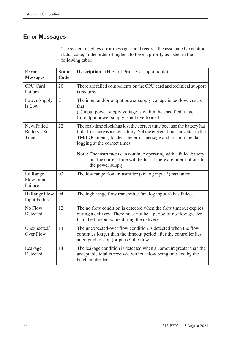### <span id="page-75-1"></span>**Error Messages**

The system displays error messages, and records the associated exception status code, in the order of highest to lowest priority as listed in the following table:

<span id="page-75-0"></span>

| <b>Error</b><br><b>Messages</b>       | <b>Status</b><br>Code | <b>Description -</b> (Highest Priority at top of table).                                                                                                                                                                                                                                                                                                                                                         |
|---------------------------------------|-----------------------|------------------------------------------------------------------------------------------------------------------------------------------------------------------------------------------------------------------------------------------------------------------------------------------------------------------------------------------------------------------------------------------------------------------|
| <b>CPU</b> Card<br>Failure            | 20                    | There are failed components on the CPU card and technical support<br>is required.                                                                                                                                                                                                                                                                                                                                |
| Power Supply<br>is Low                | 21                    | The input and/or output power supply voltage is too low, ensure<br>that:<br>(a) input power supply voltage is within the specified range<br>(b) output power supply is not overloaded.                                                                                                                                                                                                                           |
| New/Failed<br>Battery - Set<br>Time   | 22                    | The real-time clock has lost the correct time because the battery has<br>failed, or there is a new battery. Set the current time and date (in the<br>TM/LOG menu) to clear the error message and to continue data<br>logging at the correct times.<br>Note: The instrument can continue operating with a failed battery,<br>but the correct time will be lost if there are interruptions to<br>the power supply. |
| Lo Range<br>Flow Input<br>Failure     | 03                    | The low range flow transmitter (analog input 3) has failed.                                                                                                                                                                                                                                                                                                                                                      |
| Hi Range Flow<br><b>Input Failure</b> | 04                    | The high range flow transmitter (analog input 4) has failed.                                                                                                                                                                                                                                                                                                                                                     |
| No Flow<br>Detected                   | 12                    | The no flow condition is detected when the flow timeout expires<br>during a delivery. There must not be a period of no flow greater<br>than the timeout value during the delivery.                                                                                                                                                                                                                               |
| Unexpected/<br>Over Flow              | 13                    | The unexpected/over flow condition is detected when the flow<br>continues longer than the timeout period after the controller has<br>attempted to stop (or pause) the flow.                                                                                                                                                                                                                                      |
| Leakage<br>Detected                   | 14                    | The leakage condition is detected when an amount greater than the<br>acceptable total is received without flow being initiated by the<br>batch controller.                                                                                                                                                                                                                                                       |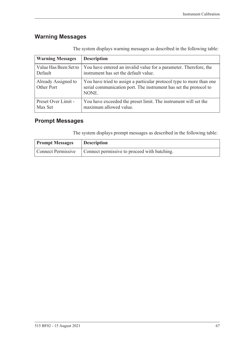### **Warning Messages**

| <b>Warning Messages</b>           | <b>Description</b>                                                                                                                                 |
|-----------------------------------|----------------------------------------------------------------------------------------------------------------------------------------------------|
| Value Has Been Set to             | You have entered an invalid value for a parameter. Therefore, the                                                                                  |
| Default                           | instrument has set the default value.                                                                                                              |
| Already Assigned to<br>Other Port | You have tried to assign a particular protocol type to more than one<br>serial communication port. The instrument has set the protocol to<br>NONE. |
| Preset Over Limit -               | You have exceeded the preset limit. The instrument will set the                                                                                    |
| Max Set                           | maximum allowed value.                                                                                                                             |

The system displays warning messages as described in the following table:

### **Prompt Messages**

The system displays prompt messages as described in the following table:

| <b>Prompt Messages</b> | <b>Description</b>                           |
|------------------------|----------------------------------------------|
| Connect Permissive     | Connect permissive to proceed with batching. |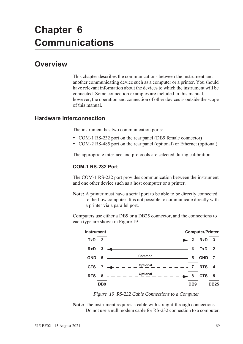# **Chapter 6 Communications**

## **Overview**

<span id="page-78-2"></span>This chapter describes the communications between the instrument and another communicating device such as a computer or a printer. You should have relevant information about the devices to which the instrument will be connected. Some connection examples are included in this manual, however, the operation and connection of other devices is outside the scope of this manual.

#### **Hardware Interconnection**

<span id="page-78-3"></span>The instrument has two communication ports:

- **•** COM-1 RS-232 port on the rear panel (DB9 female connector)
- **•** COM-2 RS-485 port on the rear panel (optional) or Ethernet (optional)

The appropriate interface and protocols are selected during calibration.

#### <span id="page-78-1"></span>**COM-1 RS-232 Port**

The COM-1 RS-232 port provides communication between the instrument and one other device such as a host computer or a printer.

**Note:** A printer must have a serial port to be able to be directly connected to the flow computer. It is not possible to communicate directly with a printer via a parallel port.

Computers use either a DB9 or a DB25 connector, and the connections to each type are shown in [Figure 19.](#page-78-0)



*Figure 19 RS-232 Cable Connections to a Computer*

<span id="page-78-0"></span>**Note:** The instrument requires a cable with straight-through connections. Do not use a null modem cable for RS-232 connection to a computer.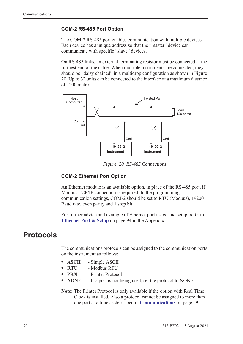#### <span id="page-79-1"></span>**COM-2 RS-485 Port Option**

The COM-2 RS-485 port enables communication with multiple devices. Each device has a unique address so that the "master" device can communicate with specific "slave" devices.

On RS-485 links, an external terminating resistor must be connected at the furthest end of the cable. When multiple instruments are connected, they should be "daisy chained" in a multidrop configuration as shown in Figure [20](#page-79-0). Up to 32 units can be connected to the interface at a maximum distance of 1200 metres.



<span id="page-79-3"></span>*Figure 20 RS-485 Connections*

#### <span id="page-79-0"></span>**COM-2 Ethernet Port Option**

An Ethernet module is an available option, in place of the RS-485 port, if Modbus TCP/IP connection is required. In the programming communication settings, COM-2 should be set to RTU (Modbus), 19200 Baud rate, even parity and 1 stop bit.

<span id="page-79-2"></span>For further advice and example of Ethernet port usage and setup, refer to **[Ethernet Port & Setup](#page-103-0)** on page 94 in the Appendix.

### **Protocols**

The communications protocols can be assigned to the communication ports on the instrument as follows:

- **• ASCII** Simple ASCII
- **• RTU** Modbus RTU
- **• PRN** Printer Protocol
- **NONE** If a port is not being used, set the protocol to NONE.

**Note:** The Printer Protocol is only available if the option with Real Time Clock is installed. Also a protocol cannot be assigned to more than one port at a time as described in **[Communications](#page-68-0)** on page 59.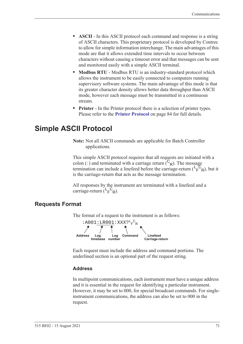- **• ASCII** In this ASCII protocol each command and response is a string of ASCII characters. This proprietary protocol is developed by Contrec to allow for simple information interchange. The main advantages of this mode are that it allows extended time intervals to occur between characters without causing a timeout error and that messages can be sent and monitored easily with a simple ASCII terminal.
- **• Modbus RTU** Modbus RTU is an industry-standard protocol which allows the instrument to be easily connected to computers running supervisory software systems. The main advantage of this mode is that its greater character density allows better data throughput than ASCII mode, however each message must be transmitted in a continuous stream.
- <span id="page-80-1"></span>**• Printer** - In the Printer protocol there is a selection of printer types. Please refer to the **[Printer Protocol](#page-93-0)** on page 84 for full details.

### **Simple ASCII Protocol**

**Note:** Not all ASCII commands are applicable for Batch Controller applications.

This simple ASCII protocol requires that all requests are initiated with a colon (:) and terminated with a carriage return  $\binom{C_R}{R}$ . The message termination can include a linefeed before the carriage-return  $(\mathsf{L}_\mathsf{F}^\mathsf{C}_{\mathsf{R}})$ , but it is the carriage-return that acts as the message termination.

<span id="page-80-2"></span>All responses by the instrument are terminated with a linefeed and a carriage-return  $\left( \begin{smallmatrix} L & C \\ F & R \end{smallmatrix} \right)$ .

#### **Requests Format**

The format of a request to the instrument is as follows:



Each request must include the address and command portions. The underlined section is an optional part of the request string.

#### <span id="page-80-0"></span>**Address**

In multipoint communications, each instrument must have a unique address and it is essential in the request for identifying a particular instrument. However, it may be set to 000, for special broadcast commands. For singleinstrument communications, the address can also be set to 000 in the request.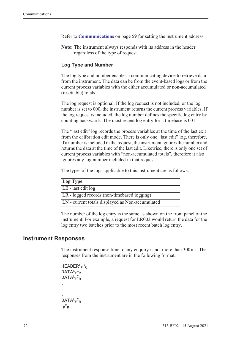Refer to **[Communications](#page-68-0)** on page 59 for setting the instrument address.

**Note:** The instrument always responds with its address in the header regardless of the type of request.

#### **Log Type and Number**

The log type and number enables a communicating device to retrieve data from the instrument. The data can be from the event-based logs or from the current process variables with the either accumulated or non-accumulated (resettable) totals.

The log request is optional. If the log request is not included, or the log number is set to 000, the instrument returns the current process variables. If the log request is included, the log number defines the specific log entry by counting backwards. The most recent log entry for a timebase is 001.

The "last edit" log records the process variables at the time of the last exit from the calibration edit mode. There is only one "last edit" log, therefore, if a number is included in the request, the instrument ignores the number and returns the data at the time of the last edit. Likewise, there is only one set of current process variables with "non-accumulated totals", therefore it also ignores any log number included in that request.

The types of the logs applicable to this instrument are as follows:

| Log Type                                         |
|--------------------------------------------------|
| LE - last edit log                               |
| LR - logged records (non-timebased logging)      |
| LN - current totals displayed as Non-accumulated |

The number of the log entry is the same as shown on the front panel of the instrument. For example, a request for LR003 would return the data for the log entry two batches prior to the most recent batch log entry.

#### **Instrument Responses**

<span id="page-81-0"></span>The instrument response time to any enquiry is not more than 300 ms. The responses from the instrument are in the following format:

```
HEADER<sup>L</sup>F<sup>C</sup>R
DATA<sup>L</sup>F<sup>C</sup>R
DATA<sup>L</sup>F<sup>C</sup>R
.
.
.
DATA<sup>L</sup>F<sup>C</sup>R
L
F
C
R
```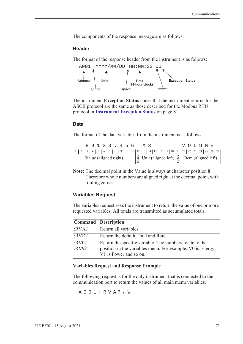The components of the response message are as follows:

#### **Header**

The format of the response header from the instrument is as follows:



<span id="page-82-0"></span>The instrument **Exception Status** codes that the instrument returns for the ASCII protocol are the same as those described for the Modbus RTU protocol in **[Instrument Exception Status](#page-90-0)** on page 81.

#### **Data**

The format of the data variables from the instrument is as follows:

|  |                                                                                                                    |                       |  |  | 89123.456 |  | M २ |                                                                                                                                           |  |  |  |  | V O L II M E |  |  |
|--|--------------------------------------------------------------------------------------------------------------------|-----------------------|--|--|-----------|--|-----|-------------------------------------------------------------------------------------------------------------------------------------------|--|--|--|--|--------------|--|--|
|  | 2   3   4   5   6   7   8   9   10   11   12   13   14   15   16   17   18   19   20   22   23   24   25   26   27 |                       |  |  |           |  |     |                                                                                                                                           |  |  |  |  |              |  |  |
|  |                                                                                                                    | Value (aligned right) |  |  |           |  |     | $\begin{bmatrix} 8 \\ 8 \\ 6 \\ 6 \end{bmatrix}$ Unit (aligned left) $\begin{bmatrix} 8 \\ 8 \\ 6 \\ 6 \end{bmatrix}$ Item (aligned left) |  |  |  |  |              |  |  |

**Note:** The decimal point in the Value is always at character position 8. Therefore whole numbers are aligned right at the decimal point, with trailing zeroes.

#### **Variables Request**

The variables request asks the instrument to return the value of one or more requested variables. All totals are transmitted as accumulated totals.

|                             | Command Description                                                                                                                             |
|-----------------------------|-------------------------------------------------------------------------------------------------------------------------------------------------|
| :RVA?                       | Return all variables                                                                                                                            |
| :RVD?                       | Return the default Total and Rate                                                                                                               |
| $\vert:RV0? \dots$<br>:RV9? | Return the specific variable. The numbers relate to the<br>position in the variables menu. For example, V0 is Energy,<br>V1 is Power and so on. |

#### **Variables Request and Response Example**

The following request is for the only instrument that is connected to the communication port to return the values of all main menu variables.

: A 0 0 1 : R V A ?  $L_F C_R$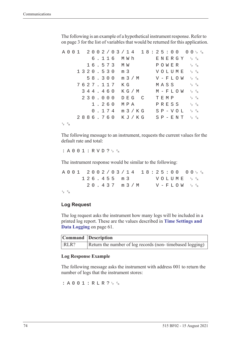The following is an example of a hypothetical instrument response. Refer to [on page 3](#page-12-0) for the list of variables that would be returned for this application.

|                 |  |  |  |  |          |  |              |  |       |  |                            |       |  | A 0 0 1 2 0 0 2 / 0 3 / 1 4 1 8 : 2 5 : 0 0 0 0 0 $\frac{1}{2}$ $\frac{6}{10}$ |                 |                 |  |
|-----------------|--|--|--|--|----------|--|--------------|--|-------|--|----------------------------|-------|--|--------------------------------------------------------------------------------|-----------------|-----------------|--|
|                 |  |  |  |  |          |  | 6.116 MWh    |  |       |  |                            |       |  | E N E R G Y                                                                    |                 |                 |  |
|                 |  |  |  |  |          |  | 16.573 MW    |  |       |  |                            | POWER |  |                                                                                | $L_{F}$ $C_{R}$ |                 |  |
|                 |  |  |  |  |          |  | 1320.530 m 3 |  |       |  |                            |       |  | VOLUME <sup>L</sup> <sub>R</sub> <sup>C</sup> R                                |                 |                 |  |
|                 |  |  |  |  |          |  |              |  |       |  | 58.300 m 3 / M V - F L O W |       |  |                                                                                | $L_{F}$ $C_{R}$ |                 |  |
|                 |  |  |  |  | 7627.117 |  | K G          |  |       |  |                            | MASS  |  |                                                                                |                 | $L_{F}$ $C_{R}$ |  |
|                 |  |  |  |  |          |  |              |  |       |  | 344.460 KG/M M-FLOW        |       |  |                                                                                | $L_F$ $C_R$     |                 |  |
|                 |  |  |  |  | 230.000  |  |              |  | DEG C |  | T E M P                    |       |  |                                                                                | $L_F$ $C_R$     |                 |  |
|                 |  |  |  |  | 1.260    |  | МРА          |  |       |  |                            | PRESS |  |                                                                                |                 | $L_{F}$ $C_{R}$ |  |
|                 |  |  |  |  |          |  |              |  |       |  | $0.174$ m $3/KG$ SP-VOL    |       |  |                                                                                | $L_F$ $C_R$     |                 |  |
|                 |  |  |  |  |          |  |              |  |       |  |                            |       |  | 2886.760 KJ/KG SP-ENT F <sup>c</sup> r                                         |                 |                 |  |
| $L_{F}$ $C_{R}$ |  |  |  |  |          |  |              |  |       |  |                            |       |  |                                                                                |                 |                 |  |

The following message to an instrument, requests the current values for the default rate and total:

: A 0 0 1 : R V D ?  $L_F$   $C_R$ 

The instrument response would be similar to the following:

A001 2002/03/14 18:25:00  $F$   $\circ$ <sub>R</sub> 126.455 m3 VOLUME <sup>L</sup>  $F$   $\circ$ <sub>R</sub> 20.437 m3/M V-FLOW <sup>L</sup> <sup>F</sup> <sup>C</sup> R L <sup>F</sup> <sup>C</sup> R

#### **Log Request**

The log request asks the instrument how many logs will be included in a printed log report. These are the values described in **[Time Settings and](#page-70-0)  [Data Logging](#page-70-0)** on page 61.

|      | Command Description                                      |
|------|----------------------------------------------------------|
| RLR? | Return the number of log records (non-timebased logging) |

#### **Log Response Example**

The following message asks the instrument with address 001 to return the number of logs that the instrument stores:

: A 0 0 1 : R L R ?  $L_F$   $C_R$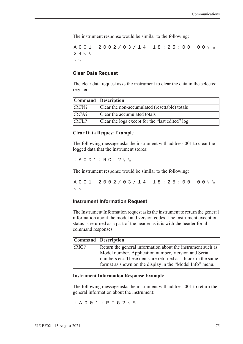The instrument response would be similar to the following:

A001 2002/03/14 18:25:00  $F$   $C_R$  $24r$ <sub>F</sub>  $c$ <sub>R</sub> L <sup>F</sup> <sup>C</sup> R

#### **Clear Data Request**

The clear data request asks the instrument to clear the data in the selected registers.

|       | Command   Description                           |
|-------|-------------------------------------------------|
| :RCN? | Clear the non-accumulated (resettable) totals   |
| :RCA? | Clear the accumulated totals                    |
| :RCL? | Clear the logs except for the "last edited" log |

#### **Clear Data Request Example**

The following message asks the instrument with address 001 to clear the logged data that the instrument stores:

: A 0 0 1 : R C L ?  $L_F$   $c_R$ 

The instrument response would be similar to the following:

A001 2002/03/14 18:25:00  $F$   $C_R$ L <sup>F</sup> <sup>C</sup> R

#### <span id="page-84-0"></span>**Instrument Information Request**

The Instrument Information request asks the instrument to return the general information about the model and version codes. The instrument exception status is returned as a part of the header as it is with the header for all command responses.

| Command Description        |                                                              |
|----------------------------|--------------------------------------------------------------|
| $\mathsf{I}:\mathsf{RIG}?$ | Return the general information about the instrument such as  |
|                            | Model number, Application number, Version and Serial         |
|                            | numbers etc. These items are returned as a block in the same |
|                            | format as shown on the display in the "Model Info" menu.     |

#### **Instrument Information Response Example**

The following message asks the instrument with address 001 to return the general information about the instrument:

 $: A 0 0 1 : R I G ? L F c R$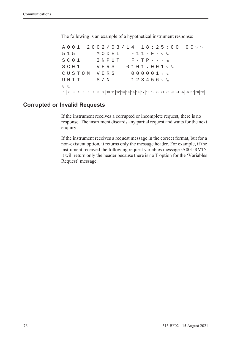The following is an example of a hypothetical instrument response:

A001 2002/03/14 18:25:00  $F$   $\circ$ <sub>R</sub>  $515$   $MODEL$   $-11-F F$   $R$  $S$  C O  $1$  I N P U T F - T P - - <sup>L</sup><sub>F</sub> <sup>C</sup>R  $S$  C O  $1$  V E R S O  $1$  O  $1$  J  $1$  , O  $0$   $1$   $1$   $1$   $6$   $8$ CUSTOM VERS 000001<sup>L</sup>F<sup>C</sup>R  $\texttt{UNIT}$  S/N 123456<sup>L</sup><sub>F</sub>  $\texttt{C}_{\texttt{R}}$ L <sup>F</sup> <sup>C</sup> R 1 2 3 4 5 6 7 8 9 10 11 12 13 14 15 16 17 18 19 20 21 22 23 24 25 26 27 28 29

#### **Corrupted or Invalid Requests**

If the instrument receives a corrupted or incomplete request, there is no response. The instrument discards any partial request and waits for the next enquiry.

If the instrument receives a request message in the correct format, but for a non-existent option, it returns only the message header. For example, if the instrument received the following request variables message :A001:RVT? it will return only the header because there is no T option for the 'Variables Request' message.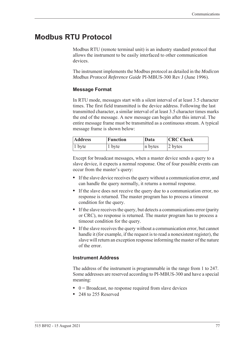### **Modbus RTU Protocol**

Modbus RTU (remote terminal unit) is an industry standard protocol that allows the instrument to be easily interfaced to other communication devices.

The instrument implements the Modbus protocol as detailed in the *Modicon Modbus Protocol Reference Guide* PI-MBUS-300 Rev J (June 1996).

#### **Message Format**

In RTU mode, messages start with a silent interval of at least 3.5 character times. The first field transmitted is the device address. Following the last transmitted character, a similar interval of at least 3.5 character times marks the end of the message. A new message can begin after this interval. The entire message frame must be transmitted as a continuous stream. A typical message frame is shown below:

| <b>Address</b> | <b>Function</b> | Data    | <b>CRC</b> Check |
|----------------|-----------------|---------|------------------|
| $ 1$ byte      | 1 byte          | n bytes | 2 bytes          |

Except for broadcast messages, when a master device sends a query to a slave device, it expects a normal response. One of four possible events can occur from the master's query:

- **•** If the slave device receives the query without a communication error, and can handle the query normally, it returns a normal response.
- **•** If the slave does not receive the query due to a communication error, no response is returned. The master program has to process a timeout condition for the query.
- **•** If the slave receives the query, but detects a communications error (parity or CRC), no response is returned. The master program has to process a timeout condition for the query.
- **•** If the slave receives the query without a communication error, but cannot handle it (for example, if the request is to read a nonexistent register), the slave will return an exception response informing the master of the nature of the error.

#### **Instrument Address**

The address of the instrument is programmable in the range from 1 to 247. Some addresses are reserved according to PI-MBUS-300 and have a special meaning:

- 0 = Broadcast, no response required from slave devices
- **•** 248 to 255 Reserved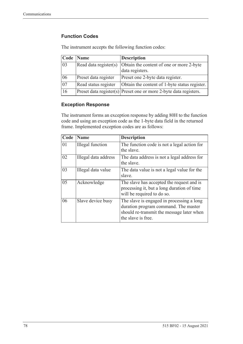#### **Function Codes**

| Code            | <b>Name</b>           | <b>Description</b>                                                    |
|-----------------|-----------------------|-----------------------------------------------------------------------|
| 03              | Read data register(s) | Obtain the content of one or more 2-byte<br>data registers.           |
| 06              | Preset data register  | Preset one 2-byte data register.                                      |
| $\overline{07}$ | Read status register  | Obtain the content of 1-byte status register.                         |
| 16              |                       | $ $ Preset data register(s) Preset one or more 2-byte data registers. |

The instrument accepts the following function codes:

#### **Exception Response**

The instrument forms an exception response by adding 80H to the function code and using an exception code as the 1-byte data field in the returned frame. Implemented exception codes are as follows:

| Code | <b>Name</b>             | <b>Description</b>                                                                                                                                   |
|------|-------------------------|------------------------------------------------------------------------------------------------------------------------------------------------------|
| 01   | <b>Illegal</b> function | The function code is not a legal action for<br>the slave.                                                                                            |
| 02   | Illegal data address    | The data address is not a legal address for<br>the slave.                                                                                            |
| 03   | Illegal data value      | The data value is not a legal value for the<br>slave.                                                                                                |
| 05   | Acknowledge             | The slave has accepted the request and is<br>processing it, but a long duration of time<br>will be required to do so.                                |
| 06   | Slave device busy       | The slave is engaged in processing a long<br>duration program command. The master<br>should re-transmit the message later when<br>the slave is free. |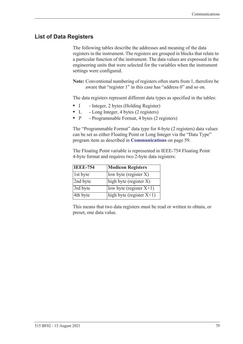#### **List of Data Registers**

The following tables describe the addresses and meaning of the data registers in the instrument. The registers are grouped in blocks that relate to a particular function of the instrument. The data values are expressed in the engineering units that were selected for the variables when the instrument settings were configured.

**Note:** Conventional numbering of registers often starts from 1, therefore be aware that "register 1" in this case has "address 0" and so on.

The data registers represent different data types as specified in the tables:

- I Integer, 2 bytes (Holding Register)
- L Long Integer, 4 bytes (2 registers)
- P Programmable Format, 4 bytes (2 registers)

The "Programmable Format" data type for 4-byte (2 registers) data values can be set as either Floating Point or Long Integer via the "Data Type" program item as described in **[Communications](#page-68-0)** on page 59.

The Floating Point variable is represented in IEEE-754 Floating Point 4-byte format and requires two 2-byte data registers:

| <b>IEEE-754</b> | <b>Modicon Registers</b>                       |
|-----------------|------------------------------------------------|
| 1st byte        | low byte (register $X$ )                       |
| 2nd byte        | $\left  \text{high byte (register X)} \right $ |
| 3rd byte        | low byte (register $X+1$ )                     |
| 4th byte        | high byte (register $X+1$ )                    |

This means that two data registers must be read or written to obtain, or preset, one data value.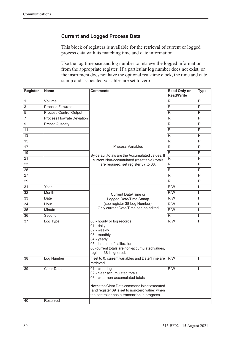#### **Current and Logged Process Data**

This block of registers is available for the retrieval of current or logged process data with its matching time and date information.

Use the log timebase and log number to retrieve the logged information from the appropriate register. If a particular log number does not exist, or the instrument does not have the optional real-time clock, the time and date stamp and associated variables are set to zero.

| <b>Register</b> | <b>Name</b>                | <b>Comments</b>                                                                                                                                                                                                                           | <b>Read Only or</b><br><b>Read/Write</b> | <b>Type</b>    |
|-----------------|----------------------------|-------------------------------------------------------------------------------------------------------------------------------------------------------------------------------------------------------------------------------------------|------------------------------------------|----------------|
| $\overline{1}$  | Volume                     |                                                                                                                                                                                                                                           | R                                        | P              |
| $\overline{3}$  | <b>Process Flowrate</b>    |                                                                                                                                                                                                                                           | $\mathsf{R}$                             | P              |
| 5               | Process Control Output     |                                                                                                                                                                                                                                           | R                                        | P              |
| $\overline{7}$  | Process Flowrate Deviation |                                                                                                                                                                                                                                           | $\mathsf{R}$                             | P              |
| $9$             | <b>Preset Quantity</b>     |                                                                                                                                                                                                                                           | $\mathsf{R}$                             | P              |
| 11              |                            |                                                                                                                                                                                                                                           | R                                        | P              |
| 13              |                            |                                                                                                                                                                                                                                           | $\mathsf{R}$                             | P              |
| 15              |                            |                                                                                                                                                                                                                                           | R                                        | P              |
| 17              |                            | <b>Process Variables</b>                                                                                                                                                                                                                  | R                                        | P              |
| 19              |                            | By default totals are the Accumulated values. If                                                                                                                                                                                          | ${\sf R}$                                | $\mathsf{P}$   |
| $\overline{21}$ |                            | current Non-accumulated (resettable) totals                                                                                                                                                                                               | $\overline{\mathsf{R}}$                  | P              |
| 23              |                            | are required, set register 37 to 06.                                                                                                                                                                                                      | R                                        | P              |
| 25              |                            |                                                                                                                                                                                                                                           | $\mathsf{R}$                             | $\overline{P}$ |
| $\overline{27}$ |                            |                                                                                                                                                                                                                                           | $\mathsf{R}$                             | P              |
| 29              |                            |                                                                                                                                                                                                                                           | ${\sf R}$                                | P              |
| 31              | Year                       |                                                                                                                                                                                                                                           | R/W                                      | T              |
| $\overline{32}$ | <b>Month</b>               | Current Date/Time or                                                                                                                                                                                                                      | R/W                                      | ı              |
| 33              | Date                       | Logged Date/Time Stamp                                                                                                                                                                                                                    | R/W                                      | ı              |
| 34              | Hour                       | (see register 38 Log Number).                                                                                                                                                                                                             | R/W                                      | I              |
| $\overline{35}$ | Minute                     | Only current Date/Time can be edited                                                                                                                                                                                                      | R/W                                      | I              |
| 36              | Second                     |                                                                                                                                                                                                                                           | R                                        | I              |
| 37              | Log Type                   | 00 - hourly or log records<br>$01 - \text{daily}$<br>02 - weekly<br>03 - monthly<br>04 - yearly<br>05 - last edit of calibration<br>06 - current totals are non-accumulated values,<br>register 38 is ignored.                            | R/W                                      | I              |
| 38              | Log Number                 | If set to 0, current variables and Date/Time are<br>retrieved                                                                                                                                                                             | R/W                                      | $\overline{1}$ |
| 39              | Clear Data                 | 01 - clear logs<br>02 - clear accumulated totals<br>03 - clear non-accumulated totals<br>Note: the Clear Data command is not executed<br>(and register 39 is set to non-zero value) when<br>the controller has a transaction in progress. | R/W                                      | I              |
| 40              | Reserved                   |                                                                                                                                                                                                                                           |                                          |                |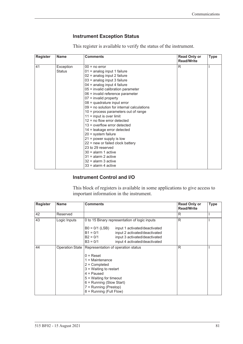#### <span id="page-90-1"></span><span id="page-90-0"></span>**Instrument Exception Status**

This register is available to verify the status of the instrument.

| <b>Register</b> | <b>Name</b>   | <b>Comments</b>                              | <b>Read Only or</b><br><b>Read/Write</b> | <b>Type</b> |
|-----------------|---------------|----------------------------------------------|------------------------------------------|-------------|
| 41              | Exception     | $00 = no error$                              | R                                        |             |
|                 | <b>Status</b> | $01$ = analog input 1 failure                |                                          |             |
|                 |               | 02 = analog input 2 failure                  |                                          |             |
|                 |               | 03 = analog input 3 failure                  |                                          |             |
|                 |               | 04 = analog input 4 failure                  |                                          |             |
|                 |               | 05 = invalid calibration parameter           |                                          |             |
|                 |               | 06 = invalid reference parameter             |                                          |             |
|                 |               | $07$ = invalid property                      |                                          |             |
|                 |               | $08$ = quadrature input error                |                                          |             |
|                 |               | $09$ = no solution for internal calculations |                                          |             |
|                 |               | $10$ = process parameters out of range       |                                          |             |
|                 |               | $11 =$ input is over limit                   |                                          |             |
|                 |               | $12$ = no flow error detected                |                                          |             |
|                 |               | $13$ = overflow error detected               |                                          |             |
|                 |               | $14$ = leakage error detected                |                                          |             |
|                 |               | $20 =$ system failure                        |                                          |             |
|                 |               | $21$ = power supply is low                   |                                          |             |
|                 |               | $22$ = new or failed clock battery           |                                          |             |
|                 |               | 23 to 29 reserved                            |                                          |             |
|                 |               | $30 =$ alarm 1 active                        |                                          |             |
|                 |               | $31$ = alarm 2 active                        |                                          |             |
|                 |               | $32$ = alarm 3 active                        |                                          |             |
|                 |               | $33$ = alarm 4 active                        |                                          |             |

#### **Instrument Control and I/O**

This block of registers is available in some applications to give access to important information in the instrument.

| <b>Register</b> | <b>Name</b>  | <b>Comments</b>                                                                                                                                                                                                                                                        | <b>Read Only or</b><br><b>Read/Write</b> | <b>Type</b> |
|-----------------|--------------|------------------------------------------------------------------------------------------------------------------------------------------------------------------------------------------------------------------------------------------------------------------------|------------------------------------------|-------------|
| 42              | Reserved     |                                                                                                                                                                                                                                                                        | R                                        |             |
| 43              | Logic Inputs | 0 to 15 Binary representation of logic inputs<br>$B0 = 0/1$ (LSB)<br>input 1 activated/deactivated<br>$B1 = 0/1$<br>input 2 activated/deactivated<br>$B2 = 0/1$<br>input 3 activated/deactivated<br>$B3 = 0/1$<br>input 4 activated/deactivated                        | R                                        |             |
| 44              |              | Operation State   Representation of operation status<br>$0 =$ Reset<br>$1 =$ Maintenance<br>$2 =$ Completed<br>$3$ = Waiting to restart<br>$4 =$ Paused<br>$5 =$ Waiting for timeout<br>6 = Running (Slow Start)<br>7 = Running (Prestop)<br>$8$ = Running (Full Flow) | R                                        |             |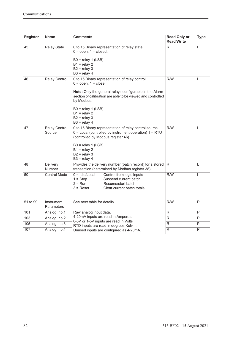| <b>Register</b> | <b>Name</b>                     | <b>Comments</b>                                                                                                                                                                                                                                                                                   | <b>Read Only or</b><br><b>Read/Write</b> | <b>Type</b> |
|-----------------|---------------------------------|---------------------------------------------------------------------------------------------------------------------------------------------------------------------------------------------------------------------------------------------------------------------------------------------------|------------------------------------------|-------------|
| 45              | <b>Relay State</b>              | 0 to 15 Binary representation of relay state.<br>$0 =$ open; $1 =$ closed.<br>$B0 =$ relay 1 (LSB)<br>$B1$ = relay 2<br>$B2 =$ relay 3<br>$B3 =$ relay 4                                                                                                                                          | R                                        | ı           |
| 46              | <b>Relay Control</b>            | 0 to 15 Binary representation of relay control.<br>$0 =$ open; $1 =$ close.<br>Note: Only the general relays configurable in the Alarm<br>section of calibration are able to be viewed and controlled<br>by Modbus.<br>$B0 =$ relay 1 (LSB)<br>$B1$ = relay 2<br>$B2 =$ relay 3<br>$B3 =$ relay 4 | R/W                                      |             |
| 47              | <b>Relay Control</b><br>Source  | 0 to 15 Binary representation of relay control source.<br>$0 =$ Local (controlled by instrument operation) $1 = RTU$<br>(controlled by Modbus register 46).<br>$B0 =$ relay 1 (LSB)<br>$B1$ = relay 2<br>$B2 =$ relay 3<br>$B3 =$ relay 4                                                         | R/W                                      | ı           |
| 48              | Delivery<br>Number              | Provides the delivery number (batch record) for a stored<br>transaction (determined by Modbus register 38).                                                                                                                                                                                       | R                                        | L           |
| 50              | <b>Control Mode</b>             | $0 =$ Idle/Local<br>Control from logic inputs<br>$1 = Stop$<br>Suspend current batch<br>Resume/start batch<br>$2 = Run$<br>$3 =$ Reset<br>Clear current batch totals                                                                                                                              | R/W                                      | ı           |
| 51 to 99        | Instrument<br><b>Parameters</b> | See next table for details.                                                                                                                                                                                                                                                                       | $\overline{R/W}$                         | P           |
| 101             | Analog Inp.1                    | Raw analog input data.                                                                                                                                                                                                                                                                            | $\overline{R}$                           | P           |
| 103             | Analog Inp.2                    | 4-20mA inputs are read in Amperes.                                                                                                                                                                                                                                                                | R                                        | P           |
| 105             | Analog Inp.3                    | 0-5V or 1-5V inputs are read in Volts<br>RTD inputs are read in degrees Kelvin.                                                                                                                                                                                                                   | R                                        | P           |
| 107             | Analog Inp.4                    | Unused inputs are configured as 4-20mA.                                                                                                                                                                                                                                                           | $\overline{\mathsf{R}}$                  | P           |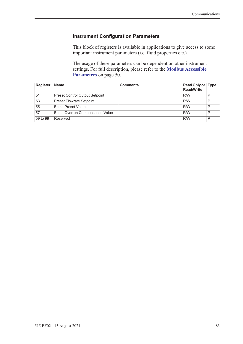#### **Instrument Configuration Parameters**

This block of registers is available in applications to give access to some important instrument parameters (i.e. fluid properties etc.).

The usage of these parameters can be dependent on other instrument settings. For full description, please refer to the **[Modbus Accessible](#page-59-0)  [Parameters](#page-59-0)** on page 50.

| <b>Register</b> | <b>Name</b>                             | <b>Comments</b> | Read Only or Type<br><b>Read/Write</b> |   |
|-----------------|-----------------------------------------|-----------------|----------------------------------------|---|
| 51              | <b>Preset Control Output Setpoint</b>   |                 | R/W                                    | D |
| 53              | <b>Preset Flowrate Setpoint</b>         |                 | R/W                                    | D |
| 55              | <b>Batch Preset Value</b>               |                 | R/W                                    | D |
| 57              | <b>Batch Overrun Compensation Value</b> |                 | R/W                                    | D |
| 59 to 99        | Reserved                                |                 | R/W                                    | D |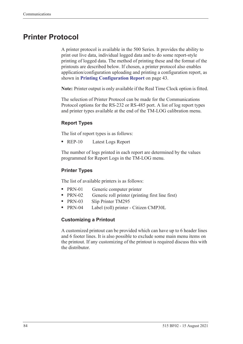### <span id="page-93-0"></span>**Printer Protocol**

A printer protocol is available in the 500 Series. It provides the ability to print out live data, individual logged data and to do some report-style printing of logged data. The method of printing these and the format of the printouts are described below. If chosen, a printer protocol also enables application/configuration uploading and printing a configuration report, as shown in **[Printing Configuration Report](#page-52-0)** on page 43.

**Note:** Printer output is only available if the Real Time Clock option is fitted.

The selection of Printer Protocol can be made for the Communications Protocol options for the RS-232 or RS-485 port. A list of log report types and printer types available at the end of the TM-LOG calibration menu.

#### **Report Types**

The list of report types is as follows:

**•** REP-10 Latest Logs Report

The number of logs printed in each report are determined by the values programmed for Report Logs in the TM-LOG menu.

#### **Printer Types**

The list of available printers is as follows:

- PRN-01 Generic computer printer
- PRN-02 Generic roll printer (printing first line first)
- PRN-03 Slip Printer TM295
- **•** PRN-04 Label (roll) printer Citizen CMP30L

#### <span id="page-93-1"></span>**Customizing a Printout**

A customized printout can be provided which can have up to 6 header lines and 6 footer lines. It is also possible to exclude some main menu items on the printout. If any customizing of the printout is required discuss this with the distributor.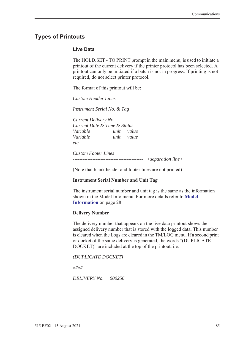#### **Types of Printouts**

#### **Live Data**

The HOLD.SET - TO PRINT prompt in the main menu, is used to initiate a printout of the current delivery if the printer protocol has been selected. A printout can only be initiated if a batch is not in progress. If printing is not required, do not select printer protocol.

The format of this printout will be:

*Custom Header Lines*

*Instrument Serial No. & Tag*

*Current Delivery No. Current Date & Time & Status Variable unit value Variable unit value etc.*

*Custom Footer Lines ------------------------------------------- <separation line>*

(Note that blank header and footer lines are not printed).

#### **Instrument Serial Number and Unit Tag**

The instrument serial number and unit tag is the same as the information shown in the Model Info menu. For more details refer to **[Model](#page-37-0)  [Information](#page-37-0)** on page 28

#### **Delivery Number**

The delivery number that appears on the live data printout shows the assigned delivery number that is stored with the logged data. This number is cleared when the Logs are cleared in the TM/LOG menu. If a second print or docket of the same delivery is generated, the words "(DUPLICATE DOCKET)" are included at the top of the printout. i.e.

*(DUPLICATE DOCKET)*

*####*

*DELIVERY No. 000256*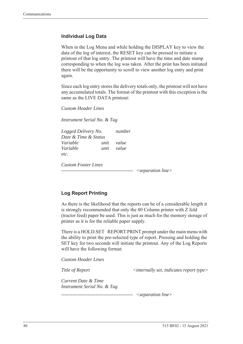#### **Individual Log Data**

When in the Log Menu and while holding the DISPLAY key to view the data of the log of interest, the RESET key can be pressed to initiate a printout of that log entry. The printout will have the time and date stamp corresponding to when the log was taken. After the print has been initiated there will be the opportunity to scroll to view another log entry and print again.

Since each log entry stores the delivery totals only, the printout will not have any accumulated totals. The format of the printout with this exception is the same as the LIVE DATA printout:

*Custom Header Lines*

*Instrument Serial No. & Tag*

| Logged Delivery No.  |            | number |
|----------------------|------------|--------|
| Date & Time & Status |            |        |
| Variable             | unit value |        |
| Variable             | unit value |        |
| etc.                 |            |        |

*Custom Footer Lines* 

*-------------------------------------------- <separation line>*

#### **Log Report Printing**

As there is the likelihood that the reports can be of a considerable length it is strongly recommended that only the 80 Column printer with Z fold (tractor feed) paper be used. This is just as much for the memory storage of printer as it is for the reliable paper supply.

There is a HOLD.SET REPORT PRINT prompt under the main menu with the ability to print the pre-selected type of report. Pressing and holding the SET key for two seconds will initiate the printout. Any of the Log Reports will have the following format:

*Custom Header Lines*

*Title of Report*  $\langle$  *internally set, indicates report type>* 

*Current Date & Time Instrument Serial No. & Tag*

*-------------------------------------------- <separation line>*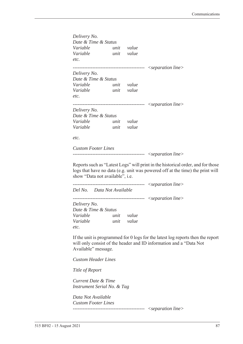| Delivery No.                         |            |       |                                                                                                                                                                  |
|--------------------------------------|------------|-------|------------------------------------------------------------------------------------------------------------------------------------------------------------------|
| Date & Time & Status                 |            |       |                                                                                                                                                                  |
| Variable unit value<br>Variable      | unit value |       |                                                                                                                                                                  |
| etc.                                 |            |       |                                                                                                                                                                  |
|                                      |            |       |                                                                                                                                                                  |
| Delivery No.                         |            |       |                                                                                                                                                                  |
| Date & Time & Status                 |            |       |                                                                                                                                                                  |
| Variable unit value                  |            |       |                                                                                                                                                                  |
| Variable                             | unit value |       |                                                                                                                                                                  |
|                                      |            |       |                                                                                                                                                                  |
| etc.                                 |            |       |                                                                                                                                                                  |
|                                      |            |       |                                                                                                                                                                  |
| Delivery No.                         |            |       |                                                                                                                                                                  |
| Date & Time & Status                 |            |       |                                                                                                                                                                  |
| Variable unit value                  |            |       |                                                                                                                                                                  |
| Variable unit value                  |            |       |                                                                                                                                                                  |
| etc.                                 |            |       |                                                                                                                                                                  |
| <b>Custom Footer Lines</b>           |            |       |                                                                                                                                                                  |
|                                      |            |       |                                                                                                                                                                  |
| show "Data not available", i.e.      |            |       | Reports such as "Latest Logs" will print in the historical order, and for those<br>logs that have no data (e.g. unit was powered off at the time) the print will |
| Del No. Data Not Available           |            |       |                                                                                                                                                                  |
|                                      |            |       |                                                                                                                                                                  |
| Delivery No.<br>Date & Time & Status |            |       |                                                                                                                                                                  |
| Variable unit value                  |            |       |                                                                                                                                                                  |
| Variable<br>etc.                     | unit       | value |                                                                                                                                                                  |
| Available" message.                  |            |       | If the unit is programmed for 0 logs for the latest log reports then the report<br>will only consist of the header and ID information and a "Data Not            |

*Custom Header Lines*

*Title of Report*

*Current Date & Time Instrument Serial No. & Tag*

*Data Not Available Custom Footer Lines -------------------------------------------- <separation line>*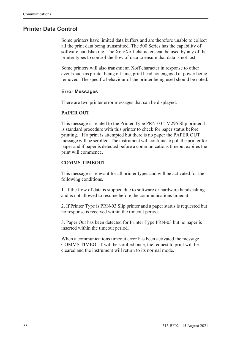#### **Printer Data Control**

Some printers have limited data buffers and are therefore unable to collect all the print data being transmitted. The 500 Series has the capability of software handshaking. The Xon/Xoff characters can be used by any of the printer types to control the flow of data to ensure that data is not lost.

Some printers will also transmit an Xoff character in response to other events such as printer being off-line, print head not engaged or power being removed. The specific behaviour of the printer being used should be noted.

#### **Error Messages**

There are two printer error messages that can be displayed.

#### **PAPER OUT**

This message is related to the Printer Type PRN-03 TM295 Slip printer. It is standard procedure with this printer to check for paper status before printing. If a print is attempted but there is no paper the PAPER OUT message will be scrolled. The instrument will continue to poll the printer for paper and if paper is detected before a communications timeout expires the print will commence.

#### **COMMS TIMEOUT**

This message is relevant for all printer types and will be activated for the following conditions.

1. If the flow of data is stopped due to software or hardware handshaking and is not allowed to resume before the communications timeout.

2. If Printer Type is PRN-03 Slip printer and a paper status is requested but no response is received within the timeout period.

3. Paper Out has been detected for Printer Type PRN-03 but no paper is inserted within the timeout period.

When a communications timeout error has been activated the message COMMS TIMEOUT will be scrolled once, the request to print will be cleared and the instrument will return to its normal mode.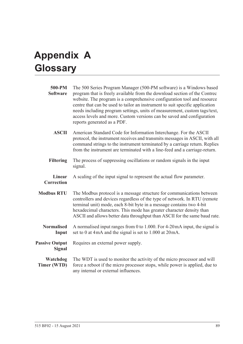# <span id="page-98-1"></span>**Appendix A Glossary**

<span id="page-98-0"></span>

| 500-PM<br><b>Software</b>              | The 500 Series Program Manager (500-PM software) is a Windows based<br>program that is freely available from the download section of the Contrec<br>website. The program is a comprehensive configuration tool and resource<br>centre that can be used to tailor an instrument to suit specific application<br>needs including program settings, units of measurement, custom tags/text,<br>access levels and more. Custom versions can be saved and configuration<br>reports generated as a PDF. |
|----------------------------------------|---------------------------------------------------------------------------------------------------------------------------------------------------------------------------------------------------------------------------------------------------------------------------------------------------------------------------------------------------------------------------------------------------------------------------------------------------------------------------------------------------|
| <b>ASCII</b>                           | American Standard Code for Information Interchange. For the ASCII<br>protocol, the instrument receives and transmits messages in ASCII, with all<br>command strings to the instrument terminated by a carriage return. Replies<br>from the instrument are terminated with a line-feed and a carriage-return.                                                                                                                                                                                      |
| <b>Filtering</b>                       | The process of suppressing oscillations or random signals in the input<br>signal.                                                                                                                                                                                                                                                                                                                                                                                                                 |
| Linear<br>Correction                   | A scaling of the input signal to represent the actual flow parameter.                                                                                                                                                                                                                                                                                                                                                                                                                             |
| <b>Modbus RTU</b>                      | The Modbus protocol is a message structure for communications between<br>controllers and devices regardless of the type of network. In RTU (remote<br>terminal unit) mode, each 8-bit byte in a message contains two 4-bit<br>hexadecimal characters. This mode has greater character density than<br>ASCII and allows better data throughput than ASCII for the same baud rate.                                                                                                                  |
| <b>Normalised</b><br>Input             | A normalised input ranges from 0 to 1.000. For 4-20 mA input, the signal is<br>set to 0 at 4mA and the signal is set to 1.000 at 20mA.                                                                                                                                                                                                                                                                                                                                                            |
| <b>Passive Output</b><br><b>Signal</b> | Requires an external power supply.                                                                                                                                                                                                                                                                                                                                                                                                                                                                |
| Watchdog<br>Timer (WTD)                | The WDT is used to monitor the activity of the micro processor and will<br>force a reboot if the micro processor stops, while power is applied, due to<br>any internal or external influences.                                                                                                                                                                                                                                                                                                    |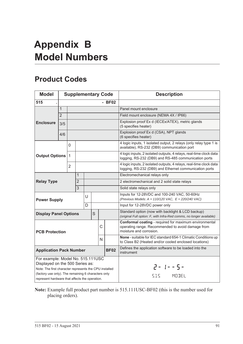# **Appendix B Model Numbers**

## <span id="page-100-0"></span>**Product Codes**

| <b>Model</b>                                                                                                                                                                                                                            | <b>Supplementary Code</b> |                |                |   |                                                                                                                                        | <b>Description</b> |                                 |                                                                                                                              |
|-----------------------------------------------------------------------------------------------------------------------------------------------------------------------------------------------------------------------------------------|---------------------------|----------------|----------------|---|----------------------------------------------------------------------------------------------------------------------------------------|--------------------|---------------------------------|------------------------------------------------------------------------------------------------------------------------------|
| 515                                                                                                                                                                                                                                     |                           |                |                |   |                                                                                                                                        |                    | - BF02                          |                                                                                                                              |
|                                                                                                                                                                                                                                         | $\mathbf{1}$              |                |                |   |                                                                                                                                        |                    |                                 | Panel mount enclosure                                                                                                        |
|                                                                                                                                                                                                                                         | $\overline{2}$            |                |                |   |                                                                                                                                        |                    |                                 | Field mount enclosure (NEMA 4X / IP66)                                                                                       |
| <b>Enclosure</b>                                                                                                                                                                                                                        | 3/5                       |                |                |   |                                                                                                                                        |                    |                                 | Explosion proof Ex d (IECEx/ATEX), metric glands<br>(5 specifies heater)                                                     |
|                                                                                                                                                                                                                                         | 4/6                       |                |                |   |                                                                                                                                        |                    |                                 | Explosion proof Ex d (CSA), NPT glands<br>(6 specifies heater)                                                               |
|                                                                                                                                                                                                                                         |                           | 0              |                |   |                                                                                                                                        |                    |                                 | 4 logic inputs, 1 isolated output, 2 relays (only relay type 1 is<br>available), RS-232 (DB9) communication port             |
| <b>Output Options</b>                                                                                                                                                                                                                   |                           | $\mathbf{1}$   |                |   |                                                                                                                                        |                    |                                 | 4 logic inputs, 2 isolated outputs, 4 relays, real-time clock data<br>logging, RS-232 (DB9) and RS-485 communication ports   |
|                                                                                                                                                                                                                                         |                           | $\overline{2}$ |                |   |                                                                                                                                        |                    |                                 | 4 logic inputs, 2 isolated outputs, 4 relays, real-time clock data<br>logging, RS-232 (DB9) and Ethernet communication ports |
|                                                                                                                                                                                                                                         |                           |                | 1              |   |                                                                                                                                        |                    |                                 | Electromechanical relays only                                                                                                |
| <b>Relay Type</b>                                                                                                                                                                                                                       |                           |                | $\overline{2}$ |   |                                                                                                                                        |                    |                                 | 2 electromechanical and 2 solid state relays                                                                                 |
|                                                                                                                                                                                                                                         |                           |                | $\overline{3}$ |   |                                                                                                                                        |                    |                                 | Solid state relays only                                                                                                      |
| <b>Power Supply</b>                                                                                                                                                                                                                     |                           |                |                | U |                                                                                                                                        |                    |                                 | Inputs for 12-28VDC and 100-240 VAC, 50-60Hz<br>(Previous Models: $A = 110/120$ VAC, $E = 220/240$ VAC)                      |
|                                                                                                                                                                                                                                         |                           |                |                | D |                                                                                                                                        |                    |                                 | Input for 12-28VDC power only                                                                                                |
| S<br><b>Display Panel Options</b>                                                                                                                                                                                                       |                           |                |                |   | Standard option (now with backlight & LCD backup)<br>(original Full option: F, with Infra-Red comms, no longer available)              |                    |                                 |                                                                                                                              |
| C<br><b>PCB Protection</b>                                                                                                                                                                                                              |                           |                |                |   | Conformal coating - required for maximum environmental<br>operating range. Recommended to avoid damage from<br>moisture and corrosion. |                    |                                 |                                                                                                                              |
|                                                                                                                                                                                                                                         |                           |                |                |   |                                                                                                                                        | N                  |                                 | None - suitable for IEC standard 654-1 Climatic Conditions up<br>to Class B2 (Heated and/or cooled enclosed locations)       |
| <b>BF02</b><br><b>Application Pack Number</b>                                                                                                                                                                                           |                           |                |                |   | Defines the application software to be loaded into the<br>instrument                                                                   |                    |                                 |                                                                                                                              |
| For example: Model No. 515.111USC<br>Displayed on the 500 Series as:<br>Note: The first character represents the CPU installed<br>(factory use only). The remaining 6 characters only<br>represent hardware that affects the operation. |                           |                |                |   |                                                                                                                                        |                    | $2 - 1 - - 5 -$<br>515<br>MODEL |                                                                                                                              |

**Note:** Example full product part number is 515.111USC-BF02 (this is the number used for placing orders).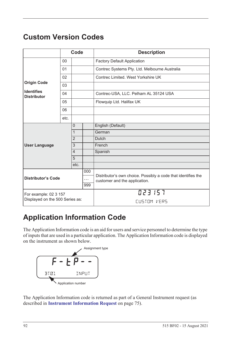# <span id="page-101-1"></span>**Custom Version Codes**

|                                         | Code |                |                                                                                                | <b>Description</b>                            |  |  |
|-----------------------------------------|------|----------------|------------------------------------------------------------------------------------------------|-----------------------------------------------|--|--|
|                                         | 00   |                |                                                                                                | <b>Factory Default Application</b>            |  |  |
|                                         | 01   |                |                                                                                                | Contrec Systems Pty. Ltd. Melbourne Australia |  |  |
|                                         | 02   |                |                                                                                                | Contrec Limited. West Yorkshire UK            |  |  |
| <b>Origin Code</b>                      | 03   |                |                                                                                                |                                               |  |  |
| <b>Identifies</b><br><b>Distributor</b> | 04   |                |                                                                                                | Contrec-USA, LLC. Pelham AL 35124 USA         |  |  |
|                                         | 05   |                |                                                                                                | Flowquip Ltd. Halifax UK                      |  |  |
|                                         | 06   |                |                                                                                                |                                               |  |  |
|                                         | etc. |                |                                                                                                |                                               |  |  |
|                                         |      | 0              |                                                                                                | English (Default)                             |  |  |
|                                         |      | $\mathbf{1}$   |                                                                                                | German                                        |  |  |
|                                         |      | $\overline{2}$ |                                                                                                | Dutch                                         |  |  |
| <b>User Language</b>                    | 3    |                |                                                                                                | French                                        |  |  |
|                                         |      | $\overline{4}$ |                                                                                                | Spanish                                       |  |  |
|                                         |      | $\overline{5}$ |                                                                                                |                                               |  |  |
|                                         |      | etc.           |                                                                                                |                                               |  |  |
|                                         | 000  |                |                                                                                                |                                               |  |  |
| <b>Distributor's Code</b><br>$\ldots$   |      |                | Distributor's own choice. Possibly a code that identifies the<br>customer and the application. |                                               |  |  |
| 999                                     |      |                |                                                                                                |                                               |  |  |
| For example: 02 3 157                   |      |                | 023157                                                                                         |                                               |  |  |
| Displayed on the 500 Series as:         |      |                | <b>CUSTOM VERS</b>                                                                             |                                               |  |  |

## **Application Information Code**

The Application Information code is an aid for users and service personnel to determine the type of inputs that are used in a particular application. The Application Information code is displayed on the instrument as shown below.

<span id="page-101-0"></span>

The Application Information code is returned as part of a General Instrument request (as described in **[Instrument Information Request](#page-84-0)** on page 75).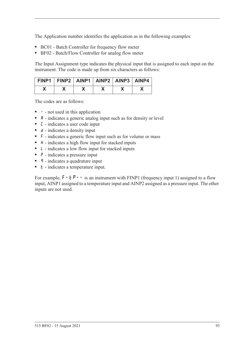The Application number identifies the application as in the following examples:

- **•** BC01 Batch Controller for frequency flow meter
- **•** BF02 Batch/Flow Controller for analog flow meter

The Input Assignment type indicates the physical input that is assigned to each input on the instrument. The code is made up from six characters as follows:

| FINP1   FINP2   AINP1   AINP2   AINP3   AINP4 |  |  |  |
|-----------------------------------------------|--|--|--|
|                                               |  |  |  |

The codes are as follows:

- - not used in this application
- **A** indicates a generic analog input such as for density or level
- **•** C indicates a user code input
- d indicates a density input
- **•** F indicates a generic flow input such as for volume or mass
- H indicates a high flow input for stacked inputs
- **•** L indicates a low flow input for stacked inputs
- **•** P indicates a pressure input
- **q** indicates a quadrature input
- *k* indicates a temperature input.

For example,  $F - tP - -$  is an instrument with FINP1 (frequency input 1) assigned to a flow input, AINP1 assigned to a temperature input and AINP2 assigned as a pressure input. The other inputs are not used.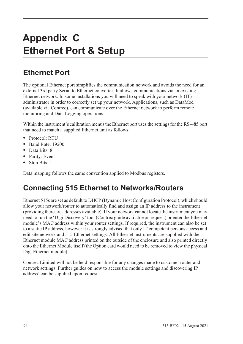# <span id="page-103-0"></span>**Appendix C Ethernet Port & Setup**

# **Ethernet Port**

The optional Ethernet port simplifies the communication network and avoids the need for an external 3rd party Serial to Ethernet converter. It allows communications via an existing Ethernet network. In some installations you will need to speak with your network (IT) administrator in order to correctly set up your network. Applications, such as DataMod (available via Contrec), can communicate over the Ethernet network to perform remote monitoring and Data Logging operations.

Within the instrument's calibration menus the Ethernet port uses the settings for the RS-485 port that need to match a supplied Ethernet unit as follows:

- **•** Protocol: RTU
- **•** Baud Rate: 19200
- **•** Data Bits: 8
- **•** Parity: Even
- **•** Stop Bits: 1

Data mapping follows the same convention applied to Modbus registers.

# **Connecting 515 Ethernet to Networks/Routers**

Ethernet 515s are set as default to DHCP (Dynamic Host Configuration Protocol), which should allow your network/router to automatically find and assign an IP address to the instrument (providing there are addresses available). If your network cannot locate the instrument you may need to run the 'Digi Discovery' tool (Contrec guide available on request) or enter the Ethernet module's MAC address within your router settings. If required, the instrument can also be set to a static IP address, however it is strongly advised that only IT competent persons access and edit site network and 515 Ethernet settings. All Ethernet instruments are supplied with the Ethernet module MAC address printed on the outside of the enclosure and also printed directly onto the Ethernet Module itself (the Option card would need to be removed to view the physical Digi Ethernet module).

Contrec Limited will not be held responsible for any changes made to customer router and network settings. Further guides on how to access the module settings and discovering IP address' can be supplied upon request.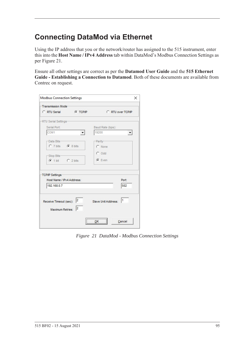# **Connecting DataMod via Ethernet**

Using the IP address that you or the network/router has assigned to the 515 instrument, enter this into the **Host Name / IPv4 Address** tab within DataMod's Modbus Connection Settings as per [Figure 21.](#page-104-0)

Ensure all other settings are correct as per the **Datamod User Guide** and the **515 Ethernet Guide - Establishing a Connection to Datamod**. Both of these documents are available from Contrec on request.

| Transmission Mode-                                   |                 |                     |                      |
|------------------------------------------------------|-----------------|---------------------|----------------------|
| C RTU Serial                                         | <b>C</b> TCP/IP | C RTU over TCP/IP   |                      |
| -RTU Serial Settings-                                |                 |                     |                      |
| Serial Port:                                         |                 | Baud Rate (bps):    |                      |
| COM1                                                 |                 | 19200               | $\blacktriangledown$ |
| -Data Bits-                                          |                 | -Parity-            |                      |
| C 7 bits C 8 bits                                    |                 | C None              |                      |
|                                                      |                 | $C$ Odd             |                      |
| -Stop Bits-                                          |                 | $G$ Even            |                      |
| $C$ 1 bit $C$ 2 bits                                 |                 |                     |                      |
| TCP/IP Settings                                      |                 |                     |                      |
| Host Name / IPv4 Address:                            |                 |                     | Port:                |
| 192.168.0.7                                          |                 |                     | 502                  |
| Receive Timeout (sec): $\vert^2$<br>Maximum Retries: | 2               | Slave Unit Address: | 11                   |
|                                                      |                 | ,                   | Cancel               |

<span id="page-104-0"></span>*Figure 21 DataMod - Modbus Connection Settings*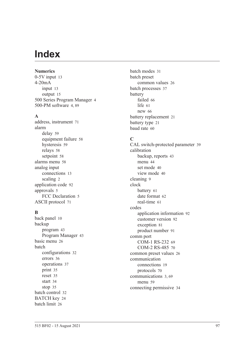# **Index**

#### **Numerics**

0-5V inpu[t 13](#page-22-0) 4-20mA input [13](#page-22-1) output [15](#page-24-0) 500 Series Program Manage[r 4](#page-13-0) 500-PM software [4,](#page-13-0) [89](#page-98-0)

#### **A**

address, instrumen[t 71](#page-80-0) alarm dela[y 59](#page-68-1) equipment failur[e 58](#page-67-0) hysteresi[s 59](#page-68-2) relays [58](#page-67-1) setpoin[t 58](#page-67-2) alarms menu [58](#page-67-3) analog input connection[s 13](#page-22-2) scalin[g 2](#page-11-0) application cod[e 92](#page-101-0) approvals [5](#page-14-0) FCC Declaration [5](#page-14-1) ASCII protoco[l 71](#page-80-1)

#### **B**

back panel [10](#page-19-0) backup program [43](#page-52-1) Program Manage[r 43](#page-52-2) basic men[u 26](#page-35-0) batch configuration[s 32](#page-41-0) error[s 36](#page-45-0) operation[s 37](#page-46-0) print [35](#page-44-0) reset [35](#page-44-1) start [34](#page-43-0) sto[p 35](#page-44-2) batch contro[l 32](#page-41-1) BATCH ke[y 24](#page-33-0) batch limit [26](#page-35-1)

batch mode[s 31](#page-40-0) batch preset common values [26](#page-35-2) batch processes [37](#page-46-0) battery faile[d 66](#page-75-0) life [61](#page-70-1) new [66](#page-75-0) battery replacement [21](#page-30-0) battery type [21](#page-30-1) baud rat[e 60](#page-69-0)

#### **C**

CAL switch-protected parameter [39](#page-48-0) calibration backup, reports [43](#page-52-1) menu [44](#page-53-0) set mode [40](#page-49-0) view mode [40](#page-49-1) cleaning [9](#page-18-0) clock batter[y 61](#page-70-1) date format [62](#page-71-0) real-tim[e 61](#page-70-2) codes application information [92](#page-101-0) customer versio[n 92](#page-101-1) exception [81](#page-90-1) product numbe[r 91](#page-100-0) comm port COM-1 RS-232 [69](#page-78-1) COM-2 RS-485 [70](#page-79-1) common preset value[s 26](#page-35-2) communication connection[s 19](#page-28-0) protocols [70](#page-79-2) communication[s 3,](#page-12-1) [69](#page-78-2) menu [59](#page-68-3) connecting permissive [34](#page-43-1)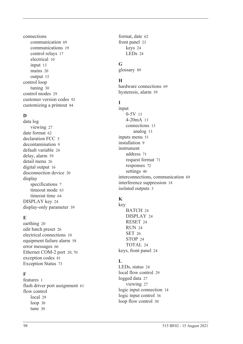connections communicatio[n 69](#page-78-3) communication[s 19](#page-28-0) control relay[s 17](#page-26-0) electrical [10](#page-19-1) inpu[t 13](#page-22-3) main[s 20](#page-29-0) outpu[t 15](#page-24-1) control loop tunin[g 30](#page-39-0) control mode[s 29](#page-38-0) customer version code[s 92](#page-101-1) customizing a printout [84](#page-93-1)

#### **D**

data log viewin[g 27](#page-36-0) date format [62](#page-71-0) declaration FCC [5](#page-14-1) decontamination [9](#page-18-0) default variable [24](#page-33-1) delay, alar[m 59](#page-68-1) detail men[u 26](#page-35-0) digital outpu[t 16](#page-25-0) disconnection device [20](#page-29-1) display specifications [7](#page-16-0) timeout mod[e 63](#page-72-1) timeout time [64](#page-73-0) DISPLAY key [24](#page-33-2) display-only parameter [39](#page-48-1)

#### **E**

earthin[g 20](#page-29-2) edit batch prese[t 26](#page-35-3) electrical connections [10](#page-19-1) equipment failure alarm [58](#page-67-0) error message[s 66](#page-75-1) Ethernet COM-2 por[t 20,](#page-29-3) [70](#page-79-3) exception codes [81](#page-90-1) Exception Status [73](#page-82-0)

#### **F**

features [1](#page-10-0) flash driver port assignmen[t 61](#page-70-3) flow control loca[l 29](#page-38-1) loo[p 30](#page-39-1) tun[e 30](#page-39-2)

format, date [62](#page-71-0) front panel [23](#page-32-0) keys [24](#page-33-3) LEDs [24](#page-33-4)

#### **G**

glossary [89](#page-98-1)

#### **H**

hardware connections [69](#page-78-3) hysteresis, alar[m 59](#page-68-2)

#### **I**

input 0-5[V 13](#page-22-0) 4-20mA [13](#page-22-1) connections [13](#page-22-3) analog [13](#page-22-2) inputs menu [51](#page-60-0) installation [9](#page-18-1) instrument address [71](#page-80-0) request forma[t 71](#page-80-2) response[s 72](#page-81-0) setting[s 46](#page-55-0) interconnections, communication [69](#page-78-3) interference suppression [18](#page-27-0) isolated output[s 3](#page-12-2)

#### **K**

key BATC[H 24](#page-33-0) DISPLA[Y 24](#page-33-2) RESE[T 24](#page-33-5) RUN [24](#page-33-6) SET [26](#page-35-4) STOP [24](#page-33-7) TOTAL [24](#page-33-8) keys, front panel [24](#page-33-3)

#### **L**

LEDs, status [24](#page-33-4) local flow control [29](#page-38-1) logged dat[a 27](#page-36-0) viewin[g 27](#page-36-1) logic input connection [14](#page-23-0) logic input contro[l 36](#page-45-1) loop flow control [30](#page-39-1)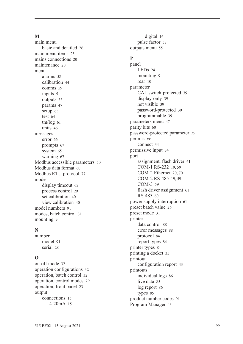main menu basic and detaile[d 26](#page-35-0) main menu items [25](#page-34-0) mains connection[s 20](#page-29-0) maintenance [20](#page-29-1) menu alarm[s 58](#page-67-0) calibratio[n 44](#page-53-0) comms [59](#page-68-0) input[s 51](#page-60-0) output[s 55](#page-64-0) params [47](#page-56-0) setu[p 63](#page-72-0) test [64](#page-73-0) tm/lo[g 61](#page-70-0) unit[s 46](#page-55-0) messages erro[r 66](#page-75-0) prompt[s 67](#page-76-0) syste[m 65](#page-74-0) warnin[g 67](#page-76-1) Modbus accessible parameters [50](#page-59-0) Modbus data forma[t 60](#page-69-0) Modbus RTU protoco[l 77](#page-86-0) mode display timeou[t 63](#page-72-1) process contro[l 29](#page-38-0) set calibration [40](#page-49-0) view calibration [40](#page-49-1) model number[s 91](#page-100-0) modes, batch contro[l 31](#page-40-0) mountin[g 9](#page-18-0)

# **N**

number mode[l 91](#page-100-0) seria[l 28](#page-37-0)

# **O**

on-off mode [32](#page-41-0) operation configurations [32](#page-41-1) operation, batch contro[l 32](#page-41-2) operation, control modes [29](#page-38-0) operation, front panel [23](#page-32-0) output connection[s 15](#page-24-0) 4-20m[A 15](#page-24-1)

**M**<br> **Example 2021**<br> **Example 2021**<br> **Example 2021**<br> **Example 2021**<br> **Example 2021**<br> **Example 2021**<br> **Example 2021**<br> **Example 2021**<br> **Example 2021**<br> **Example 2021**<br> **Example 2021**<br> **Example 2021**<br> **Example 2021**<br> **Example** digital [16](#page-25-0) pulse facto[r 57](#page-66-0) outputs menu [55](#page-64-0) **P** panel LEDs [24](#page-33-0) mounting [9](#page-18-0) rear [10](#page-19-0) parameter CAL switch-protected [39](#page-48-0) display-only [39](#page-48-1) not visibl[e 39](#page-48-2) password-protected [39](#page-48-3) programmable [39](#page-48-4) parameters men[u 47](#page-56-0) parity bit[s 60](#page-69-1) password-protected parameter [39](#page-48-3) permissive connec[t 34](#page-43-0) permissive input [34](#page-43-1) port assignment, flash driver [61](#page-70-1) COM-1 RS-232 [19,](#page-28-0) [59](#page-68-1) COM-2 Ethernet [20,](#page-29-2) [70](#page-79-0) COM-2 RS-485 [19,](#page-28-1) [59](#page-68-2) COM-[3 59](#page-68-3) flash driver assignment [61](#page-70-1) RS-485 [60](#page-69-2) power supply interruption [61](#page-70-2) preset batch value [26](#page-35-1) preset mod[e 31](#page-40-1) printer data control [88](#page-97-0) error messages [88](#page-97-1) protocol [84](#page-93-0) report types [84](#page-93-1) printer type[s 84](#page-93-2) printing a docke[t 35](#page-44-0) printout configuration repor[t 43](#page-52-0) printouts individual logs [86](#page-95-0) live data [85](#page-94-0) log report [86](#page-95-1) type[s 85](#page-94-1) product number codes [91](#page-100-1) Program Manager [43](#page-52-1)